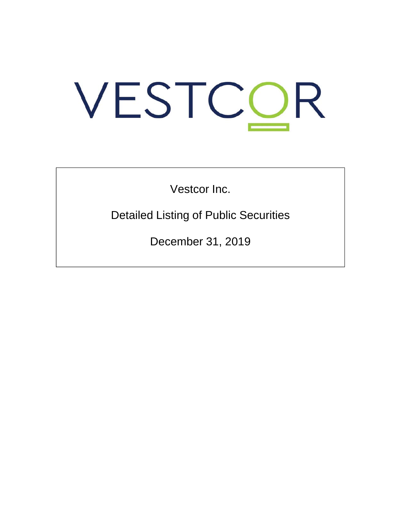# VESTCOR

Vestcor Inc.

Detailed Listing of Public Securities

December 31, 2019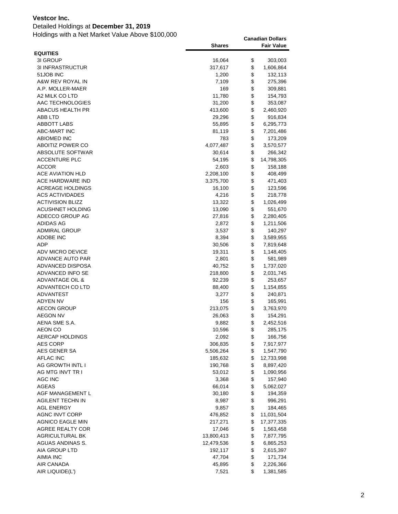### Detailed Holdings at **December 31, 2019**

|                            | <b>Shares</b>   |          | <b>Fair Value</b>      |
|----------------------------|-----------------|----------|------------------------|
| <b>EQUITIES</b>            |                 |          |                        |
| 3I GROUP                   | 16,064          | \$       | 303,003                |
| <b>3I INFRASTRUCTUR</b>    | 317,617         | \$       | 1,606,864              |
| 51JOB INC                  | 1,200           | \$       | 132,113                |
| A&W REV ROYAL IN           | 7,109           | \$       | 275,396                |
| A.P. MOLLER-MAER           | 169             | \$       | 309,881                |
| A2 MILK CO LTD             | 11,780          | \$       | 154,793                |
| AAC TECHNOLOGIES           | 31,200          | \$       | 353,087                |
| <b>ABACUS HEALTH PR</b>    | 413,600         | \$       | 2,460,920              |
| ABB LTD                    | 29,296          | \$       | 916,834                |
| ABBOTT LABS                | 55,895          | \$       | 6,295,773              |
| <b>ABC-MART INC</b>        | 81,119          | \$       | 7,201,486              |
| <b>ABIOMED INC</b>         | 783             | \$       | 173,209                |
| ABOITIZ POWER CO           | 4,077,487       | \$       | 3,570,577              |
| ABSOLUTE SOFTWAR           | 30,614          | \$       | 266,342                |
| <b>ACCENTURE PLC</b>       | 54,195          | \$       | 14,798,305             |
| <b>ACCOR</b>               | 2,603           | \$       | 158,188                |
| ACE AVIATION HLD           | 2,208,100       | \$       | 408,499                |
| ACE HARDWARE IND           | 3,375,700       | \$       | 471,403                |
| <b>ACREAGE HOLDINGS</b>    | 16,100          | \$       | 123,596                |
| ACS ACTIVIDADES            | 4,216           | \$       | 218,778                |
| <b>ACTIVISION BLIZZ</b>    | 13,322          | \$       | 1,026,499              |
| <b>ACUSHNET HOLDING</b>    | 13,090          | \$       | 551,670                |
| ADECCO GROUP AG            | 27,816          | \$       | 2,280,405              |
| ADIDAS AG                  | 2,872           | \$       | 1,211,506              |
| <b>ADMIRAL GROUP</b>       | 3,537           | \$       | 140,297                |
| ADOBE INC<br>ADP           | 8,394           | \$       | 3,589,955              |
| ADV MICRO DEVICE           | 30,506          | \$<br>\$ | 7,819,648<br>1,148,405 |
| ADVANCE AUTO PAR           | 19,311<br>2,801 | \$       | 581,989                |
| ADVANCED DISPOSA           | 40,752          | \$       | 1,737,020              |
| ADVANCED INFO SE           | 218,800         | \$       | 2,031,745              |
| <b>ADVANTAGE OIL &amp;</b> | 92,239          | \$       | 253,657                |
| ADVANTECH CO LTD           | 88,400          | \$       | 1,154,855              |
| ADVANTEST                  | 3,277           | \$       | 240,871                |
| <b>ADYEN NV</b>            | 156             | \$       | 165,991                |
| <b>AECON GROUP</b>         | 213,075         | \$       | 3,763,970              |
| <b>AEGON NV</b>            | 26,063          | \$       | 154,291                |
| AENA SME S.A.              | 9,882           | \$       | 2,452,516              |
| AEON CO                    | 10,596          | \$       | 285,175                |
| AERCAP HOLDINGS            | 2,092           | \$       | 166,756                |
| <b>AES CORP</b>            | 306,835         | \$       | 7,917,977              |
| AES GENER SA               | 5,506,264       | \$       | 1,547,790              |
| <b>AFLAC INC</b>           | 185,632         | \$       | 12,733,998             |
| AG GROWTH INTL I           | 190,768         | \$       | 8,897,420              |
| AG MTG INVT TR I           | 53,012          | \$       | 1,090,956              |
| AGC INC                    | 3,368           | \$       | 157,940                |
| <b>AGEAS</b>               | 66,014          | \$       | 5,062,027              |
| AGF MANAGEMENT L           | 30,180          | \$       | 194,359                |
| <b>AGILENT TECHN IN</b>    | 8,987           | \$       | 996,291                |
| <b>AGL ENERGY</b>          | 9,857           | \$       | 184,465                |
| <b>AGNC INVT CORP</b>      | 476,852         | \$       | 11,031,504             |
| <b>AGNICO EAGLE MIN</b>    | 217,271         | \$       | 17,377,335             |
| AGREE REALTY COR           | 17,046          | \$       | 1,563,458              |
| AGRICULTURAL BK            | 13,800,413      | \$       | 7,877,795              |
| AGUAS ANDINAS S.           | 12,479,536      | \$       | 6,865,253              |
| AIA GROUP LTD              | 192,117         | \$       | 2,615,397              |
| <b>AIMIA INC</b>           | 47,704          | \$       | 171,734                |
| AIR CANADA                 | 45,895          | \$       | 2,226,366              |
| AIR LIQUIDE(L')            | 7,521           | \$       | 1,381,585              |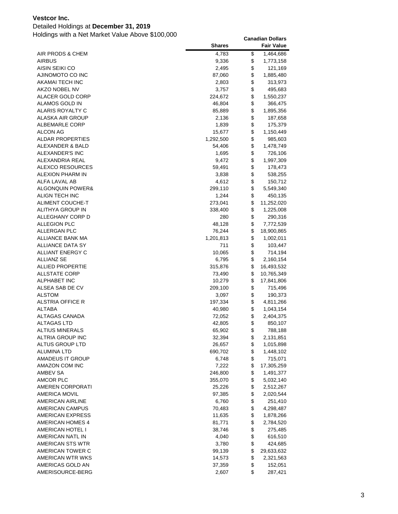### Detailed Holdings at **December 31, 2019**

|                         | <b>Shares</b> | <b>Fair Value</b> |
|-------------------------|---------------|-------------------|
| AIR PRODS & CHEM        | 4,783         | \$<br>1,464,686   |
| <b>AIRBUS</b>           | 9,336         | \$<br>1,773,158   |
| AISIN SEIKI CO          | 2,495         | \$<br>121,169     |
| AJINOMOTO CO INC        | 87,060        | \$<br>1,885,480   |
| AKAMAI TECH INC         | 2,803         | \$<br>313,973     |
| AKZO NOBEL NV           | 3,757         | \$<br>495,683     |
| ALACER GOLD CORP        | 224,672       | \$<br>1,550,237   |
| ALAMOS GOLD IN          | 46,804        | \$<br>366,475     |
| ALARIS ROYALTY C        | 85,889        | \$<br>1,895,356   |
| ALASKA AIR GROUP        | 2,136         | \$<br>187,658     |
| ALBEMARLE CORP          | 1,839         | \$<br>175,379     |
| ALCON AG                | 15,677        | \$<br>1,150,449   |
| ALDAR PROPERTIES        | 1,292,500     | \$<br>985,603     |
| ALEXANDER & BALD        | 54,406        | \$<br>1,478,749   |
| ALEXANDER'S INC         | 1,695         | \$<br>726,106     |
| ALEXANDRIA REAL         | 9,472         | \$<br>1,997,309   |
| ALEXCO RESOURCES        | 59,491        | \$<br>178,473     |
| <b>ALEXION PHARM IN</b> | 3,838         | \$<br>538,255     |
| ALFA LAVAL AB           | 4,612         | \$<br>150,712     |
| ALGONQUIN POWER&        | 299,110       | \$<br>5,549,340   |
| ALIGN TECH INC          | 1,244         | \$<br>450,135     |
| ALIMENT COUCHE-T        | 273,041       | \$<br>11,252,020  |
| ALITHYA GROUP IN        | 338,400       | \$<br>1,225,008   |
| ALLEGHANY CORP D        | 280           | \$<br>290,316     |
| <b>ALLEGION PLC</b>     | 48,128        | \$<br>7,772,539   |
| ALLERGAN PLC            | 76,244        | \$<br>18,900,865  |
| <b>ALLIANCE BANK MA</b> | 1,201,813     | \$<br>1,002,011   |
| ALLIANCE DATA SY        | 711           | \$<br>103,447     |
| ALLIANT ENERGY C        | 10,065        | \$<br>714,194     |
| ALLIANZ SE              | 6,795         | \$<br>2,160,154   |
| <b>ALLIED PROPERTIE</b> | 315,876       | \$<br>16,493,532  |
| <b>ALLSTATE CORP</b>    | 73,490        | \$<br>10,765,349  |
| ALPHABET INC            | 10,279        | \$<br>17,841,806  |
| ALSEA SAB DE CV         | 209,100       | \$<br>715,496     |
| <b>ALSTOM</b>           | 3,097         | \$<br>190,373     |
| ALSTRIA OFFICE R        | 197,334       | \$<br>4,811,266   |
| ALTABA                  | 40,980        | \$<br>1,043,154   |
| ALTAGAS CANADA          | 72,052        | \$<br>2,404,375   |
| ALTAGAS LTD             | 42,805        | \$<br>850,107     |
| <b>ALTIUS MINERALS</b>  | 65,902        | \$<br>788,188     |
| <b>ALTRIA GROUP INC</b> | 32,394        | \$<br>2,131,851   |
| <b>ALTUS GROUP LTD</b>  | 26,657        | \$<br>1,015,898   |
| <b>ALUMINA LTD</b>      | 690,702       | \$<br>1,448,102   |
| <b>AMADEUS IT GROUP</b> | 6,748         | \$<br>715,071     |
| AMAZON COM INC          | 7,222         | \$<br>17,305,259  |
| AMBEV SA                | 246,800       | \$<br>1,491,377   |
| AMCOR PLC               | 355,070       | \$<br>5,032,140   |
| AMEREN CORPORATI        | 25,226        | \$<br>2,512,267   |
| <b>AMERICA MOVIL</b>    | 97,385        | \$<br>2,020,544   |
| AMERICAN AIRLINE        | 6,760         | \$<br>251,410     |
| AMERICAN CAMPUS         | 70,483        | \$<br>4,298,487   |
| AMERICAN EXPRESS        | 11,635        | \$<br>1,878,266   |
| AMERICAN HOMES 4        | 81,771        | \$<br>2,784,520   |
| AMERICAN HOTEL I        | 38,746        | \$<br>275,485     |
| AMERICAN NATL IN        | 4,040         | \$<br>616,510     |
| AMERICAN STS WTR        | 3,780         | \$<br>424,685     |
| AMERICAN TOWER C        | 99,139        | \$<br>29,633,632  |
| AMERICAN WTR WKS        | 14,573        | \$<br>2,321,563   |
| AMERICAS GOLD AN        | 37,359        | \$<br>152,051     |
| AMERISOURCE-BERG        | 2,607         | \$<br>287,421     |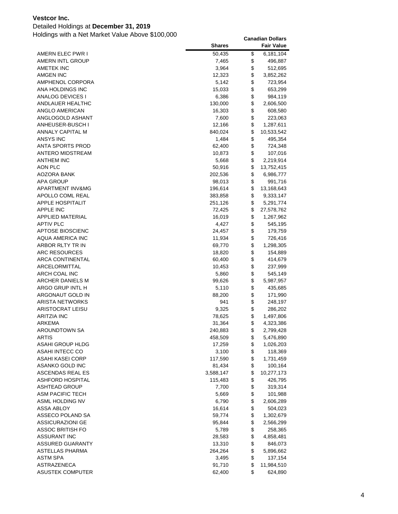### Detailed Holdings at **December 31, 2019**

|                                    | <b>Shares</b> |          | <b>Fair Value</b> |
|------------------------------------|---------------|----------|-------------------|
| AMERN ELEC PWR I                   | 50,435        | \$       | 6,181,104         |
| AMERN INTL GROUP                   | 7,465         | \$       | 496,887           |
| <b>AMETEK INC</b>                  | 3,964         | \$       | 512,695           |
| AMGEN INC                          | 12,323        | \$       | 3,852,262         |
| AMPHENOL CORPORA                   | 5,142         | \$       | 723,954           |
| ANA HOLDINGS INC                   | 15,033        | \$       | 653,299           |
| ANALOG DEVICES I                   | 6,386         | \$       | 984,119           |
| ANDLAUER HEALTHC                   | 130,000       | \$       | 2,606,500         |
| ANGLO AMERICAN                     | 16,303        | \$       | 608,580           |
| ANGLOGOLD ASHANT                   | 7,600         | \$       | 223,063           |
| ANHEUSER-BUSCH I                   | 12,166        | \$       | 1,287,611         |
| ANNALY CAPITAL M                   | 840,024       | \$       | 10,533,542        |
| <b>ANSYS INC</b>                   | 1,484         | \$       | 495,354           |
| <b>ANTA SPORTS PROD</b>            | 62,400        | \$       | 724,348           |
| ANTERO MIDSTREAM                   | 10,873        | \$       | 107,016           |
| <b>ANTHEM INC</b>                  | 5,668         | \$       | 2,219,914         |
| AON PLC                            | 50,916        | \$       | 13,752,415        |
| AOZORA BANK                        | 202,536       | \$       | 6,986,777         |
| <b>APA GROUP</b>                   | 98,013        | \$       | 991,716           |
| APARTMENT INV&MG                   | 196,614       | \$       | 13,168,643        |
| APOLLO COML REAL                   | 383,858       | \$       | 9,333,147         |
| <b>APPLE HOSPITALIT</b>            | 251,126       | \$       | 5,291,774         |
| <b>APPLE INC</b>                   | 72,425        | \$       | 27,578,762        |
| APPLIED MATERIAL                   | 16,019        | \$       | 1,267,962         |
| <b>APTIV PLC</b>                   | 4,427         | \$       | 545,195           |
| <b>APTOSE BIOSCIENC</b>            | 24,457        | \$       | 179,759           |
| AQUA AMERICA INC                   | 11,934        | \$       | 726,416           |
| ARBOR RLTY TR IN                   | 69,770        | \$       | 1,298,305         |
| <b>ARC RESOURCES</b>               | 18,820        | \$       | 154,889           |
| <b>ARCA CONTINENTAL</b>            | 60,400        | \$       | 414,679           |
| ARCELORMITTAL                      | 10,453        | \$       | 237,999           |
| ARCH COAL INC                      | 5,860         | \$       | 545,149           |
| ARCHER DANIELS M                   | 99,626        | \$       | 5,987,957         |
| ARGO GRUP INTL H                   | 5,110         | \$       | 435,685           |
| ARGONAUT GOLD IN                   | 88,200        | \$       | 171,990           |
| <b>ARISTA NETWORKS</b>             | 941           | \$       | 248,197           |
| <b>ARISTOCRAT LEISU</b>            | 9,325         | \$       | 286,202           |
| <b>ARITZIA INC</b>                 | 78,625        | \$       | 1,497,806         |
| ARKEMA                             | 31,364        | \$       | 4,323,386         |
| AROUNDTOWN SA                      | 240,883       | \$       | 2,799,428         |
| ARTIS                              | 458,509       | \$       | 5,476,890         |
| <b>ASAHI GROUP HLDG</b>            | 17,259        | \$       | 1,026,203         |
| ASAHI INTECC CO                    | 3,100         | \$       | 118,369           |
| ASAHI KASEI CORP                   | 117,590       | \$       | 1,731,459         |
| ASANKO GOLD INC                    | 81,434        | \$       | 100,164           |
| ASCENDAS REAL ES                   | 3,588,147     | \$       | 10,277,173        |
| ASHFORD HOSPITAL                   | 115,483       | \$       | 426,795           |
| <b>ASHTEAD GROUP</b>               | 7,700         | \$       | 319,314           |
| <b>ASM PACIFIC TECH</b>            | 5,669         | \$       | 101,988           |
| ASML HOLDING NV                    | 6,790         | \$       | 2,606,289         |
| ASSA ABLOY                         | 16,614        | \$       | 504,023           |
| ASSECO POLAND SA                   | 59,774        | \$       | 1,302,679         |
| <b>ASSICURAZIONI GE</b>            | 95,844        | \$       | 2,566,299         |
| ASSOC BRITISH FO                   | 5,789         | \$       | 258,365           |
| <b>ASSURANT INC</b>                | 28,583        | \$<br>\$ | 4,858,481         |
| <b>ASSURED GUARANTY</b>            | 13,310        | \$       | 846,073           |
| ASTELLAS PHARMA<br><b>ASTM SPA</b> | 264,264       | \$       | 5,896,662         |
| ASTRAZENECA                        | 3,495         | \$       | 137,154           |
| <b>ASUSTEK COMPUTER</b>            | 91,710        | \$       | 11,984,510        |
|                                    | 62,400        |          | 624,890           |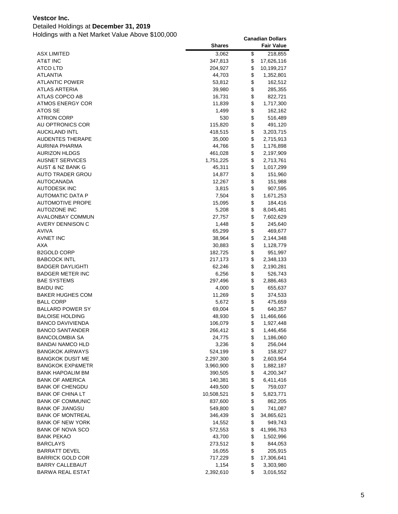### Detailed Holdings at **December 31, 2019**

|                             | <b>Shares</b> | <b>Fair Value</b> |
|-----------------------------|---------------|-------------------|
| ASX LIMITED                 | 3,062         | \$<br>218,855     |
| AT&T INC                    | 347,813       | \$<br>17,626,116  |
| <b>ATCO LTD</b>             | 204,927       | \$<br>10,199,217  |
| ATLANTIA                    | 44,703        | \$<br>1,352,801   |
| <b>ATLANTIC POWER</b>       | 53,812        | \$<br>162,512     |
| <b>ATLAS ARTERIA</b>        | 39,980        | \$<br>285,355     |
| ATLAS COPCO AB              | 16,731        | \$<br>822,721     |
| <b>ATMOS ENERGY COR</b>     | 11,839        | \$<br>1,717,300   |
| ATOS SE                     | 1,499         | \$<br>162,162     |
| <b>ATRION CORP</b>          | 530           | \$<br>516,489     |
| AU OPTRONICS COR            | 115,820       | \$<br>491,120     |
| <b>AUCKLAND INTL</b>        | 418,515       | \$<br>3,203,715   |
| <b>AUDENTES THERAPE</b>     | 35,000        | \$<br>2,715,913   |
| AURINIA PHARMA              | 44,766        | \$<br>1,176,898   |
| <b>AURIZON HLDGS</b>        | 461,028       | \$<br>2,197,909   |
| <b>AUSNET SERVICES</b>      | 1,751,225     | \$<br>2,713,761   |
| AUST & NZ BANK G            | 45,311        | \$<br>1,017,299   |
| <b>AUTO TRADER GROU</b>     | 14,877        | \$<br>151,960     |
| <b>AUTOCANADA</b>           | 12,267        | \$<br>151,988     |
| <b>AUTODESK INC</b>         | 3,815         | \$<br>907,595     |
| AUTOMATIC DATA P            | 7,504         | \$<br>1,671,253   |
| <b>AUTOMOTIVE PROPE</b>     | 15,095        | \$<br>184,416     |
| <b>AUTOZONE INC</b>         | 5,208         | \$<br>8,045,481   |
| <b>AVALONBAY COMMUN</b>     | 27,757        | \$<br>7,602,629   |
| AVERY DENNISON C            | 1,448         | \$<br>245,640     |
| <b>AVIVA</b>                | 65,299        | \$<br>469,677     |
| <b>AVNET INC</b>            | 38,964        | \$<br>2,144,348   |
| AXA                         | 30,883        | \$<br>1,128,779   |
| B2GOLD CORP                 | 182,725       | \$<br>951,997     |
| <b>BABCOCK INTL</b>         | 217,173       | \$<br>2,348,133   |
| <b>BADGER DAYLIGHTI</b>     | 62,246        | \$<br>2,190,281   |
| <b>BADGER METER INC</b>     | 6,256         | \$<br>526,743     |
| BAE SYSTEMS                 | 297,496       | \$<br>2,886,463   |
| <b>BAIDU INC</b>            | 4,000         | \$<br>655,637     |
| <b>BAKER HUGHES COM</b>     | 11,269        | \$<br>374,533     |
| <b>BALL CORP</b>            | 5,672         | \$<br>475,659     |
| <b>BALLARD POWER SY</b>     | 69,004        | \$<br>640,357     |
| <b>BALOISE HOLDING</b>      | 48,930        | \$<br>11,466,666  |
| <b>BANCO DAVIVIENDA</b>     | 106,079       | \$<br>1,927,448   |
| <b>BANCO SANTANDER</b>      | 266,412       | \$<br>1,446,456   |
| <b>BANCOLOMBIA SA</b>       | 24,775        | \$<br>1,186,060   |
| <b>BANDAI NAMCO HLD</b>     | 3,236         | \$<br>256,044     |
| <b>BANGKOK AIRWAYS</b>      | 524,199       | \$<br>158,827     |
| <b>BANGKOK DUSIT ME</b>     | 2,297,300     | \$<br>2,603,954   |
| <b>BANGKOK EXP&amp;METR</b> | 3,960,900     | \$<br>1,882,187   |
| <b>BANK HAPOALIM BM</b>     | 390,505       | \$<br>4,200,347   |
| <b>BANK OF AMERICA</b>      | 140,381       | \$<br>6,411,416   |
| <b>BANK OF CHENGDU</b>      | 449,500       | \$<br>759,037     |
| <b>BANK OF CHINA LT</b>     | 10,508,521    | \$<br>5,823,771   |
| <b>BANK OF COMMUNIC</b>     | 837,600       | \$<br>862,205     |
| <b>BANK OF JIANGSU</b>      | 549,800       | \$<br>741,087     |
| <b>BANK OF MONTREAL</b>     | 346,439       | \$<br>34,865,621  |
| <b>BANK OF NEW YORK</b>     | 14,552        | \$<br>949,743     |
| <b>BANK OF NOVA SCO</b>     | 572,553       | \$<br>41,996,763  |
| BANK PEKAO                  | 43,700        | \$<br>1,502,996   |
| BARCLAYS                    | 273,512       | \$<br>844,053     |
| <b>BARRATT DEVEL</b>        | 16,055        | \$<br>205,915     |
| <b>BARRICK GOLD COR</b>     | 717,229       | \$<br>17,306,641  |
| <b>BARRY CALLEBAUT</b>      | 1,154         | \$<br>3,303,980   |
| <b>BARWA REAL ESTAT</b>     | 2,392,610     | \$<br>3,016,552   |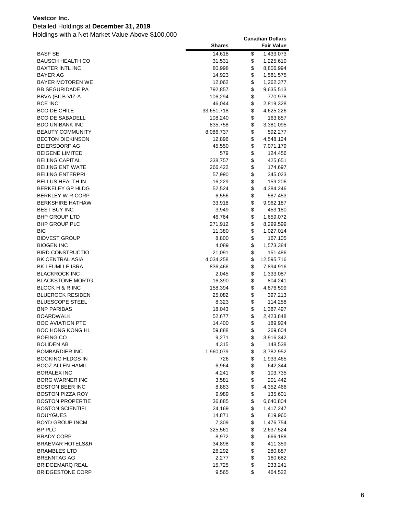### Detailed Holdings at **December 31, 2019**

|                             | <b>Shares</b> | <b>Fair Value</b> |
|-----------------------------|---------------|-------------------|
| <b>BASF SE</b>              | 14,618        | \$<br>1,433,073   |
| <b>BAUSCH HEALTH CO</b>     | 31,531        | \$<br>1,225,610   |
| <b>BAXTER INTL INC</b>      | 80,998        | \$<br>8,806,994   |
| <b>BAYER AG</b>             | 14,923        | \$<br>1,581,575   |
| <b>BAYER MOTOREN WE</b>     | 12,062        | \$<br>1,262,377   |
| <b>BB SEGURIDADE PA</b>     | 792,857       | \$<br>9,635,513   |
| BBVA (BILB-VIZ-A            | 106,294       | \$<br>770,978     |
| <b>BCE INC</b>              | 46,044        | \$<br>2,819,328   |
| <b>BCO DE CHILE</b>         | 33,651,718    | \$<br>4,625,226   |
| <b>BCO DE SABADELL</b>      | 108,240       | \$<br>163,857     |
| <b>BDO UNIBANK INC</b>      | 835,758       | \$<br>3,381,095   |
| <b>BEAUTY COMMUNITY</b>     | 8,086,737     | \$<br>592,277     |
| <b>BECTON DICKINSON</b>     | 12,896        | \$<br>4,548,124   |
| <b>BEIERSDORF AG</b>        | 45,550        | \$<br>7,071,179   |
| <b>BEIGENE LIMITED</b>      | 579           | \$<br>124,456     |
| <b>BEIJING CAPITAL</b>      | 338,757       | \$<br>425,651     |
| <b>BEIJING ENT WATE</b>     | 266,422       | \$<br>174,697     |
| <b>BEIJING ENTERPRI</b>     | 57,990        | \$<br>345,023     |
| <b>BELLUS HEALTH IN</b>     | 16,229        | \$<br>159,206     |
| <b>BERKELEY GP HLDG</b>     | 52,524        | \$<br>4,384,246   |
| BERKLEY W R CORP            | 6,556         | \$<br>587,453     |
| <b>BERKSHIRE HATHAW</b>     | 33,918        | \$<br>9,962,187   |
| <b>BEST BUY INC</b>         | 3,949         | \$<br>453,180     |
| <b>BHP GROUP LTD</b>        | 46,764        | \$<br>1,659,072   |
| <b>BHP GROUP PLC</b>        | 271,912       | \$<br>8,299,599   |
| <b>BIC</b>                  | 11,380        | \$<br>1,027,014   |
| <b>BIDVEST GROUP</b>        | 8,800         | \$<br>167,105     |
| <b>BIOGEN INC</b>           | 4,089         | \$<br>1,573,384   |
| <b>BIRD CONSTRUCTIO</b>     | 21,091        | \$<br>151,486     |
| BK CENTRAL ASIA             | 4,034,258     | \$<br>12,595,716  |
| BK LEUMI LE ISRA            | 836,466       | \$<br>7,894,916   |
| <b>BLACKROCK INC</b>        | 2,045         | \$<br>1,333,087   |
| <b>BLACKSTONE MORTG</b>     | 16,390        | \$<br>804,241     |
| BLOCK H & R INC             | 158,394       | \$<br>4,876,599   |
| <b>BLUEROCK RESIDEN</b>     | 25,082        | \$<br>397,213     |
| <b>BLUESCOPE STEEL</b>      | 8,323         | \$<br>114,258     |
| <b>BNP PARIBAS</b>          | 18,043        | \$<br>1,387,497   |
| <b>BOARDWALK</b>            | 52,677        | \$<br>2,423,848   |
| <b>BOC AVIATION PTE</b>     | 14,400        | \$<br>189,924     |
| <b>BOC HONG KONG HL</b>     | 59,888        | \$<br>269,604     |
| <b>BOEING CO</b>            | 9,271         | \$<br>3,916,342   |
| <b>BOLIDEN AB</b>           | 4,315         | \$<br>148,538     |
| <b>BOMBARDIER INC</b>       | 1,960,079     | \$<br>3,782,952   |
| <b>BOOKING HLDGS IN</b>     | 726           | \$<br>1,933,465   |
| <b>BOOZ ALLEN HAMIL</b>     | 6,964         | \$<br>642,344     |
| <b>BORALEX INC</b>          | 4,241         | \$<br>103,735     |
| <b>BORG WARNER INC</b>      | 3,581         | \$<br>201,442     |
| <b>BOSTON BEER INC</b>      | 8,883         | \$<br>4,352,466   |
| <b>BOSTON PIZZA ROY</b>     | 9,989         | \$<br>135,601     |
| <b>BOSTON PROPERTIE</b>     | 36,885        | \$<br>6,640,804   |
| <b>BOSTON SCIENTIFI</b>     | 24,169        | \$<br>1,417,247   |
| <b>BOUYGUES</b>             | 14,871        | \$<br>819,960     |
| <b>BOYD GROUP INCM</b>      | 7,309         | \$<br>1,476,754   |
| BP PLC                      | 325,561       | \$<br>2,637,524   |
| <b>BRADY CORP</b>           | 8,972         | \$<br>666,188     |
| <b>BRAEMAR HOTELS&amp;R</b> | 34,898        | \$<br>411,359     |
| <b>BRAMBLES LTD</b>         | 26,292        | \$<br>280,887     |
| <b>BRENNTAG AG</b>          | 2,277         | \$<br>160,682     |
| <b>BRIDGEMARQ REAL</b>      | 15,725        | \$<br>233,241     |
| <b>BRIDGESTONE CORP</b>     | 9,565         | \$<br>464,522     |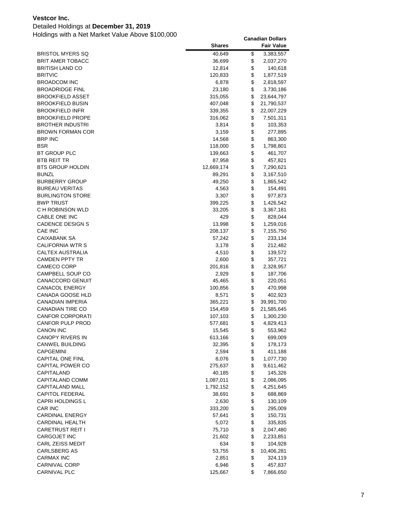### Detailed Holdings at **December 31, 2019**

|                                           | <b>Shares</b>    |          | <b>Fair Value</b>    |
|-------------------------------------------|------------------|----------|----------------------|
| <b>BRISTOL MYERS SQ</b>                   | 40,649           | \$       | 3,383,557            |
| <b>BRIT AMER TOBACC</b>                   | 36,699           | \$       | 2,037,270            |
| <b>BRITISH LAND CO</b>                    | 12,814           | \$       | 140,618              |
| <b>BRITVIC</b>                            | 120,833          | \$       | 1,877,519            |
| <b>BROADCOM INC</b>                       | 6,878            | \$       | 2,818,597            |
| <b>BROADRIDGE FINL</b>                    | 23,180           | \$       | 3,730,186            |
| BROOKFIELD ASSET                          | 315,055          | \$       | 23,644,797           |
| <b>BROOKFIELD BUSIN</b>                   | 407,048          | \$       | 21,790,537           |
| <b>BROOKFIELD INFR</b>                    | 339,355          | \$       | 22,007,229           |
| <b>BROOKFIELD PROPE</b>                   | 316,062          | \$       | 7,501,311            |
| <b>BROTHER INDUSTRI</b>                   | 3,814            | \$       | 103,353              |
| <b>BROWN FORMAN COR</b>                   | 3,159            | \$       | 277,895              |
| <b>BRP INC</b>                            | 14,568           | \$       | 863,300              |
| <b>BSR</b>                                | 118,000          | \$       | 1,798,801            |
| BT GROUP PLC                              | 139,663          | \$       | 461,707              |
| <b>BTB REIT TR</b>                        | 87,958           | \$       | 457,821              |
| <b>BTS GROUP HOLDIN</b>                   | 12,669,174       | \$       | 7,290,621            |
| <b>BUNZL</b>                              | 89,291           | \$       | 3,167,510            |
| <b>BURBERRY GROUP</b>                     | 49,250           | \$       | 1,865,542            |
| <b>BUREAU VERITAS</b>                     | 4,563            | \$       | 154,491              |
| <b>BURLINGTON STORE</b>                   | 3,307            | \$       | 977,873              |
| <b>BWP TRUST</b>                          | 399,225          | \$       | 1,426,542            |
| C H ROBINSON WLD                          | 33,205           | \$       | 3,367,181            |
| CABLE ONE INC                             | 429              | \$       | 828,044              |
| <b>CADENCE DESIGN S</b>                   | 13,998           | \$       | 1,259,016            |
| CAE INC                                   | 208,137          | \$       | 7,155,750            |
| <b>CAIXABANK SA</b>                       | 57,242           | \$       | 233,134              |
| CALIFORNIA WTR S                          | 3,178            | \$<br>\$ | 212,482              |
| CALTEX AUSTRALIA<br><b>CAMDEN PPTY TR</b> | 4,510            | \$       | 139,572              |
| CAMECO CORP                               | 2,600<br>201,816 | \$       | 357,721<br>2,328,957 |
| CAMPBELL SOUP CO                          | 2,929            | \$       | 187,706              |
| CANACCORD GENUIT                          | 45,465           | \$       | 220,051              |
| CANACOL ENERGY                            | 100,856          | \$       | 470,998              |
| CANADA GOOSE HLD                          | 8,571            | \$       | 402,923              |
| <b>CANADIAN IMPERIA</b>                   | 365,221          | \$       | 39,991,700           |
| <b>CANADIAN TIRE CO</b>                   | 154,459          | \$       | 21,585,645           |
| <b>CANFOR CORPORATI</b>                   | 107,103          | \$       | 1,300,230            |
| CANFOR PULP PROD                          | 577,681          | \$       | 4,829,413            |
| <b>CANON INC</b>                          | 15,545           | \$       | 553,962              |
| <b>CANOPY RIVERS IN</b>                   | 613,166          | \$       | 699,009              |
| <b>CANWEL BUILDING</b>                    | 32,395           | \$       | 178,173              |
| CAPGEMINI                                 | 2,594            | \$       | 411,188              |
| CAPITAL ONE FINL                          | 8,076            | \$       | 1,077,730            |
| <b>CAPITAL POWER CO</b>                   | 275,637          | \$       | 9,611,462            |
| CAPITALAND                                | 40,185           | \$       | 145,326              |
| CAPITALAND COMM                           | 1,087,011        | \$       | 2,086,095            |
| CAPITALAND MALL                           | 1,792,152        | \$       | 4,251,645            |
| CAPITOL FEDERAL                           | 38,691           | \$       | 688,869              |
| CAPRI HOLDINGS L                          | 2,630            | \$       | 130,109              |
| CAR INC                                   | 333,200          | \$       | 295,009              |
| <b>CARDINAL ENERGY</b>                    | 57,641           | \$       | 150,731              |
| <b>CARDINAL HEALTH</b>                    | 5,072            | \$       | 335,835              |
| CARETRUST REIT I                          | 75,710           | \$       | 2,047,480            |
| CARGOJET INC                              | 21,602           | \$       | 2,233,851            |
| CARL ZEISS MEDIT                          | 634              | \$       | 104,928              |
| <b>CARLSBERG AS</b>                       | 53,755           | \$       | 10,406,281           |
| <b>CARMAX INC</b>                         | 2,851            | \$       | 324,119              |
| <b>CARNIVAL CORP</b>                      | 6,946            | \$       | 457,837              |
| <b>CARNIVAL PLC</b>                       | 125,667          | \$       | 7,866,650            |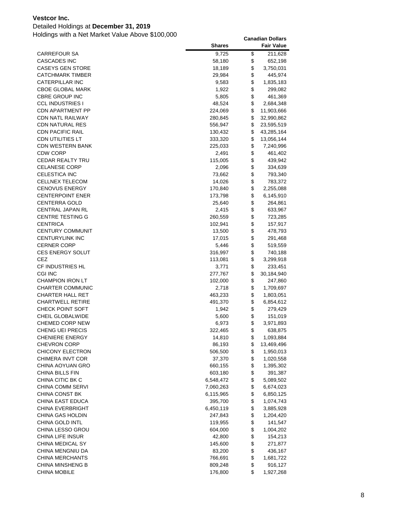### Detailed Holdings at **December 31, 2019**

|                                             | <b>Shares</b>     |          | <b>Fair Value</b>    |
|---------------------------------------------|-------------------|----------|----------------------|
| <b>CARREFOUR SA</b>                         | 9,725             | \$       | 211,628              |
| <b>CASCADES INC</b>                         | 58,180            | \$       | 652,198              |
| <b>CASEYS GEN STORE</b>                     | 18,189            | \$       | 3,750,031            |
| <b>CATCHMARK TIMBER</b>                     | 29,984            | \$       | 445,974              |
| CATERPILLAR INC                             | 9,583             | \$       | 1,835,183            |
| <b>CBOE GLOBAL MARK</b>                     | 1,922             | \$       | 299,082              |
| <b>CBRE GROUP INC</b>                       | 5,805             | \$       | 461,369              |
| <b>CCL INDUSTRIES I</b>                     | 48,524            | \$       | 2,684,348            |
| <b>CDN APARTMENT PP</b>                     | 224,069           | \$       | 11,903,666           |
| <b>CDN NATL RAILWAY</b>                     | 280,845           | \$       | 32,990,862           |
| <b>CDN NATURAL RES</b>                      | 556,947           | \$       | 23,595,519           |
| <b>CDN PACIFIC RAIL</b>                     | 130,432           | \$       | 43,285,164           |
| <b>CDN UTILITIES LT</b>                     | 333,320           | \$       | 13,056,144           |
| <b>CDN WESTERN BANK</b>                     | 225,033           | \$       | 7,240,996            |
| <b>CDW CORP</b>                             | 2,491             | \$       | 461,402              |
| CEDAR REALTY TRU                            | 115,005           | \$       | 439,942              |
| <b>CELANESE CORP</b>                        | 2,096             | \$       | 334,639              |
| CELESTICA INC                               | 73,662            | \$       | 793,340              |
| <b>CELLNEX TELECOM</b>                      | 14,026            | \$       | 783,372              |
| <b>CENOVUS ENERGY</b>                       | 170,840           | \$       | 2,255,088            |
| <b>CENTERPOINT ENER</b>                     | 173,798           | \$       | 6,145,910            |
| <b>CENTERRA GOLD</b>                        | 25,640            | \$       | 264,861              |
| <b>CENTRAL JAPAN RL</b>                     | 2,415             | \$       | 633,967              |
| <b>CENTRE TESTING G</b>                     | 260,559           | \$       | 723,285              |
| <b>CENTRICA</b>                             | 102,941           | \$       | 157,917              |
| <b>CENTURY COMMUNIT</b>                     | 13,500            | \$       | 478,793              |
| <b>CENTURYLINK INC</b>                      | 17,015            | \$       | 291,468              |
| <b>CERNER CORP</b>                          | 5,446             | \$       | 519,559              |
| <b>CES ENERGY SOLUT</b>                     | 316,997           | \$       | 740,188              |
| CEZ                                         | 113,081           | \$       | 3,299,918            |
| CF INDUSTRIES HL                            | 3,771             | \$       | 233,451              |
| CGI INC                                     | 277,767           | \$       | 30,184,940           |
| <b>CHAMPION IRON LT</b>                     | 102,000           | \$       | 247,860              |
| CHARTER COMMUNIC                            | 2,718             | \$       | 1,709,697            |
| <b>CHARTER HALL RET</b>                     | 463,233           | \$       | 1,803,051            |
| <b>CHARTWELL RETIRE</b>                     | 491,370           | \$       | 6,854,612            |
| CHECK POINT SOFT                            | 1,942             | \$       | 279,429              |
| CHEIL GLOBALWIDE                            | 5,600             | \$       | 151,019              |
| CHEMED CORP NEW                             | 6,973             | \$       | 3,971,893            |
| CHENG UEI PRECIS                            | 322,465           | \$       | 638,875              |
| <b>CHENIERE ENERGY</b>                      | 14,810            | \$       | 1,093,884            |
| <b>CHEVRON CORP</b>                         | 86,193            | \$       | 13,469,496           |
| <b>CHICONY ELECTRON</b>                     | 506,500           | \$       | 1,950,013            |
| CHIMERA INVT COR                            | 37,370            | \$       | 1,020,558            |
| CHINA AOYUAN GRO                            | 660,155           | \$       | 1,395,302            |
| CHINA BILLS FIN                             | 603,180           | \$       | 391,387              |
| CHINA CITIC BK C                            | 6,548,472         | \$       | 5,089,502            |
| CHINA COMM SERVI                            | 7,060,263         | \$       | 6,674,023            |
| <b>CHINA CONST BK</b>                       | 6,115,965         | \$       | 6,850,125            |
| CHINA EAST EDUCA<br><b>CHINA EVERBRIGHT</b> | 395,700           | \$<br>\$ | 1,074,743            |
|                                             | 6,450,119         |          | 3,885,928            |
| CHINA GAS HOLDIN<br>CHINA GOLD INTL         | 247,843           | \$       | 1,204,420            |
| CHINA LESSO GROU                            | 119,955           | \$<br>\$ | 141,547              |
| CHINA LIFE INSUR                            | 604,000<br>42,800 | \$       | 1,004,202<br>154,213 |
| CHINA MEDICAL SY                            | 145,600           | \$       | 271,877              |
| CHINA MENGNIU DA                            |                   | \$       | 436,167              |
| CHINA MERCHANTS                             | 83,200<br>766,691 | \$       | 1,681,722            |
| CHINA MINSHENG B                            | 809,248           | \$       | 916,127              |
| <b>CHINA MOBILE</b>                         | 176,800           | \$       | 1,927,268            |
|                                             |                   |          |                      |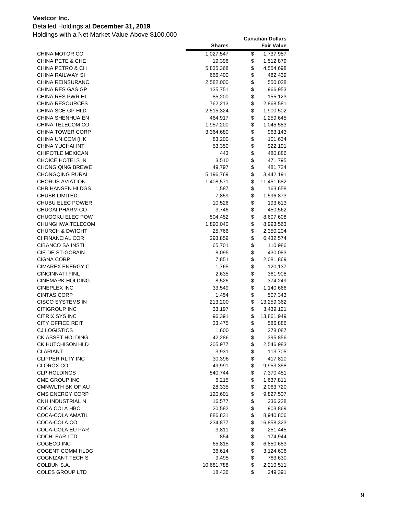### Detailed Holdings at **December 31, 2019**

|                             | <b>Shares</b> | <b>Fair Value</b> |
|-----------------------------|---------------|-------------------|
| CHINA MOTOR CO              | 1,027,547     | \$<br>1,737,987   |
| <b>CHINA PETE &amp; CHE</b> | 19,396        | \$<br>1,512,879   |
| CHINA PETRO & CH            | 5,835,368     | \$<br>4,554,698   |
| CHINA RAILWAY SI            | 666,400       | \$<br>482,439     |
| CHINA REINSURANC            | 2,582,000     | \$<br>550,028     |
| CHINA RES GAS GP            | 135,751       | \$<br>966,953     |
| CHINA RES PWR HL            | 85,200        | \$<br>155,123     |
| CHINA RESOURCES             | 762,213       | \$<br>2,868,581   |
| CHINA SCE GP HLD            | 2,515,324     | \$<br>1,900,502   |
| CHINA SHENHUA EN            | 464,917       | \$<br>1,259,645   |
| CHINA TELECOM CO            | 1,957,200     | \$<br>1,045,583   |
| <b>CHINA TOWER CORP</b>     | 3,364,680     | \$<br>963,143     |
| CHINA UNICOM (HK            | 83,200        | \$<br>101,634     |
| CHINA YUCHAI INT            | 53,350        | \$<br>922,191     |
| CHIPOTLE MEXICAN            | 443           | \$<br>480,886     |
| CHOICE HOTELS IN            | 3,510         | \$<br>471,795     |
| <b>CHONG QING BREWE</b>     | 49,797        | \$<br>481,724     |
| CHONGQING RURAL             | 5,196,769     | \$<br>3,442,191   |
| <b>CHORUS AVIATION</b>      | 1,408,571     | \$<br>11,451,682  |
| CHR.HANSEN HLDGS            | 1,587         | \$<br>163,658     |
| <b>CHUBB LIMITED</b>        | 7,859         | \$<br>1,596,873   |
| CHUBU ELEC POWER            | 10,526        | \$<br>193,613     |
| <b>CHUGAI PHARM CO</b>      | 3,746         | \$<br>450,562     |
| CHUGOKU ELEC POW            | 504,452       | \$<br>8,607,608   |
| CHUNGHWA TELECOM            | 1,890,040     | \$<br>8,993,563   |
| <b>CHURCH &amp; DWIGHT</b>  | 25,766        | \$<br>2,350,204   |
| CI FINANCIAL COR            | 293,859       | \$<br>6,432,574   |
| <b>CIBANCO SA INSTI</b>     | 65,701        | \$<br>110,986     |
| CIE DE ST-GOBAIN            | 8,095         | \$<br>430,083     |
| <b>CIGNA CORP</b>           | 7,851         | \$<br>2,081,869   |
| CIMAREX ENERGY C            | 1,765         | \$<br>120,137     |
| CINCINNATI FINL             | 2,635         | \$<br>361,908     |
| CINEMARK HOLDING            | 8,526         | \$<br>374,249     |
| <b>CINEPLEX INC</b>         | 33,549        | \$<br>1,140,666   |
| <b>CINTAS CORP</b>          | 1,454         | \$<br>507,343     |
| CISCO SYSTEMS IN            | 213,200       | \$<br>13,259,362  |
| <b>CITIGROUP INC</b>        | 33,197        | \$<br>3,439,121   |
| <b>CITRIX SYS INC</b>       | 96,391        | \$<br>13,861,949  |
| <b>CITY OFFICE REIT</b>     | 33,475        | \$<br>586,886     |
| <b>CJ LOGISTICS</b>         | 1,600         | \$<br>278,087     |
| CK ASSET HOLDING            | 42,286        | \$<br>395,856     |
| CK HUTCHISON HLD            | 205,977       | \$<br>2,546,983   |
| CLARIANT                    | 3,931         | \$<br>113,705     |
| <b>CLIPPER RLTY INC</b>     | 30,396        | \$<br>417,810     |
| <b>CLOROX CO</b>            | 49,991        | \$<br>9,953,358   |
| <b>CLP HOLDINGS</b>         | 540,744       | \$<br>7,370,451   |
| CME GROUP INC               | 6,215         | \$<br>1,637,811   |
| CMNWLTH BK OF AU            | 28,335        | \$<br>2,063,720   |
| CMS ENERGY CORP             | 120,601       | \$<br>9,827,507   |
| CNH INDUSTRIAL N            | 16,577        | \$<br>236,228     |
| COCA COLA HBC               | 20,582        | \$<br>903,869     |
| COCA-COLA AMATIL            | 886,831       | \$<br>8,940,806   |
| COCA-COLA CO                | 234,877       | \$<br>16,858,323  |
| COCA-COLA EU PAR            | 3,811         | \$<br>251,445     |
| <b>COCHLEAR LTD</b>         | 854           | \$<br>174,944     |
| COGECO INC                  | 65,815        | \$<br>6,850,683   |
| COGENT COMM HLDG            | 36,614        | \$<br>3,124,606   |
| COGNIZANT TECH S            | 9,495         | \$<br>763,630     |
| COLBUN S.A.                 | 10,681,788    | \$<br>2,210,511   |
| COLES GROUP LTD             | 18,436        | \$<br>249,391     |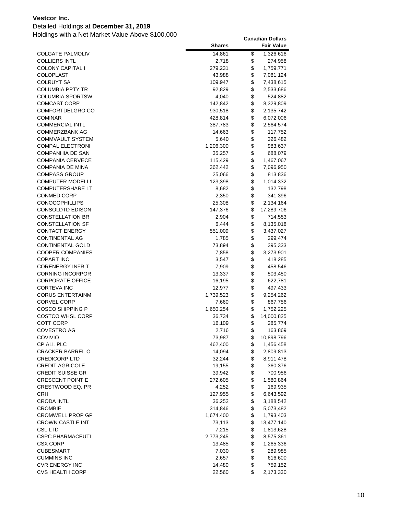### Detailed Holdings at **December 31, 2019**

| <b>COLGATE PALMOLIV</b><br>14,861<br>\$<br>1,326,616<br>\$<br><b>COLLIERS INTL</b><br>2,718<br>274,958<br>\$<br><b>COLONY CAPITAL I</b><br>279,231<br>1,759,771<br>\$<br>COLOPLAST<br>7,081,124<br>43,988<br>\$<br><b>COLRUYT SA</b><br>109,947<br>7,438,615<br>\$<br>COLUMBIA PPTY TR<br>92,829<br>2,533,686<br>\$<br>COLUMBIA SPORTSW<br>4,040<br>524,882<br>\$<br><b>COMCAST CORP</b><br>142,842<br>8,329,809<br>\$<br>COMFORTDELGRO CO<br>930,518<br>2,135,742<br>\$<br>COMINAR<br>428,814<br>6,072,006<br>\$<br><b>COMMERCIAL INTL</b><br>387,783<br>2,564,574<br>\$<br>COMMERZBANK AG<br>14,663<br>117,752<br>\$<br>COMMVAULT SYSTEM<br>5,640<br>326,482<br>\$<br><b>COMPAL ELECTRONI</b><br>1,206,300<br>983,637<br>\$<br><b>COMPANHIA DE SAN</b><br>35,257<br>688,079<br>\$<br><b>COMPANIA CERVECE</b><br>115,429<br>1,467,067<br>\$<br>COMPANIA DE MINA<br>362,442<br>7,096,950<br>\$<br><b>COMPASS GROUP</b><br>25,066<br>813,836<br>\$<br><b>COMPUTER MODELLI</b><br>123,398<br>1,014,332<br>\$<br><b>COMPUTERSHARE LT</b><br>8,682<br>132,798<br>\$<br>CONMED CORP<br>2,350<br>341,396<br>\$<br><b>CONOCOPHILLIPS</b><br>25,308<br>2,134,164<br>\$<br>CONSOLDTD EDISON<br>147,376<br>17,289,706<br>\$<br><b>CONSTELLATION BR</b><br>2,904<br>714,553<br>\$<br>CONSTELLATION SF<br>6,444<br>8,135,018<br>\$<br><b>CONTACT ENERGY</b><br>551,009<br>3,437,027<br>\$<br><b>CONTINENTAL AG</b><br>1,785<br>299,474<br>\$<br>CONTINENTAL GOLD<br>73,894<br>395,333<br>\$<br><b>COOPER COMPANIES</b><br>7,858<br>3,273,901<br>\$<br><b>COPART INC</b><br>3,547<br>418,285<br>\$<br>CORENERGY INFR T<br>7,909<br>458,546<br>\$<br><b>CORNING INCORPOR</b><br>13,337<br>503,450<br>\$<br><b>CORPORATE OFFICE</b><br>16,195<br>622,781<br>\$<br>CORTEVA INC<br>12,977<br>497,433<br>\$<br><b>CORUS ENTERTAINM</b><br>1,739,523<br>9,254,262<br>\$<br><b>CORVEL CORP</b><br>7,660<br>867,756<br>\$<br>COSCO SHIPPING P<br>1,650,254<br>1,752,225<br>\$<br>COSTCO WHSL CORP<br>36,734<br>14,000,825<br>\$<br><b>COTT CORP</b><br>16,109<br>285,774<br>\$<br><b>COVESTRO AG</b><br>163,869<br>2,716<br>\$<br>COVIVIO<br>73,987<br>10,898,796<br>\$<br>CP ALL PLC<br>462,400<br>1,456,458<br>\$<br><b>CRACKER BARREL O</b><br>14,094<br>2,809,813<br>\$<br><b>CREDICORP LTD</b><br>32,244<br>8,911,478<br>\$<br><b>CREDIT AGRICOLE</b><br>19,155<br>360,376<br>\$<br><b>CREDIT SUISSE GR</b><br>39,942<br>700,956<br>\$<br><b>CRESCENT POINT E</b><br>272,605<br>1,580,864<br>\$<br>CRESTWOOD EQ. PR<br>4,252<br>169,935<br>\$<br><b>CRH</b><br>127,955<br>6,643,592<br>\$<br><b>CRODA INTL</b><br>36,252<br>3,188,542<br>\$<br><b>CROMBIE</b><br>314,846<br>5,073,482<br>\$<br><b>CROMWELL PROP GP</b><br>1,674,400<br>1,793,403<br>\$<br><b>CROWN CASTLE INT</b><br>73,113<br>13,477,140<br>\$<br>CSL LTD<br>7,215<br>1,813,628<br>\$<br><b>CSPC PHARMACEUTI</b><br>2,773,245<br>8,575,361<br>\$<br><b>CSX CORP</b><br>13,485<br>1,265,336<br>\$<br>CUBESMART<br>7,030<br>289,985<br>\$<br><b>CUMMINS INC</b><br>2,657<br>616,600<br>\$<br><b>CVR ENERGY INC</b><br>14,480<br>759,152 |                        | <b>Shares</b> | <b>Fair Value</b> |
|----------------------------------------------------------------------------------------------------------------------------------------------------------------------------------------------------------------------------------------------------------------------------------------------------------------------------------------------------------------------------------------------------------------------------------------------------------------------------------------------------------------------------------------------------------------------------------------------------------------------------------------------------------------------------------------------------------------------------------------------------------------------------------------------------------------------------------------------------------------------------------------------------------------------------------------------------------------------------------------------------------------------------------------------------------------------------------------------------------------------------------------------------------------------------------------------------------------------------------------------------------------------------------------------------------------------------------------------------------------------------------------------------------------------------------------------------------------------------------------------------------------------------------------------------------------------------------------------------------------------------------------------------------------------------------------------------------------------------------------------------------------------------------------------------------------------------------------------------------------------------------------------------------------------------------------------------------------------------------------------------------------------------------------------------------------------------------------------------------------------------------------------------------------------------------------------------------------------------------------------------------------------------------------------------------------------------------------------------------------------------------------------------------------------------------------------------------------------------------------------------------------------------------------------------------------------------------------------------------------------------------------------------------------------------------------------------------------------------------------------------------------------------------------------------------------------------------------------------------------------------------------------------------------------------------------------------------------------------------------------------------------------------------------------------------------------------------------|------------------------|---------------|-------------------|
|                                                                                                                                                                                                                                                                                                                                                                                                                                                                                                                                                                                                                                                                                                                                                                                                                                                                                                                                                                                                                                                                                                                                                                                                                                                                                                                                                                                                                                                                                                                                                                                                                                                                                                                                                                                                                                                                                                                                                                                                                                                                                                                                                                                                                                                                                                                                                                                                                                                                                                                                                                                                                                                                                                                                                                                                                                                                                                                                                                                                                                                                                        |                        |               |                   |
|                                                                                                                                                                                                                                                                                                                                                                                                                                                                                                                                                                                                                                                                                                                                                                                                                                                                                                                                                                                                                                                                                                                                                                                                                                                                                                                                                                                                                                                                                                                                                                                                                                                                                                                                                                                                                                                                                                                                                                                                                                                                                                                                                                                                                                                                                                                                                                                                                                                                                                                                                                                                                                                                                                                                                                                                                                                                                                                                                                                                                                                                                        |                        |               |                   |
|                                                                                                                                                                                                                                                                                                                                                                                                                                                                                                                                                                                                                                                                                                                                                                                                                                                                                                                                                                                                                                                                                                                                                                                                                                                                                                                                                                                                                                                                                                                                                                                                                                                                                                                                                                                                                                                                                                                                                                                                                                                                                                                                                                                                                                                                                                                                                                                                                                                                                                                                                                                                                                                                                                                                                                                                                                                                                                                                                                                                                                                                                        |                        |               |                   |
|                                                                                                                                                                                                                                                                                                                                                                                                                                                                                                                                                                                                                                                                                                                                                                                                                                                                                                                                                                                                                                                                                                                                                                                                                                                                                                                                                                                                                                                                                                                                                                                                                                                                                                                                                                                                                                                                                                                                                                                                                                                                                                                                                                                                                                                                                                                                                                                                                                                                                                                                                                                                                                                                                                                                                                                                                                                                                                                                                                                                                                                                                        |                        |               |                   |
|                                                                                                                                                                                                                                                                                                                                                                                                                                                                                                                                                                                                                                                                                                                                                                                                                                                                                                                                                                                                                                                                                                                                                                                                                                                                                                                                                                                                                                                                                                                                                                                                                                                                                                                                                                                                                                                                                                                                                                                                                                                                                                                                                                                                                                                                                                                                                                                                                                                                                                                                                                                                                                                                                                                                                                                                                                                                                                                                                                                                                                                                                        |                        |               |                   |
|                                                                                                                                                                                                                                                                                                                                                                                                                                                                                                                                                                                                                                                                                                                                                                                                                                                                                                                                                                                                                                                                                                                                                                                                                                                                                                                                                                                                                                                                                                                                                                                                                                                                                                                                                                                                                                                                                                                                                                                                                                                                                                                                                                                                                                                                                                                                                                                                                                                                                                                                                                                                                                                                                                                                                                                                                                                                                                                                                                                                                                                                                        |                        |               |                   |
|                                                                                                                                                                                                                                                                                                                                                                                                                                                                                                                                                                                                                                                                                                                                                                                                                                                                                                                                                                                                                                                                                                                                                                                                                                                                                                                                                                                                                                                                                                                                                                                                                                                                                                                                                                                                                                                                                                                                                                                                                                                                                                                                                                                                                                                                                                                                                                                                                                                                                                                                                                                                                                                                                                                                                                                                                                                                                                                                                                                                                                                                                        |                        |               |                   |
|                                                                                                                                                                                                                                                                                                                                                                                                                                                                                                                                                                                                                                                                                                                                                                                                                                                                                                                                                                                                                                                                                                                                                                                                                                                                                                                                                                                                                                                                                                                                                                                                                                                                                                                                                                                                                                                                                                                                                                                                                                                                                                                                                                                                                                                                                                                                                                                                                                                                                                                                                                                                                                                                                                                                                                                                                                                                                                                                                                                                                                                                                        |                        |               |                   |
|                                                                                                                                                                                                                                                                                                                                                                                                                                                                                                                                                                                                                                                                                                                                                                                                                                                                                                                                                                                                                                                                                                                                                                                                                                                                                                                                                                                                                                                                                                                                                                                                                                                                                                                                                                                                                                                                                                                                                                                                                                                                                                                                                                                                                                                                                                                                                                                                                                                                                                                                                                                                                                                                                                                                                                                                                                                                                                                                                                                                                                                                                        |                        |               |                   |
|                                                                                                                                                                                                                                                                                                                                                                                                                                                                                                                                                                                                                                                                                                                                                                                                                                                                                                                                                                                                                                                                                                                                                                                                                                                                                                                                                                                                                                                                                                                                                                                                                                                                                                                                                                                                                                                                                                                                                                                                                                                                                                                                                                                                                                                                                                                                                                                                                                                                                                                                                                                                                                                                                                                                                                                                                                                                                                                                                                                                                                                                                        |                        |               |                   |
|                                                                                                                                                                                                                                                                                                                                                                                                                                                                                                                                                                                                                                                                                                                                                                                                                                                                                                                                                                                                                                                                                                                                                                                                                                                                                                                                                                                                                                                                                                                                                                                                                                                                                                                                                                                                                                                                                                                                                                                                                                                                                                                                                                                                                                                                                                                                                                                                                                                                                                                                                                                                                                                                                                                                                                                                                                                                                                                                                                                                                                                                                        |                        |               |                   |
|                                                                                                                                                                                                                                                                                                                                                                                                                                                                                                                                                                                                                                                                                                                                                                                                                                                                                                                                                                                                                                                                                                                                                                                                                                                                                                                                                                                                                                                                                                                                                                                                                                                                                                                                                                                                                                                                                                                                                                                                                                                                                                                                                                                                                                                                                                                                                                                                                                                                                                                                                                                                                                                                                                                                                                                                                                                                                                                                                                                                                                                                                        |                        |               |                   |
|                                                                                                                                                                                                                                                                                                                                                                                                                                                                                                                                                                                                                                                                                                                                                                                                                                                                                                                                                                                                                                                                                                                                                                                                                                                                                                                                                                                                                                                                                                                                                                                                                                                                                                                                                                                                                                                                                                                                                                                                                                                                                                                                                                                                                                                                                                                                                                                                                                                                                                                                                                                                                                                                                                                                                                                                                                                                                                                                                                                                                                                                                        |                        |               |                   |
|                                                                                                                                                                                                                                                                                                                                                                                                                                                                                                                                                                                                                                                                                                                                                                                                                                                                                                                                                                                                                                                                                                                                                                                                                                                                                                                                                                                                                                                                                                                                                                                                                                                                                                                                                                                                                                                                                                                                                                                                                                                                                                                                                                                                                                                                                                                                                                                                                                                                                                                                                                                                                                                                                                                                                                                                                                                                                                                                                                                                                                                                                        |                        |               |                   |
|                                                                                                                                                                                                                                                                                                                                                                                                                                                                                                                                                                                                                                                                                                                                                                                                                                                                                                                                                                                                                                                                                                                                                                                                                                                                                                                                                                                                                                                                                                                                                                                                                                                                                                                                                                                                                                                                                                                                                                                                                                                                                                                                                                                                                                                                                                                                                                                                                                                                                                                                                                                                                                                                                                                                                                                                                                                                                                                                                                                                                                                                                        |                        |               |                   |
|                                                                                                                                                                                                                                                                                                                                                                                                                                                                                                                                                                                                                                                                                                                                                                                                                                                                                                                                                                                                                                                                                                                                                                                                                                                                                                                                                                                                                                                                                                                                                                                                                                                                                                                                                                                                                                                                                                                                                                                                                                                                                                                                                                                                                                                                                                                                                                                                                                                                                                                                                                                                                                                                                                                                                                                                                                                                                                                                                                                                                                                                                        |                        |               |                   |
|                                                                                                                                                                                                                                                                                                                                                                                                                                                                                                                                                                                                                                                                                                                                                                                                                                                                                                                                                                                                                                                                                                                                                                                                                                                                                                                                                                                                                                                                                                                                                                                                                                                                                                                                                                                                                                                                                                                                                                                                                                                                                                                                                                                                                                                                                                                                                                                                                                                                                                                                                                                                                                                                                                                                                                                                                                                                                                                                                                                                                                                                                        |                        |               |                   |
|                                                                                                                                                                                                                                                                                                                                                                                                                                                                                                                                                                                                                                                                                                                                                                                                                                                                                                                                                                                                                                                                                                                                                                                                                                                                                                                                                                                                                                                                                                                                                                                                                                                                                                                                                                                                                                                                                                                                                                                                                                                                                                                                                                                                                                                                                                                                                                                                                                                                                                                                                                                                                                                                                                                                                                                                                                                                                                                                                                                                                                                                                        |                        |               |                   |
|                                                                                                                                                                                                                                                                                                                                                                                                                                                                                                                                                                                                                                                                                                                                                                                                                                                                                                                                                                                                                                                                                                                                                                                                                                                                                                                                                                                                                                                                                                                                                                                                                                                                                                                                                                                                                                                                                                                                                                                                                                                                                                                                                                                                                                                                                                                                                                                                                                                                                                                                                                                                                                                                                                                                                                                                                                                                                                                                                                                                                                                                                        |                        |               |                   |
|                                                                                                                                                                                                                                                                                                                                                                                                                                                                                                                                                                                                                                                                                                                                                                                                                                                                                                                                                                                                                                                                                                                                                                                                                                                                                                                                                                                                                                                                                                                                                                                                                                                                                                                                                                                                                                                                                                                                                                                                                                                                                                                                                                                                                                                                                                                                                                                                                                                                                                                                                                                                                                                                                                                                                                                                                                                                                                                                                                                                                                                                                        |                        |               |                   |
|                                                                                                                                                                                                                                                                                                                                                                                                                                                                                                                                                                                                                                                                                                                                                                                                                                                                                                                                                                                                                                                                                                                                                                                                                                                                                                                                                                                                                                                                                                                                                                                                                                                                                                                                                                                                                                                                                                                                                                                                                                                                                                                                                                                                                                                                                                                                                                                                                                                                                                                                                                                                                                                                                                                                                                                                                                                                                                                                                                                                                                                                                        |                        |               |                   |
|                                                                                                                                                                                                                                                                                                                                                                                                                                                                                                                                                                                                                                                                                                                                                                                                                                                                                                                                                                                                                                                                                                                                                                                                                                                                                                                                                                                                                                                                                                                                                                                                                                                                                                                                                                                                                                                                                                                                                                                                                                                                                                                                                                                                                                                                                                                                                                                                                                                                                                                                                                                                                                                                                                                                                                                                                                                                                                                                                                                                                                                                                        |                        |               |                   |
|                                                                                                                                                                                                                                                                                                                                                                                                                                                                                                                                                                                                                                                                                                                                                                                                                                                                                                                                                                                                                                                                                                                                                                                                                                                                                                                                                                                                                                                                                                                                                                                                                                                                                                                                                                                                                                                                                                                                                                                                                                                                                                                                                                                                                                                                                                                                                                                                                                                                                                                                                                                                                                                                                                                                                                                                                                                                                                                                                                                                                                                                                        |                        |               |                   |
|                                                                                                                                                                                                                                                                                                                                                                                                                                                                                                                                                                                                                                                                                                                                                                                                                                                                                                                                                                                                                                                                                                                                                                                                                                                                                                                                                                                                                                                                                                                                                                                                                                                                                                                                                                                                                                                                                                                                                                                                                                                                                                                                                                                                                                                                                                                                                                                                                                                                                                                                                                                                                                                                                                                                                                                                                                                                                                                                                                                                                                                                                        |                        |               |                   |
|                                                                                                                                                                                                                                                                                                                                                                                                                                                                                                                                                                                                                                                                                                                                                                                                                                                                                                                                                                                                                                                                                                                                                                                                                                                                                                                                                                                                                                                                                                                                                                                                                                                                                                                                                                                                                                                                                                                                                                                                                                                                                                                                                                                                                                                                                                                                                                                                                                                                                                                                                                                                                                                                                                                                                                                                                                                                                                                                                                                                                                                                                        |                        |               |                   |
|                                                                                                                                                                                                                                                                                                                                                                                                                                                                                                                                                                                                                                                                                                                                                                                                                                                                                                                                                                                                                                                                                                                                                                                                                                                                                                                                                                                                                                                                                                                                                                                                                                                                                                                                                                                                                                                                                                                                                                                                                                                                                                                                                                                                                                                                                                                                                                                                                                                                                                                                                                                                                                                                                                                                                                                                                                                                                                                                                                                                                                                                                        |                        |               |                   |
|                                                                                                                                                                                                                                                                                                                                                                                                                                                                                                                                                                                                                                                                                                                                                                                                                                                                                                                                                                                                                                                                                                                                                                                                                                                                                                                                                                                                                                                                                                                                                                                                                                                                                                                                                                                                                                                                                                                                                                                                                                                                                                                                                                                                                                                                                                                                                                                                                                                                                                                                                                                                                                                                                                                                                                                                                                                                                                                                                                                                                                                                                        |                        |               |                   |
|                                                                                                                                                                                                                                                                                                                                                                                                                                                                                                                                                                                                                                                                                                                                                                                                                                                                                                                                                                                                                                                                                                                                                                                                                                                                                                                                                                                                                                                                                                                                                                                                                                                                                                                                                                                                                                                                                                                                                                                                                                                                                                                                                                                                                                                                                                                                                                                                                                                                                                                                                                                                                                                                                                                                                                                                                                                                                                                                                                                                                                                                                        |                        |               |                   |
|                                                                                                                                                                                                                                                                                                                                                                                                                                                                                                                                                                                                                                                                                                                                                                                                                                                                                                                                                                                                                                                                                                                                                                                                                                                                                                                                                                                                                                                                                                                                                                                                                                                                                                                                                                                                                                                                                                                                                                                                                                                                                                                                                                                                                                                                                                                                                                                                                                                                                                                                                                                                                                                                                                                                                                                                                                                                                                                                                                                                                                                                                        |                        |               |                   |
|                                                                                                                                                                                                                                                                                                                                                                                                                                                                                                                                                                                                                                                                                                                                                                                                                                                                                                                                                                                                                                                                                                                                                                                                                                                                                                                                                                                                                                                                                                                                                                                                                                                                                                                                                                                                                                                                                                                                                                                                                                                                                                                                                                                                                                                                                                                                                                                                                                                                                                                                                                                                                                                                                                                                                                                                                                                                                                                                                                                                                                                                                        |                        |               |                   |
|                                                                                                                                                                                                                                                                                                                                                                                                                                                                                                                                                                                                                                                                                                                                                                                                                                                                                                                                                                                                                                                                                                                                                                                                                                                                                                                                                                                                                                                                                                                                                                                                                                                                                                                                                                                                                                                                                                                                                                                                                                                                                                                                                                                                                                                                                                                                                                                                                                                                                                                                                                                                                                                                                                                                                                                                                                                                                                                                                                                                                                                                                        |                        |               |                   |
|                                                                                                                                                                                                                                                                                                                                                                                                                                                                                                                                                                                                                                                                                                                                                                                                                                                                                                                                                                                                                                                                                                                                                                                                                                                                                                                                                                                                                                                                                                                                                                                                                                                                                                                                                                                                                                                                                                                                                                                                                                                                                                                                                                                                                                                                                                                                                                                                                                                                                                                                                                                                                                                                                                                                                                                                                                                                                                                                                                                                                                                                                        |                        |               |                   |
|                                                                                                                                                                                                                                                                                                                                                                                                                                                                                                                                                                                                                                                                                                                                                                                                                                                                                                                                                                                                                                                                                                                                                                                                                                                                                                                                                                                                                                                                                                                                                                                                                                                                                                                                                                                                                                                                                                                                                                                                                                                                                                                                                                                                                                                                                                                                                                                                                                                                                                                                                                                                                                                                                                                                                                                                                                                                                                                                                                                                                                                                                        |                        |               |                   |
|                                                                                                                                                                                                                                                                                                                                                                                                                                                                                                                                                                                                                                                                                                                                                                                                                                                                                                                                                                                                                                                                                                                                                                                                                                                                                                                                                                                                                                                                                                                                                                                                                                                                                                                                                                                                                                                                                                                                                                                                                                                                                                                                                                                                                                                                                                                                                                                                                                                                                                                                                                                                                                                                                                                                                                                                                                                                                                                                                                                                                                                                                        |                        |               |                   |
|                                                                                                                                                                                                                                                                                                                                                                                                                                                                                                                                                                                                                                                                                                                                                                                                                                                                                                                                                                                                                                                                                                                                                                                                                                                                                                                                                                                                                                                                                                                                                                                                                                                                                                                                                                                                                                                                                                                                                                                                                                                                                                                                                                                                                                                                                                                                                                                                                                                                                                                                                                                                                                                                                                                                                                                                                                                                                                                                                                                                                                                                                        |                        |               |                   |
|                                                                                                                                                                                                                                                                                                                                                                                                                                                                                                                                                                                                                                                                                                                                                                                                                                                                                                                                                                                                                                                                                                                                                                                                                                                                                                                                                                                                                                                                                                                                                                                                                                                                                                                                                                                                                                                                                                                                                                                                                                                                                                                                                                                                                                                                                                                                                                                                                                                                                                                                                                                                                                                                                                                                                                                                                                                                                                                                                                                                                                                                                        |                        |               |                   |
|                                                                                                                                                                                                                                                                                                                                                                                                                                                                                                                                                                                                                                                                                                                                                                                                                                                                                                                                                                                                                                                                                                                                                                                                                                                                                                                                                                                                                                                                                                                                                                                                                                                                                                                                                                                                                                                                                                                                                                                                                                                                                                                                                                                                                                                                                                                                                                                                                                                                                                                                                                                                                                                                                                                                                                                                                                                                                                                                                                                                                                                                                        |                        |               |                   |
|                                                                                                                                                                                                                                                                                                                                                                                                                                                                                                                                                                                                                                                                                                                                                                                                                                                                                                                                                                                                                                                                                                                                                                                                                                                                                                                                                                                                                                                                                                                                                                                                                                                                                                                                                                                                                                                                                                                                                                                                                                                                                                                                                                                                                                                                                                                                                                                                                                                                                                                                                                                                                                                                                                                                                                                                                                                                                                                                                                                                                                                                                        |                        |               |                   |
|                                                                                                                                                                                                                                                                                                                                                                                                                                                                                                                                                                                                                                                                                                                                                                                                                                                                                                                                                                                                                                                                                                                                                                                                                                                                                                                                                                                                                                                                                                                                                                                                                                                                                                                                                                                                                                                                                                                                                                                                                                                                                                                                                                                                                                                                                                                                                                                                                                                                                                                                                                                                                                                                                                                                                                                                                                                                                                                                                                                                                                                                                        |                        |               |                   |
|                                                                                                                                                                                                                                                                                                                                                                                                                                                                                                                                                                                                                                                                                                                                                                                                                                                                                                                                                                                                                                                                                                                                                                                                                                                                                                                                                                                                                                                                                                                                                                                                                                                                                                                                                                                                                                                                                                                                                                                                                                                                                                                                                                                                                                                                                                                                                                                                                                                                                                                                                                                                                                                                                                                                                                                                                                                                                                                                                                                                                                                                                        |                        |               |                   |
|                                                                                                                                                                                                                                                                                                                                                                                                                                                                                                                                                                                                                                                                                                                                                                                                                                                                                                                                                                                                                                                                                                                                                                                                                                                                                                                                                                                                                                                                                                                                                                                                                                                                                                                                                                                                                                                                                                                                                                                                                                                                                                                                                                                                                                                                                                                                                                                                                                                                                                                                                                                                                                                                                                                                                                                                                                                                                                                                                                                                                                                                                        |                        |               |                   |
|                                                                                                                                                                                                                                                                                                                                                                                                                                                                                                                                                                                                                                                                                                                                                                                                                                                                                                                                                                                                                                                                                                                                                                                                                                                                                                                                                                                                                                                                                                                                                                                                                                                                                                                                                                                                                                                                                                                                                                                                                                                                                                                                                                                                                                                                                                                                                                                                                                                                                                                                                                                                                                                                                                                                                                                                                                                                                                                                                                                                                                                                                        |                        |               |                   |
|                                                                                                                                                                                                                                                                                                                                                                                                                                                                                                                                                                                                                                                                                                                                                                                                                                                                                                                                                                                                                                                                                                                                                                                                                                                                                                                                                                                                                                                                                                                                                                                                                                                                                                                                                                                                                                                                                                                                                                                                                                                                                                                                                                                                                                                                                                                                                                                                                                                                                                                                                                                                                                                                                                                                                                                                                                                                                                                                                                                                                                                                                        |                        |               |                   |
|                                                                                                                                                                                                                                                                                                                                                                                                                                                                                                                                                                                                                                                                                                                                                                                                                                                                                                                                                                                                                                                                                                                                                                                                                                                                                                                                                                                                                                                                                                                                                                                                                                                                                                                                                                                                                                                                                                                                                                                                                                                                                                                                                                                                                                                                                                                                                                                                                                                                                                                                                                                                                                                                                                                                                                                                                                                                                                                                                                                                                                                                                        |                        |               |                   |
|                                                                                                                                                                                                                                                                                                                                                                                                                                                                                                                                                                                                                                                                                                                                                                                                                                                                                                                                                                                                                                                                                                                                                                                                                                                                                                                                                                                                                                                                                                                                                                                                                                                                                                                                                                                                                                                                                                                                                                                                                                                                                                                                                                                                                                                                                                                                                                                                                                                                                                                                                                                                                                                                                                                                                                                                                                                                                                                                                                                                                                                                                        |                        |               |                   |
|                                                                                                                                                                                                                                                                                                                                                                                                                                                                                                                                                                                                                                                                                                                                                                                                                                                                                                                                                                                                                                                                                                                                                                                                                                                                                                                                                                                                                                                                                                                                                                                                                                                                                                                                                                                                                                                                                                                                                                                                                                                                                                                                                                                                                                                                                                                                                                                                                                                                                                                                                                                                                                                                                                                                                                                                                                                                                                                                                                                                                                                                                        |                        |               |                   |
|                                                                                                                                                                                                                                                                                                                                                                                                                                                                                                                                                                                                                                                                                                                                                                                                                                                                                                                                                                                                                                                                                                                                                                                                                                                                                                                                                                                                                                                                                                                                                                                                                                                                                                                                                                                                                                                                                                                                                                                                                                                                                                                                                                                                                                                                                                                                                                                                                                                                                                                                                                                                                                                                                                                                                                                                                                                                                                                                                                                                                                                                                        |                        |               |                   |
|                                                                                                                                                                                                                                                                                                                                                                                                                                                                                                                                                                                                                                                                                                                                                                                                                                                                                                                                                                                                                                                                                                                                                                                                                                                                                                                                                                                                                                                                                                                                                                                                                                                                                                                                                                                                                                                                                                                                                                                                                                                                                                                                                                                                                                                                                                                                                                                                                                                                                                                                                                                                                                                                                                                                                                                                                                                                                                                                                                                                                                                                                        |                        |               |                   |
|                                                                                                                                                                                                                                                                                                                                                                                                                                                                                                                                                                                                                                                                                                                                                                                                                                                                                                                                                                                                                                                                                                                                                                                                                                                                                                                                                                                                                                                                                                                                                                                                                                                                                                                                                                                                                                                                                                                                                                                                                                                                                                                                                                                                                                                                                                                                                                                                                                                                                                                                                                                                                                                                                                                                                                                                                                                                                                                                                                                                                                                                                        |                        |               |                   |
|                                                                                                                                                                                                                                                                                                                                                                                                                                                                                                                                                                                                                                                                                                                                                                                                                                                                                                                                                                                                                                                                                                                                                                                                                                                                                                                                                                                                                                                                                                                                                                                                                                                                                                                                                                                                                                                                                                                                                                                                                                                                                                                                                                                                                                                                                                                                                                                                                                                                                                                                                                                                                                                                                                                                                                                                                                                                                                                                                                                                                                                                                        |                        |               |                   |
|                                                                                                                                                                                                                                                                                                                                                                                                                                                                                                                                                                                                                                                                                                                                                                                                                                                                                                                                                                                                                                                                                                                                                                                                                                                                                                                                                                                                                                                                                                                                                                                                                                                                                                                                                                                                                                                                                                                                                                                                                                                                                                                                                                                                                                                                                                                                                                                                                                                                                                                                                                                                                                                                                                                                                                                                                                                                                                                                                                                                                                                                                        |                        |               |                   |
|                                                                                                                                                                                                                                                                                                                                                                                                                                                                                                                                                                                                                                                                                                                                                                                                                                                                                                                                                                                                                                                                                                                                                                                                                                                                                                                                                                                                                                                                                                                                                                                                                                                                                                                                                                                                                                                                                                                                                                                                                                                                                                                                                                                                                                                                                                                                                                                                                                                                                                                                                                                                                                                                                                                                                                                                                                                                                                                                                                                                                                                                                        |                        |               |                   |
|                                                                                                                                                                                                                                                                                                                                                                                                                                                                                                                                                                                                                                                                                                                                                                                                                                                                                                                                                                                                                                                                                                                                                                                                                                                                                                                                                                                                                                                                                                                                                                                                                                                                                                                                                                                                                                                                                                                                                                                                                                                                                                                                                                                                                                                                                                                                                                                                                                                                                                                                                                                                                                                                                                                                                                                                                                                                                                                                                                                                                                                                                        |                        |               |                   |
|                                                                                                                                                                                                                                                                                                                                                                                                                                                                                                                                                                                                                                                                                                                                                                                                                                                                                                                                                                                                                                                                                                                                                                                                                                                                                                                                                                                                                                                                                                                                                                                                                                                                                                                                                                                                                                                                                                                                                                                                                                                                                                                                                                                                                                                                                                                                                                                                                                                                                                                                                                                                                                                                                                                                                                                                                                                                                                                                                                                                                                                                                        |                        |               |                   |
|                                                                                                                                                                                                                                                                                                                                                                                                                                                                                                                                                                                                                                                                                                                                                                                                                                                                                                                                                                                                                                                                                                                                                                                                                                                                                                                                                                                                                                                                                                                                                                                                                                                                                                                                                                                                                                                                                                                                                                                                                                                                                                                                                                                                                                                                                                                                                                                                                                                                                                                                                                                                                                                                                                                                                                                                                                                                                                                                                                                                                                                                                        |                        |               |                   |
|                                                                                                                                                                                                                                                                                                                                                                                                                                                                                                                                                                                                                                                                                                                                                                                                                                                                                                                                                                                                                                                                                                                                                                                                                                                                                                                                                                                                                                                                                                                                                                                                                                                                                                                                                                                                                                                                                                                                                                                                                                                                                                                                                                                                                                                                                                                                                                                                                                                                                                                                                                                                                                                                                                                                                                                                                                                                                                                                                                                                                                                                                        |                        |               |                   |
|                                                                                                                                                                                                                                                                                                                                                                                                                                                                                                                                                                                                                                                                                                                                                                                                                                                                                                                                                                                                                                                                                                                                                                                                                                                                                                                                                                                                                                                                                                                                                                                                                                                                                                                                                                                                                                                                                                                                                                                                                                                                                                                                                                                                                                                                                                                                                                                                                                                                                                                                                                                                                                                                                                                                                                                                                                                                                                                                                                                                                                                                                        |                        |               |                   |
|                                                                                                                                                                                                                                                                                                                                                                                                                                                                                                                                                                                                                                                                                                                                                                                                                                                                                                                                                                                                                                                                                                                                                                                                                                                                                                                                                                                                                                                                                                                                                                                                                                                                                                                                                                                                                                                                                                                                                                                                                                                                                                                                                                                                                                                                                                                                                                                                                                                                                                                                                                                                                                                                                                                                                                                                                                                                                                                                                                                                                                                                                        |                        |               |                   |
|                                                                                                                                                                                                                                                                                                                                                                                                                                                                                                                                                                                                                                                                                                                                                                                                                                                                                                                                                                                                                                                                                                                                                                                                                                                                                                                                                                                                                                                                                                                                                                                                                                                                                                                                                                                                                                                                                                                                                                                                                                                                                                                                                                                                                                                                                                                                                                                                                                                                                                                                                                                                                                                                                                                                                                                                                                                                                                                                                                                                                                                                                        | <b>CVS HEALTH CORP</b> | 22,560        | \$<br>2,173,330   |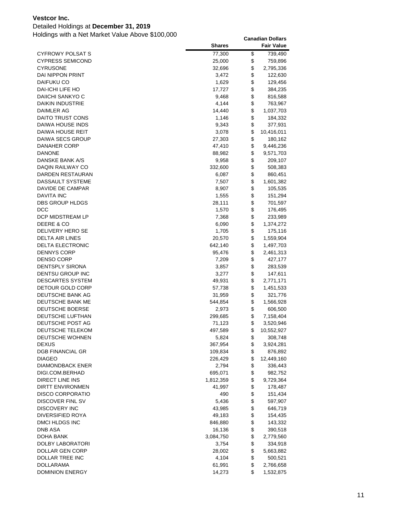### Detailed Holdings at **December 31, 2019**

|                         | <b>Shares</b> | <b>Fair Value</b> |
|-------------------------|---------------|-------------------|
| <b>CYFROWY POLSAT S</b> | 77,300        | \$<br>739,490     |
| <b>CYPRESS SEMICOND</b> | 25,000        | \$<br>759,896     |
| <b>CYRUSONE</b>         | 32,696        | \$<br>2,795,336   |
| DAI NIPPON PRINT        | 3,472         | \$<br>122,630     |
| DAIFUKU CO              | 1,629         | \$<br>129,456     |
| DAI-ICHI LIFE HO        | 17,727        | \$<br>384,235     |
| DAIICHI SANKYO C        | 9,468         | \$<br>816,588     |
| <b>DAIKIN INDUSTRIE</b> | 4,144         | \$<br>763,967     |
| DAIMLER AG              | 14,440        | \$<br>1,037,703   |
| DAITO TRUST CONS        | 1,146         | \$<br>184,332     |
| DAIWA HOUSE INDS        | 9,343         | \$<br>377,931     |
| DAIWA HOUSE REIT        | 3,078         | \$<br>10,416,011  |
| DAIWA SECS GROUP        | 27,303        | \$<br>180,162     |
| DANAHER CORP            | 47,410        | \$<br>9,446,236   |
| <b>DANONE</b>           | 88,982        | \$<br>9,571,703   |
| DANSKE BANK A/S         | 9,958         | \$<br>209,107     |
| DAQIN RAILWAY CO        | 332,600       | \$<br>508,383     |
| DARDEN RESTAURAN        | 6,087         | \$<br>860,451     |
| <b>DASSAULT SYSTEME</b> | 7,507         | \$<br>1,601,382   |
| DAVIDE DE CAMPAR        | 8,907         | \$<br>105,535     |
| <b>DAVITA INC</b>       | 1,555         | \$<br>151,294     |
| DBS GROUP HLDGS         | 28,111        | \$<br>701,597     |
| DCC                     | 1,570         | \$<br>176,495     |
| DCP MIDSTREAM LP        | 7,368         | \$<br>233,989     |
| DEERE & CO              | 6,090         | \$<br>1,374,272   |
| DELIVERY HERO SE        | 1,705         | \$<br>175,116     |
| DELTA AIR LINES         | 20,570        | \$<br>1,559,904   |
| <b>DELTA ELECTRONIC</b> | 642,140       | \$<br>1,497,703   |
| <b>DENNYS CORP</b>      | 95,476        | \$<br>2,461,313   |
| <b>DENSO CORP</b>       | 7,209         | \$<br>427,177     |
| DENTSPLY SIRONA         | 3,857         | \$<br>283,539     |
| DENTSU GROUP INC        | 3,277         | \$<br>147,611     |
| DESCARTES SYSTEM        | 49,931        | \$<br>2,771,171   |
| DETOUR GOLD CORP        | 57,738        | \$<br>1,451,533   |
| DEUTSCHE BANK AG        | 31,959        | \$<br>321,776     |
| DEUTSCHE BANK ME        | 544,854       | \$<br>1,566,928   |
| DEUTSCHE BOERSE         | 2,973         | \$<br>606,500     |
| DEUTSCHE LUFTHAN        | 299,685       | \$<br>7,158,404   |
| DEUTSCHE POST AG        | 71,123        | \$<br>3,520,946   |
| DEUTSCHE TELEKOM        | 497,589       | \$<br>10,552,927  |
| DEUTSCHE WOHNEN         | 5,824         | \$<br>308,748     |
| <b>DEXUS</b>            | 367,954       | \$<br>3,924,281   |
| <b>DGB FINANCIAL GR</b> | 109,834       | \$<br>876,892     |
| <b>DIAGEO</b>           | 226,429       | \$<br>12,449,160  |
| DIAMONDBACK ENER        | 2,794         | \$<br>336,443     |
| DIGI.COM.BERHAD         | 695,071       | \$<br>982,752     |
| DIRECT LINE INS         | 1,812,359     | \$<br>9,729,364   |
| <b>DIRTT ENVIRONMEN</b> | 41,997        | \$<br>178,487     |
| <b>DISCO CORPORATIO</b> | 490           | \$<br>151,434     |
| DISCOVER FINL SV        | 5,436         | \$<br>597,907     |
| <b>DISCOVERY INC</b>    | 43,985        | \$<br>646,719     |
| DIVERSIFIED ROYA        | 49,183        | \$<br>154,435     |
| DMCI HLDGS INC          | 846,880       | \$<br>143,332     |
| <b>DNB ASA</b>          | 16,136        | \$<br>390,518     |
| DOHA BANK               | 3,084,750     | \$<br>2,779,560   |
| DOLBY LABORATORI        | 3,754         | \$<br>334,918     |
| DOLLAR GEN CORP         | 28,002        | \$<br>5,663,882   |
| DOLLAR TREE INC         | 4,104         | \$<br>500,521     |
| <b>DOLLARAMA</b>        | 61,991        | \$<br>2,766,658   |
| <b>DOMINION ENERGY</b>  | 14,273        | \$<br>1,532,875   |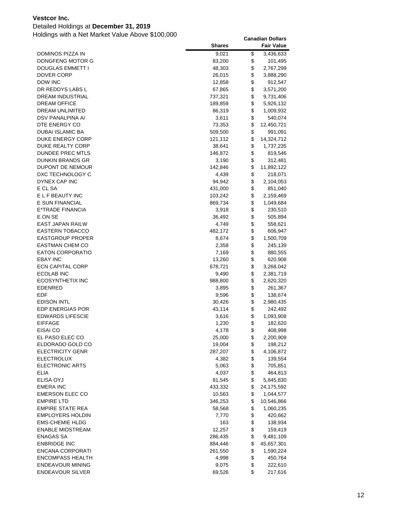### Detailed Holdings at **December 31, 2019**

|                         | <b>Shares</b> | <b>Fair Value</b> |
|-------------------------|---------------|-------------------|
| DOMINOS PIZZA IN        | 9,021         | \$<br>3,436,633   |
| DONGFENG MOTOR G        | 83,200        | \$<br>101,495     |
| DOUGLAS EMMETT I        | 48,303        | \$<br>2,767,299   |
| DOVER CORP              | 26,015        | \$<br>3,888,290   |
| DOW INC                 | 12,858        | \$<br>912,547     |
| DR REDDYS LABS L        | 67,865        | \$<br>3,571,200   |
| DREAM INDUSTRIAL        | 737,321       | \$<br>9,731,406   |
| <b>DREAM OFFICE</b>     | 189,859       | \$<br>5,926,132   |
| DREAM UNLIMITED         | 86,319        | \$<br>1,009,932   |
| DSV PANALPINA A/        | 3,611         | \$<br>540,074     |
| DTE ENERGY CO           | 73,353        | \$<br>12,450,721  |
| <b>DUBAI ISLAMIC BA</b> | 509,500       | \$<br>991,091     |
| DUKE ENERGY CORP        | 121,112       | \$<br>14,324,712  |
| DUKE REALTY CORP        | 38,641        | \$<br>1,737,235   |
| DUNDEE PREC MTLS        | 146,872       | \$<br>819,546     |
| DUNKIN BRANDS GR        | 3,190         | \$<br>312,481     |
| DUPONT DE NEMOUR        | 142,846       | \$<br>11,892,122  |
| DXC TECHNOLOGY C        | 4,439         | \$<br>218,071     |
| <b>DYNEX CAP INC</b>    | 94,942        | \$<br>2,104,053   |
| E CL SA                 | 431,000       | \$<br>851,040     |
| E L F BEAUTY INC        | 103,242       | \$<br>2,159,469   |
| E SUN FINANCIAL         | 869,734       | \$<br>1,049,684   |
| E*TRADE FINANCIA        | 3,918         | \$<br>230,510     |
| E.ON SE                 | 36,492        | \$<br>505,894     |
| <b>EAST JAPAN RAILW</b> | 4,749         | \$<br>558,621     |
| <b>EASTERN TOBACCO</b>  | 482,172       | \$<br>606,947     |
| <b>EASTGROUP PROPER</b> | 8,674         | \$<br>1,500,709   |
| <b>EASTMAN CHEM CO</b>  | 2,358         | \$<br>245,139     |
| <b>EATON CORPORATIO</b> | 7,169         | \$<br>880,555     |
| <b>EBAY INC</b>         | 13,260        | \$<br>620,908     |
| <b>ECN CAPITAL CORP</b> | 678,721       | \$<br>3,268,042   |
| ECOLAB INC              | 9,490         | \$<br>2,381,719   |
| ECOSYNTHETIX INC        | 988,800       | \$<br>2,620,320   |
| EDENRED                 | 3,895         | \$<br>261,367     |
| EDF                     | 9,596         | \$<br>138,674     |
| <b>EDISON INTL</b>      | 30,426        | \$<br>2,980,435   |
| <b>EDP ENERGIAS POR</b> | 43,114        | \$<br>242,492     |
| <b>EDWARDS LIFESCIE</b> | 3,616         | \$<br>1,093,908   |
| <b>EIFFAGE</b>          | 1,230         | \$<br>182,620     |
| EISAI CO                | 4,178         | \$<br>408,998     |
| EL PASO ELEC CO         | 25,000        | \$<br>2,200,909   |
| ELDORADO GOLD CO        | 19,004        | \$<br>198,212     |
| <b>ELECTRICITY GENR</b> | 287,207       | \$<br>4,106,872   |
| <b>ELECTROLUX</b>       | 4,382         | \$<br>139,554     |
| <b>ELECTRONIC ARTS</b>  | 5,063         | \$<br>705,851     |
| ELIA                    | 4,037         | \$<br>464,813     |
| ELISA OYJ               | 81,545        | \$<br>5,845,830   |
| <b>EMERA INC</b>        | 433,332       | \$<br>24,175,592  |
| <b>EMERSON ELEC CO</b>  | 10,563        | \$<br>1,044,577   |
| <b>EMPIRE LTD</b>       | 346,253       | \$<br>10,546,866  |
| <b>EMPIRE STATE REA</b> | 58,568        | \$<br>1,060,235   |
| <b>EMPLOYERS HOLDIN</b> | 7,770         | \$<br>420,662     |
| <b>EMS-CHEMIE HLDG</b>  | 163           | \$<br>138,934     |
| <b>ENABLE MIDSTREAM</b> | 12,257        | \$<br>159,419     |
| <b>ENAGAS SA</b>        | 286,435       | \$<br>9,481,109   |
| <b>ENBRIDGE INC</b>     | 884,446       | \$<br>45,657,301  |
| <b>ENCANA CORPORATI</b> | 261,550       | \$<br>1,590,224   |
| <b>ENCOMPASS HEALTH</b> | 4,998         | \$<br>450,764     |
| <b>ENDEAVOUR MINING</b> | 9,075         | \$<br>222,610     |
| <b>ENDEAVOUR SILVER</b> | 69,526        | \$<br>217,616     |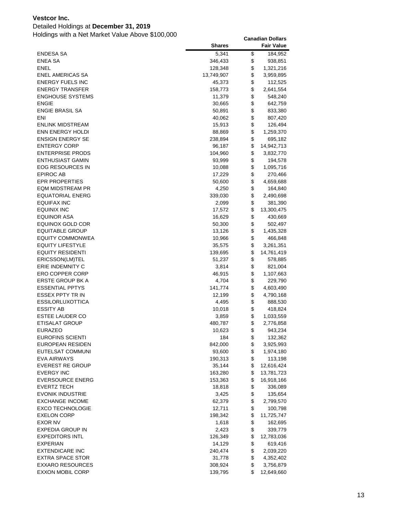### Detailed Holdings at **December 31, 2019**

|                                             | <b>Shares</b>     |          | <b>Fair Value</b>      |
|---------------------------------------------|-------------------|----------|------------------------|
| ENDESA SA                                   | 5,341             | \$       | 184,952                |
| <b>ENEA SA</b>                              | 346,433           | \$       | 938,851                |
| ENEL                                        | 128,348           | \$       | 1,321,216              |
| <b>ENEL AMERICAS SA</b>                     | 13,749,907        | \$       | 3,959,895              |
| ENERGY FUELS INC                            | 45,373            | \$       | 112,525                |
| <b>ENERGY TRANSFER</b>                      | 158,773           | \$       | 2,641,554              |
| <b>ENGHOUSE SYSTEMS</b>                     | 11,379            | \$       | 548,240                |
| <b>ENGIE</b>                                | 30,665            | \$       | 642,759                |
| <b>ENGIE BRASIL SA</b>                      | 50,891            | \$       | 833,380                |
| ENI                                         | 40,062            | \$       | 807,420                |
| ENLINK MIDSTREAM                            | 15,913            | \$       | 126,494                |
| <b>ENN ENERGY HOLDI</b>                     | 88,869            | \$       | 1,259,370              |
| <b>ENSIGN ENERGY SE</b>                     | 238,894           | \$       | 695,182                |
| <b>ENTERGY CORP</b>                         | 96,187            | \$       | 14,942,713             |
| <b>ENTERPRISE PRODS</b>                     | 104,960           | \$       | 3,832,770              |
| ENTHUSIAST GAMIN                            | 93,999            | \$       | 194,578                |
| EOG RESOURCES IN                            | 10,088            | \$       | 1,095,716              |
| EPIROC AB                                   | 17,229            | \$       | 270,466                |
| <b>EPR PROPERTIES</b>                       | 50,600            | \$       | 4,659,688              |
| <b>EQM MIDSTREAM PR</b>                     | 4,250             | \$       | 164,840                |
| <b>EQUATORIAL ENERG</b>                     | 339,030           | \$       | 2,490,698              |
| EQUIFAX INC                                 | 2,099             | \$       | 381,390                |
| EQUINIX INC                                 | 17,572            | \$       | 13,300,475             |
| EQUINOR ASA                                 | 16,629            | \$       | 430,669                |
| EQUINOX GOLD COR                            | 50,300            | \$       | 502,497                |
| <b>EQUITABLE GROUP</b>                      | 13,126            | \$       | 1,435,328              |
| <b>EQUITY COMMONWEA</b>                     | 10,966            | \$       | 466,848                |
| <b>EQUITY LIFESTYLE</b>                     | 35,575            | \$       | 3,261,351              |
| <b>EQUITY RESIDENTI</b>                     | 139,695           | \$       | 14,761,419             |
| ERICSSON(LM)TEL                             | 51,237            | \$       | 578,885                |
| ERIE INDEMNITY C                            | 3,814             | \$       | 821,004                |
| <b>ERO COPPER CORP</b>                      | 46,915            | \$       | 1,107,663              |
| ERSTE GROUP BK A                            | 4,704             | \$       | 229,790                |
| <b>ESSENTIAL PPTYS</b>                      | 141,774           | \$       | 4,603,490              |
| ESSEX PPTY TR IN                            | 12,199            | \$       | 4,790,168              |
| <b>ESSILORLUXOTTICA</b>                     | 4,495             | \$       | 888,530                |
| <b>ESSITY AB</b>                            | 10,018            | \$       | 418,824                |
| <b>ESTEE LAUDER CO</b>                      | 3,859             | \$       | 1,033,559              |
| <b>ETISALAT GROUP</b>                       | 480,787           | \$       | 2,776,858              |
| <b>EURAZEO</b>                              | 10,623            | \$       | 943,234                |
| <b>EUROFINS SCIENTI</b>                     | 184               | \$       | 132,362                |
| <b>EUROPEAN RESIDEN</b>                     | 842,000           | \$       | 3,925,993              |
| EUTELSAT COMMUNI                            | 93,600            | \$       | 1,974,180              |
| EVA AIRWAYS                                 | 190,313           | \$       | 113,198                |
| <b>EVEREST RE GROUP</b>                     | 35,144            | \$       | 12,616,424             |
| <b>EVERGY INC</b>                           | 163,280           | \$       | 13,781,723             |
| <b>EVERSOURCE ENERG</b>                     | 153,363           | \$       | 16,918,166             |
| <b>EVERTZ TECH</b>                          | 18,818            | \$       | 336,089                |
| EVONIK INDUSTRIE                            | 3,425             | \$       | 135,654                |
| <b>EXCHANGE INCOME</b>                      | 62,379            | \$       | 2,799,570              |
| <b>EXCO TECHNOLOGIE</b>                     | 12,711            | \$       | 100,798                |
| <b>EXELON CORP</b>                          | 198,342           | \$       | 11,725,747             |
| <b>EXOR NV</b>                              | 1,618             | \$       | 162,695                |
| EXPEDIA GROUP IN                            | 2,423             | \$       | 339,779                |
| <b>EXPEDITORS INTL</b>                      | 126,349           | \$       | 12,783,036             |
| EXPERIAN                                    | 14,129            | \$       | 619,416                |
| <b>EXTENDICARE INC</b>                      | 240,474           | \$<br>\$ | 2,039,220              |
| EXTRA SPACE STOR<br><b>EXXARO RESOURCES</b> | 31,778<br>308,924 | \$       | 4,352,402<br>3,756,879 |
| <b>EXXON MOBIL CORP</b>                     | 139,795           | \$       | 12,649,660             |
|                                             |                   |          |                        |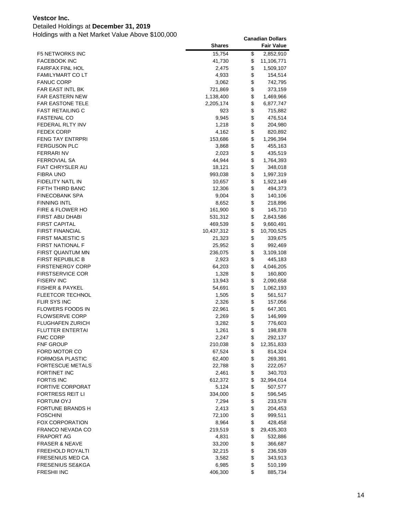### Detailed Holdings at **December 31, 2019**

| \$<br>15,754<br>2,852,910<br><b>F5 NETWORKS INC</b><br><b>FACEBOOK INC</b><br>\$<br>41,730<br>11,106,771<br>\$<br><b>FAIRFAX FINL HOL</b><br>2,475<br>1,509,107<br>\$<br><b>FAMILYMART CO LT</b><br>4,933<br>154,514<br>\$<br><b>FANUC CORP</b><br>3,062<br>742,795<br>\$<br>FAR EAST INTL BK<br>721,869<br>373,159<br>\$<br><b>FAR EASTERN NEW</b><br>1,138,400<br>1,469,966<br>\$<br>FAR EASTONE TELE<br>6,877,747<br>2,205,174<br>\$<br>FAST RETAILING C<br>923<br>715,882<br>\$<br><b>FASTENAL CO</b><br>9,945<br>476,514<br>\$<br>FEDERAL RLTY INV<br>1,218<br>204,980<br>\$<br><b>FEDEX CORP</b><br>4,162<br>820,892<br>\$<br><b>FENG TAY ENTRPRI</b><br>153,686<br>1,296,394<br>\$<br><b>FERGUSON PLC</b><br>3,868<br>455,163<br>\$<br>FERRARI NV<br>2,023<br>435,519<br>\$<br>FERROVIAL SA<br>44,944<br>1,764,393<br>\$<br>FIAT CHRYSLER AU<br>18,121<br>348,018<br>\$<br>FIBRA UNO<br>993,038<br>1,997,319<br>\$<br>FIDELITY NATL IN<br>10,657<br>1,922,149<br>\$<br>FIFTH THIRD BANC<br>12,306<br>494,373<br>\$<br>FINECOBANK SPA<br>9,004<br>140,106<br>\$<br><b>FINNING INTL</b><br>8,652<br>218,896<br>\$<br>FIRE & FLOWER HO<br>161,900<br>145,710<br>\$<br>FIRST ABU DHABI<br>531,312<br>2,843,586<br>\$<br><b>FIRST CAPITAL</b><br>469,539<br>9,660,491<br>\$<br><b>FIRST FINANCIAL</b><br>10,437,312<br>10,700,525<br>\$<br><b>FIRST MAJESTIC S</b><br>21,323<br>339,675<br>\$<br>FIRST NATIONAL F<br>25,952<br>992,469<br>\$<br>FIRST QUANTUM MN<br>236,075<br>3,109,108<br>\$<br>FIRST REPUBLIC B<br>445,183<br>2,923<br>\$<br><b>FIRSTENERGY CORP</b><br>64,203<br>4,046,205<br>\$<br><b>FIRSTSERVICE COR</b><br>1,328<br>160,800<br>\$<br><b>FISERV INC</b><br>13,943<br>2,090,658<br>\$<br><b>FISHER &amp; PAYKEL</b><br>54,691<br>1,062,193<br>\$<br><b>FLEETCOR TECHNOL</b><br>1,505<br>561,517<br>\$<br>FLIR SYS INC<br>2,326<br>157,056<br>\$<br>FLOWERS FOODS IN<br>22,961<br>647,301<br>\$<br><b>FLOWSERVE CORP</b><br>2,269<br>146,999<br>\$<br>FLUGHAFEN ZURICH<br>3,282<br>776,603<br>\$<br><b>FLUTTER ENTERTAI</b><br>1,261<br>198,878<br>\$<br><b>FMC CORP</b><br>2,247<br>292,137<br>\$<br><b>FNF GROUP</b><br>210,038<br>12,351,833<br>\$<br>FORD MOTOR CO<br>67,524<br>814,324<br>\$<br>FORMOSA PLASTIC<br>62,400<br>269,391<br>\$<br><b>FORTESCUE METALS</b><br>22,788<br>222,057<br>\$<br>FORTINET INC<br>2,461<br>340,703<br>\$<br><b>FORTIS INC</b><br>612,372<br>32,994,014<br>\$<br><b>FORTIVE CORPORAT</b><br>5,124<br>507,577<br>\$<br><b>FORTRESS REIT LI</b><br>334,000<br>596,545<br>\$<br>FORTUM OYJ<br>7,294<br>233,578<br>\$<br>FORTUNE BRANDS H<br>2,413<br>204,453<br>\$<br><b>FOSCHINI</b><br>72,100<br>999,511<br>\$<br><b>FOX CORPORATION</b><br>8,964<br>428,458<br>\$<br>FRANCO NEVADA CO<br>219,519<br>29,435,303<br>\$<br><b>FRAPORT AG</b><br>4,831<br>532,886<br>\$<br>FRASER & NEAVE<br>33,200<br>366,687<br>\$<br>FREEHOLD ROYALTI<br>32,215<br>236,539<br>\$<br>FRESENIUS MED CA<br>3,582<br>343,913<br>\$<br><b>FRESENIUS SE&amp;KGA</b><br>6,985<br>510,199 |                    | <b>Shares</b> | <b>Fair Value</b> |
|-------------------------------------------------------------------------------------------------------------------------------------------------------------------------------------------------------------------------------------------------------------------------------------------------------------------------------------------------------------------------------------------------------------------------------------------------------------------------------------------------------------------------------------------------------------------------------------------------------------------------------------------------------------------------------------------------------------------------------------------------------------------------------------------------------------------------------------------------------------------------------------------------------------------------------------------------------------------------------------------------------------------------------------------------------------------------------------------------------------------------------------------------------------------------------------------------------------------------------------------------------------------------------------------------------------------------------------------------------------------------------------------------------------------------------------------------------------------------------------------------------------------------------------------------------------------------------------------------------------------------------------------------------------------------------------------------------------------------------------------------------------------------------------------------------------------------------------------------------------------------------------------------------------------------------------------------------------------------------------------------------------------------------------------------------------------------------------------------------------------------------------------------------------------------------------------------------------------------------------------------------------------------------------------------------------------------------------------------------------------------------------------------------------------------------------------------------------------------------------------------------------------------------------------------------------------------------------------------------------------------------------------------------------------------------------------------------------------------------------------------------------------------------------------------------------------------------------------------------------------------------------------------------------------------------------------------------------------------------------------------------------------------------|--------------------|---------------|-------------------|
|                                                                                                                                                                                                                                                                                                                                                                                                                                                                                                                                                                                                                                                                                                                                                                                                                                                                                                                                                                                                                                                                                                                                                                                                                                                                                                                                                                                                                                                                                                                                                                                                                                                                                                                                                                                                                                                                                                                                                                                                                                                                                                                                                                                                                                                                                                                                                                                                                                                                                                                                                                                                                                                                                                                                                                                                                                                                                                                                                                                                                               |                    |               |                   |
|                                                                                                                                                                                                                                                                                                                                                                                                                                                                                                                                                                                                                                                                                                                                                                                                                                                                                                                                                                                                                                                                                                                                                                                                                                                                                                                                                                                                                                                                                                                                                                                                                                                                                                                                                                                                                                                                                                                                                                                                                                                                                                                                                                                                                                                                                                                                                                                                                                                                                                                                                                                                                                                                                                                                                                                                                                                                                                                                                                                                                               |                    |               |                   |
|                                                                                                                                                                                                                                                                                                                                                                                                                                                                                                                                                                                                                                                                                                                                                                                                                                                                                                                                                                                                                                                                                                                                                                                                                                                                                                                                                                                                                                                                                                                                                                                                                                                                                                                                                                                                                                                                                                                                                                                                                                                                                                                                                                                                                                                                                                                                                                                                                                                                                                                                                                                                                                                                                                                                                                                                                                                                                                                                                                                                                               |                    |               |                   |
|                                                                                                                                                                                                                                                                                                                                                                                                                                                                                                                                                                                                                                                                                                                                                                                                                                                                                                                                                                                                                                                                                                                                                                                                                                                                                                                                                                                                                                                                                                                                                                                                                                                                                                                                                                                                                                                                                                                                                                                                                                                                                                                                                                                                                                                                                                                                                                                                                                                                                                                                                                                                                                                                                                                                                                                                                                                                                                                                                                                                                               |                    |               |                   |
|                                                                                                                                                                                                                                                                                                                                                                                                                                                                                                                                                                                                                                                                                                                                                                                                                                                                                                                                                                                                                                                                                                                                                                                                                                                                                                                                                                                                                                                                                                                                                                                                                                                                                                                                                                                                                                                                                                                                                                                                                                                                                                                                                                                                                                                                                                                                                                                                                                                                                                                                                                                                                                                                                                                                                                                                                                                                                                                                                                                                                               |                    |               |                   |
|                                                                                                                                                                                                                                                                                                                                                                                                                                                                                                                                                                                                                                                                                                                                                                                                                                                                                                                                                                                                                                                                                                                                                                                                                                                                                                                                                                                                                                                                                                                                                                                                                                                                                                                                                                                                                                                                                                                                                                                                                                                                                                                                                                                                                                                                                                                                                                                                                                                                                                                                                                                                                                                                                                                                                                                                                                                                                                                                                                                                                               |                    |               |                   |
|                                                                                                                                                                                                                                                                                                                                                                                                                                                                                                                                                                                                                                                                                                                                                                                                                                                                                                                                                                                                                                                                                                                                                                                                                                                                                                                                                                                                                                                                                                                                                                                                                                                                                                                                                                                                                                                                                                                                                                                                                                                                                                                                                                                                                                                                                                                                                                                                                                                                                                                                                                                                                                                                                                                                                                                                                                                                                                                                                                                                                               |                    |               |                   |
|                                                                                                                                                                                                                                                                                                                                                                                                                                                                                                                                                                                                                                                                                                                                                                                                                                                                                                                                                                                                                                                                                                                                                                                                                                                                                                                                                                                                                                                                                                                                                                                                                                                                                                                                                                                                                                                                                                                                                                                                                                                                                                                                                                                                                                                                                                                                                                                                                                                                                                                                                                                                                                                                                                                                                                                                                                                                                                                                                                                                                               |                    |               |                   |
|                                                                                                                                                                                                                                                                                                                                                                                                                                                                                                                                                                                                                                                                                                                                                                                                                                                                                                                                                                                                                                                                                                                                                                                                                                                                                                                                                                                                                                                                                                                                                                                                                                                                                                                                                                                                                                                                                                                                                                                                                                                                                                                                                                                                                                                                                                                                                                                                                                                                                                                                                                                                                                                                                                                                                                                                                                                                                                                                                                                                                               |                    |               |                   |
|                                                                                                                                                                                                                                                                                                                                                                                                                                                                                                                                                                                                                                                                                                                                                                                                                                                                                                                                                                                                                                                                                                                                                                                                                                                                                                                                                                                                                                                                                                                                                                                                                                                                                                                                                                                                                                                                                                                                                                                                                                                                                                                                                                                                                                                                                                                                                                                                                                                                                                                                                                                                                                                                                                                                                                                                                                                                                                                                                                                                                               |                    |               |                   |
|                                                                                                                                                                                                                                                                                                                                                                                                                                                                                                                                                                                                                                                                                                                                                                                                                                                                                                                                                                                                                                                                                                                                                                                                                                                                                                                                                                                                                                                                                                                                                                                                                                                                                                                                                                                                                                                                                                                                                                                                                                                                                                                                                                                                                                                                                                                                                                                                                                                                                                                                                                                                                                                                                                                                                                                                                                                                                                                                                                                                                               |                    |               |                   |
|                                                                                                                                                                                                                                                                                                                                                                                                                                                                                                                                                                                                                                                                                                                                                                                                                                                                                                                                                                                                                                                                                                                                                                                                                                                                                                                                                                                                                                                                                                                                                                                                                                                                                                                                                                                                                                                                                                                                                                                                                                                                                                                                                                                                                                                                                                                                                                                                                                                                                                                                                                                                                                                                                                                                                                                                                                                                                                                                                                                                                               |                    |               |                   |
|                                                                                                                                                                                                                                                                                                                                                                                                                                                                                                                                                                                                                                                                                                                                                                                                                                                                                                                                                                                                                                                                                                                                                                                                                                                                                                                                                                                                                                                                                                                                                                                                                                                                                                                                                                                                                                                                                                                                                                                                                                                                                                                                                                                                                                                                                                                                                                                                                                                                                                                                                                                                                                                                                                                                                                                                                                                                                                                                                                                                                               |                    |               |                   |
|                                                                                                                                                                                                                                                                                                                                                                                                                                                                                                                                                                                                                                                                                                                                                                                                                                                                                                                                                                                                                                                                                                                                                                                                                                                                                                                                                                                                                                                                                                                                                                                                                                                                                                                                                                                                                                                                                                                                                                                                                                                                                                                                                                                                                                                                                                                                                                                                                                                                                                                                                                                                                                                                                                                                                                                                                                                                                                                                                                                                                               |                    |               |                   |
|                                                                                                                                                                                                                                                                                                                                                                                                                                                                                                                                                                                                                                                                                                                                                                                                                                                                                                                                                                                                                                                                                                                                                                                                                                                                                                                                                                                                                                                                                                                                                                                                                                                                                                                                                                                                                                                                                                                                                                                                                                                                                                                                                                                                                                                                                                                                                                                                                                                                                                                                                                                                                                                                                                                                                                                                                                                                                                                                                                                                                               |                    |               |                   |
|                                                                                                                                                                                                                                                                                                                                                                                                                                                                                                                                                                                                                                                                                                                                                                                                                                                                                                                                                                                                                                                                                                                                                                                                                                                                                                                                                                                                                                                                                                                                                                                                                                                                                                                                                                                                                                                                                                                                                                                                                                                                                                                                                                                                                                                                                                                                                                                                                                                                                                                                                                                                                                                                                                                                                                                                                                                                                                                                                                                                                               |                    |               |                   |
|                                                                                                                                                                                                                                                                                                                                                                                                                                                                                                                                                                                                                                                                                                                                                                                                                                                                                                                                                                                                                                                                                                                                                                                                                                                                                                                                                                                                                                                                                                                                                                                                                                                                                                                                                                                                                                                                                                                                                                                                                                                                                                                                                                                                                                                                                                                                                                                                                                                                                                                                                                                                                                                                                                                                                                                                                                                                                                                                                                                                                               |                    |               |                   |
|                                                                                                                                                                                                                                                                                                                                                                                                                                                                                                                                                                                                                                                                                                                                                                                                                                                                                                                                                                                                                                                                                                                                                                                                                                                                                                                                                                                                                                                                                                                                                                                                                                                                                                                                                                                                                                                                                                                                                                                                                                                                                                                                                                                                                                                                                                                                                                                                                                                                                                                                                                                                                                                                                                                                                                                                                                                                                                                                                                                                                               |                    |               |                   |
|                                                                                                                                                                                                                                                                                                                                                                                                                                                                                                                                                                                                                                                                                                                                                                                                                                                                                                                                                                                                                                                                                                                                                                                                                                                                                                                                                                                                                                                                                                                                                                                                                                                                                                                                                                                                                                                                                                                                                                                                                                                                                                                                                                                                                                                                                                                                                                                                                                                                                                                                                                                                                                                                                                                                                                                                                                                                                                                                                                                                                               |                    |               |                   |
|                                                                                                                                                                                                                                                                                                                                                                                                                                                                                                                                                                                                                                                                                                                                                                                                                                                                                                                                                                                                                                                                                                                                                                                                                                                                                                                                                                                                                                                                                                                                                                                                                                                                                                                                                                                                                                                                                                                                                                                                                                                                                                                                                                                                                                                                                                                                                                                                                                                                                                                                                                                                                                                                                                                                                                                                                                                                                                                                                                                                                               |                    |               |                   |
|                                                                                                                                                                                                                                                                                                                                                                                                                                                                                                                                                                                                                                                                                                                                                                                                                                                                                                                                                                                                                                                                                                                                                                                                                                                                                                                                                                                                                                                                                                                                                                                                                                                                                                                                                                                                                                                                                                                                                                                                                                                                                                                                                                                                                                                                                                                                                                                                                                                                                                                                                                                                                                                                                                                                                                                                                                                                                                                                                                                                                               |                    |               |                   |
|                                                                                                                                                                                                                                                                                                                                                                                                                                                                                                                                                                                                                                                                                                                                                                                                                                                                                                                                                                                                                                                                                                                                                                                                                                                                                                                                                                                                                                                                                                                                                                                                                                                                                                                                                                                                                                                                                                                                                                                                                                                                                                                                                                                                                                                                                                                                                                                                                                                                                                                                                                                                                                                                                                                                                                                                                                                                                                                                                                                                                               |                    |               |                   |
|                                                                                                                                                                                                                                                                                                                                                                                                                                                                                                                                                                                                                                                                                                                                                                                                                                                                                                                                                                                                                                                                                                                                                                                                                                                                                                                                                                                                                                                                                                                                                                                                                                                                                                                                                                                                                                                                                                                                                                                                                                                                                                                                                                                                                                                                                                                                                                                                                                                                                                                                                                                                                                                                                                                                                                                                                                                                                                                                                                                                                               |                    |               |                   |
|                                                                                                                                                                                                                                                                                                                                                                                                                                                                                                                                                                                                                                                                                                                                                                                                                                                                                                                                                                                                                                                                                                                                                                                                                                                                                                                                                                                                                                                                                                                                                                                                                                                                                                                                                                                                                                                                                                                                                                                                                                                                                                                                                                                                                                                                                                                                                                                                                                                                                                                                                                                                                                                                                                                                                                                                                                                                                                                                                                                                                               |                    |               |                   |
|                                                                                                                                                                                                                                                                                                                                                                                                                                                                                                                                                                                                                                                                                                                                                                                                                                                                                                                                                                                                                                                                                                                                                                                                                                                                                                                                                                                                                                                                                                                                                                                                                                                                                                                                                                                                                                                                                                                                                                                                                                                                                                                                                                                                                                                                                                                                                                                                                                                                                                                                                                                                                                                                                                                                                                                                                                                                                                                                                                                                                               |                    |               |                   |
|                                                                                                                                                                                                                                                                                                                                                                                                                                                                                                                                                                                                                                                                                                                                                                                                                                                                                                                                                                                                                                                                                                                                                                                                                                                                                                                                                                                                                                                                                                                                                                                                                                                                                                                                                                                                                                                                                                                                                                                                                                                                                                                                                                                                                                                                                                                                                                                                                                                                                                                                                                                                                                                                                                                                                                                                                                                                                                                                                                                                                               |                    |               |                   |
|                                                                                                                                                                                                                                                                                                                                                                                                                                                                                                                                                                                                                                                                                                                                                                                                                                                                                                                                                                                                                                                                                                                                                                                                                                                                                                                                                                                                                                                                                                                                                                                                                                                                                                                                                                                                                                                                                                                                                                                                                                                                                                                                                                                                                                                                                                                                                                                                                                                                                                                                                                                                                                                                                                                                                                                                                                                                                                                                                                                                                               |                    |               |                   |
|                                                                                                                                                                                                                                                                                                                                                                                                                                                                                                                                                                                                                                                                                                                                                                                                                                                                                                                                                                                                                                                                                                                                                                                                                                                                                                                                                                                                                                                                                                                                                                                                                                                                                                                                                                                                                                                                                                                                                                                                                                                                                                                                                                                                                                                                                                                                                                                                                                                                                                                                                                                                                                                                                                                                                                                                                                                                                                                                                                                                                               |                    |               |                   |
|                                                                                                                                                                                                                                                                                                                                                                                                                                                                                                                                                                                                                                                                                                                                                                                                                                                                                                                                                                                                                                                                                                                                                                                                                                                                                                                                                                                                                                                                                                                                                                                                                                                                                                                                                                                                                                                                                                                                                                                                                                                                                                                                                                                                                                                                                                                                                                                                                                                                                                                                                                                                                                                                                                                                                                                                                                                                                                                                                                                                                               |                    |               |                   |
|                                                                                                                                                                                                                                                                                                                                                                                                                                                                                                                                                                                                                                                                                                                                                                                                                                                                                                                                                                                                                                                                                                                                                                                                                                                                                                                                                                                                                                                                                                                                                                                                                                                                                                                                                                                                                                                                                                                                                                                                                                                                                                                                                                                                                                                                                                                                                                                                                                                                                                                                                                                                                                                                                                                                                                                                                                                                                                                                                                                                                               |                    |               |                   |
|                                                                                                                                                                                                                                                                                                                                                                                                                                                                                                                                                                                                                                                                                                                                                                                                                                                                                                                                                                                                                                                                                                                                                                                                                                                                                                                                                                                                                                                                                                                                                                                                                                                                                                                                                                                                                                                                                                                                                                                                                                                                                                                                                                                                                                                                                                                                                                                                                                                                                                                                                                                                                                                                                                                                                                                                                                                                                                                                                                                                                               |                    |               |                   |
|                                                                                                                                                                                                                                                                                                                                                                                                                                                                                                                                                                                                                                                                                                                                                                                                                                                                                                                                                                                                                                                                                                                                                                                                                                                                                                                                                                                                                                                                                                                                                                                                                                                                                                                                                                                                                                                                                                                                                                                                                                                                                                                                                                                                                                                                                                                                                                                                                                                                                                                                                                                                                                                                                                                                                                                                                                                                                                                                                                                                                               |                    |               |                   |
|                                                                                                                                                                                                                                                                                                                                                                                                                                                                                                                                                                                                                                                                                                                                                                                                                                                                                                                                                                                                                                                                                                                                                                                                                                                                                                                                                                                                                                                                                                                                                                                                                                                                                                                                                                                                                                                                                                                                                                                                                                                                                                                                                                                                                                                                                                                                                                                                                                                                                                                                                                                                                                                                                                                                                                                                                                                                                                                                                                                                                               |                    |               |                   |
|                                                                                                                                                                                                                                                                                                                                                                                                                                                                                                                                                                                                                                                                                                                                                                                                                                                                                                                                                                                                                                                                                                                                                                                                                                                                                                                                                                                                                                                                                                                                                                                                                                                                                                                                                                                                                                                                                                                                                                                                                                                                                                                                                                                                                                                                                                                                                                                                                                                                                                                                                                                                                                                                                                                                                                                                                                                                                                                                                                                                                               |                    |               |                   |
|                                                                                                                                                                                                                                                                                                                                                                                                                                                                                                                                                                                                                                                                                                                                                                                                                                                                                                                                                                                                                                                                                                                                                                                                                                                                                                                                                                                                                                                                                                                                                                                                                                                                                                                                                                                                                                                                                                                                                                                                                                                                                                                                                                                                                                                                                                                                                                                                                                                                                                                                                                                                                                                                                                                                                                                                                                                                                                                                                                                                                               |                    |               |                   |
|                                                                                                                                                                                                                                                                                                                                                                                                                                                                                                                                                                                                                                                                                                                                                                                                                                                                                                                                                                                                                                                                                                                                                                                                                                                                                                                                                                                                                                                                                                                                                                                                                                                                                                                                                                                                                                                                                                                                                                                                                                                                                                                                                                                                                                                                                                                                                                                                                                                                                                                                                                                                                                                                                                                                                                                                                                                                                                                                                                                                                               |                    |               |                   |
|                                                                                                                                                                                                                                                                                                                                                                                                                                                                                                                                                                                                                                                                                                                                                                                                                                                                                                                                                                                                                                                                                                                                                                                                                                                                                                                                                                                                                                                                                                                                                                                                                                                                                                                                                                                                                                                                                                                                                                                                                                                                                                                                                                                                                                                                                                                                                                                                                                                                                                                                                                                                                                                                                                                                                                                                                                                                                                                                                                                                                               |                    |               |                   |
|                                                                                                                                                                                                                                                                                                                                                                                                                                                                                                                                                                                                                                                                                                                                                                                                                                                                                                                                                                                                                                                                                                                                                                                                                                                                                                                                                                                                                                                                                                                                                                                                                                                                                                                                                                                                                                                                                                                                                                                                                                                                                                                                                                                                                                                                                                                                                                                                                                                                                                                                                                                                                                                                                                                                                                                                                                                                                                                                                                                                                               |                    |               |                   |
|                                                                                                                                                                                                                                                                                                                                                                                                                                                                                                                                                                                                                                                                                                                                                                                                                                                                                                                                                                                                                                                                                                                                                                                                                                                                                                                                                                                                                                                                                                                                                                                                                                                                                                                                                                                                                                                                                                                                                                                                                                                                                                                                                                                                                                                                                                                                                                                                                                                                                                                                                                                                                                                                                                                                                                                                                                                                                                                                                                                                                               |                    |               |                   |
|                                                                                                                                                                                                                                                                                                                                                                                                                                                                                                                                                                                                                                                                                                                                                                                                                                                                                                                                                                                                                                                                                                                                                                                                                                                                                                                                                                                                                                                                                                                                                                                                                                                                                                                                                                                                                                                                                                                                                                                                                                                                                                                                                                                                                                                                                                                                                                                                                                                                                                                                                                                                                                                                                                                                                                                                                                                                                                                                                                                                                               |                    |               |                   |
|                                                                                                                                                                                                                                                                                                                                                                                                                                                                                                                                                                                                                                                                                                                                                                                                                                                                                                                                                                                                                                                                                                                                                                                                                                                                                                                                                                                                                                                                                                                                                                                                                                                                                                                                                                                                                                                                                                                                                                                                                                                                                                                                                                                                                                                                                                                                                                                                                                                                                                                                                                                                                                                                                                                                                                                                                                                                                                                                                                                                                               |                    |               |                   |
|                                                                                                                                                                                                                                                                                                                                                                                                                                                                                                                                                                                                                                                                                                                                                                                                                                                                                                                                                                                                                                                                                                                                                                                                                                                                                                                                                                                                                                                                                                                                                                                                                                                                                                                                                                                                                                                                                                                                                                                                                                                                                                                                                                                                                                                                                                                                                                                                                                                                                                                                                                                                                                                                                                                                                                                                                                                                                                                                                                                                                               |                    |               |                   |
|                                                                                                                                                                                                                                                                                                                                                                                                                                                                                                                                                                                                                                                                                                                                                                                                                                                                                                                                                                                                                                                                                                                                                                                                                                                                                                                                                                                                                                                                                                                                                                                                                                                                                                                                                                                                                                                                                                                                                                                                                                                                                                                                                                                                                                                                                                                                                                                                                                                                                                                                                                                                                                                                                                                                                                                                                                                                                                                                                                                                                               |                    |               |                   |
|                                                                                                                                                                                                                                                                                                                                                                                                                                                                                                                                                                                                                                                                                                                                                                                                                                                                                                                                                                                                                                                                                                                                                                                                                                                                                                                                                                                                                                                                                                                                                                                                                                                                                                                                                                                                                                                                                                                                                                                                                                                                                                                                                                                                                                                                                                                                                                                                                                                                                                                                                                                                                                                                                                                                                                                                                                                                                                                                                                                                                               |                    |               |                   |
|                                                                                                                                                                                                                                                                                                                                                                                                                                                                                                                                                                                                                                                                                                                                                                                                                                                                                                                                                                                                                                                                                                                                                                                                                                                                                                                                                                                                                                                                                                                                                                                                                                                                                                                                                                                                                                                                                                                                                                                                                                                                                                                                                                                                                                                                                                                                                                                                                                                                                                                                                                                                                                                                                                                                                                                                                                                                                                                                                                                                                               |                    |               |                   |
|                                                                                                                                                                                                                                                                                                                                                                                                                                                                                                                                                                                                                                                                                                                                                                                                                                                                                                                                                                                                                                                                                                                                                                                                                                                                                                                                                                                                                                                                                                                                                                                                                                                                                                                                                                                                                                                                                                                                                                                                                                                                                                                                                                                                                                                                                                                                                                                                                                                                                                                                                                                                                                                                                                                                                                                                                                                                                                                                                                                                                               |                    |               |                   |
|                                                                                                                                                                                                                                                                                                                                                                                                                                                                                                                                                                                                                                                                                                                                                                                                                                                                                                                                                                                                                                                                                                                                                                                                                                                                                                                                                                                                                                                                                                                                                                                                                                                                                                                                                                                                                                                                                                                                                                                                                                                                                                                                                                                                                                                                                                                                                                                                                                                                                                                                                                                                                                                                                                                                                                                                                                                                                                                                                                                                                               |                    |               |                   |
|                                                                                                                                                                                                                                                                                                                                                                                                                                                                                                                                                                                                                                                                                                                                                                                                                                                                                                                                                                                                                                                                                                                                                                                                                                                                                                                                                                                                                                                                                                                                                                                                                                                                                                                                                                                                                                                                                                                                                                                                                                                                                                                                                                                                                                                                                                                                                                                                                                                                                                                                                                                                                                                                                                                                                                                                                                                                                                                                                                                                                               |                    |               |                   |
|                                                                                                                                                                                                                                                                                                                                                                                                                                                                                                                                                                                                                                                                                                                                                                                                                                                                                                                                                                                                                                                                                                                                                                                                                                                                                                                                                                                                                                                                                                                                                                                                                                                                                                                                                                                                                                                                                                                                                                                                                                                                                                                                                                                                                                                                                                                                                                                                                                                                                                                                                                                                                                                                                                                                                                                                                                                                                                                                                                                                                               |                    |               |                   |
|                                                                                                                                                                                                                                                                                                                                                                                                                                                                                                                                                                                                                                                                                                                                                                                                                                                                                                                                                                                                                                                                                                                                                                                                                                                                                                                                                                                                                                                                                                                                                                                                                                                                                                                                                                                                                                                                                                                                                                                                                                                                                                                                                                                                                                                                                                                                                                                                                                                                                                                                                                                                                                                                                                                                                                                                                                                                                                                                                                                                                               |                    |               |                   |
|                                                                                                                                                                                                                                                                                                                                                                                                                                                                                                                                                                                                                                                                                                                                                                                                                                                                                                                                                                                                                                                                                                                                                                                                                                                                                                                                                                                                                                                                                                                                                                                                                                                                                                                                                                                                                                                                                                                                                                                                                                                                                                                                                                                                                                                                                                                                                                                                                                                                                                                                                                                                                                                                                                                                                                                                                                                                                                                                                                                                                               |                    |               |                   |
|                                                                                                                                                                                                                                                                                                                                                                                                                                                                                                                                                                                                                                                                                                                                                                                                                                                                                                                                                                                                                                                                                                                                                                                                                                                                                                                                                                                                                                                                                                                                                                                                                                                                                                                                                                                                                                                                                                                                                                                                                                                                                                                                                                                                                                                                                                                                                                                                                                                                                                                                                                                                                                                                                                                                                                                                                                                                                                                                                                                                                               |                    |               |                   |
|                                                                                                                                                                                                                                                                                                                                                                                                                                                                                                                                                                                                                                                                                                                                                                                                                                                                                                                                                                                                                                                                                                                                                                                                                                                                                                                                                                                                                                                                                                                                                                                                                                                                                                                                                                                                                                                                                                                                                                                                                                                                                                                                                                                                                                                                                                                                                                                                                                                                                                                                                                                                                                                                                                                                                                                                                                                                                                                                                                                                                               |                    |               |                   |
|                                                                                                                                                                                                                                                                                                                                                                                                                                                                                                                                                                                                                                                                                                                                                                                                                                                                                                                                                                                                                                                                                                                                                                                                                                                                                                                                                                                                                                                                                                                                                                                                                                                                                                                                                                                                                                                                                                                                                                                                                                                                                                                                                                                                                                                                                                                                                                                                                                                                                                                                                                                                                                                                                                                                                                                                                                                                                                                                                                                                                               |                    |               |                   |
|                                                                                                                                                                                                                                                                                                                                                                                                                                                                                                                                                                                                                                                                                                                                                                                                                                                                                                                                                                                                                                                                                                                                                                                                                                                                                                                                                                                                                                                                                                                                                                                                                                                                                                                                                                                                                                                                                                                                                                                                                                                                                                                                                                                                                                                                                                                                                                                                                                                                                                                                                                                                                                                                                                                                                                                                                                                                                                                                                                                                                               |                    |               |                   |
|                                                                                                                                                                                                                                                                                                                                                                                                                                                                                                                                                                                                                                                                                                                                                                                                                                                                                                                                                                                                                                                                                                                                                                                                                                                                                                                                                                                                                                                                                                                                                                                                                                                                                                                                                                                                                                                                                                                                                                                                                                                                                                                                                                                                                                                                                                                                                                                                                                                                                                                                                                                                                                                                                                                                                                                                                                                                                                                                                                                                                               |                    |               |                   |
|                                                                                                                                                                                                                                                                                                                                                                                                                                                                                                                                                                                                                                                                                                                                                                                                                                                                                                                                                                                                                                                                                                                                                                                                                                                                                                                                                                                                                                                                                                                                                                                                                                                                                                                                                                                                                                                                                                                                                                                                                                                                                                                                                                                                                                                                                                                                                                                                                                                                                                                                                                                                                                                                                                                                                                                                                                                                                                                                                                                                                               |                    |               |                   |
|                                                                                                                                                                                                                                                                                                                                                                                                                                                                                                                                                                                                                                                                                                                                                                                                                                                                                                                                                                                                                                                                                                                                                                                                                                                                                                                                                                                                                                                                                                                                                                                                                                                                                                                                                                                                                                                                                                                                                                                                                                                                                                                                                                                                                                                                                                                                                                                                                                                                                                                                                                                                                                                                                                                                                                                                                                                                                                                                                                                                                               |                    |               |                   |
|                                                                                                                                                                                                                                                                                                                                                                                                                                                                                                                                                                                                                                                                                                                                                                                                                                                                                                                                                                                                                                                                                                                                                                                                                                                                                                                                                                                                                                                                                                                                                                                                                                                                                                                                                                                                                                                                                                                                                                                                                                                                                                                                                                                                                                                                                                                                                                                                                                                                                                                                                                                                                                                                                                                                                                                                                                                                                                                                                                                                                               |                    |               |                   |
|                                                                                                                                                                                                                                                                                                                                                                                                                                                                                                                                                                                                                                                                                                                                                                                                                                                                                                                                                                                                                                                                                                                                                                                                                                                                                                                                                                                                                                                                                                                                                                                                                                                                                                                                                                                                                                                                                                                                                                                                                                                                                                                                                                                                                                                                                                                                                                                                                                                                                                                                                                                                                                                                                                                                                                                                                                                                                                                                                                                                                               | <b>FRESHII INC</b> | 406,300       | \$<br>885,734     |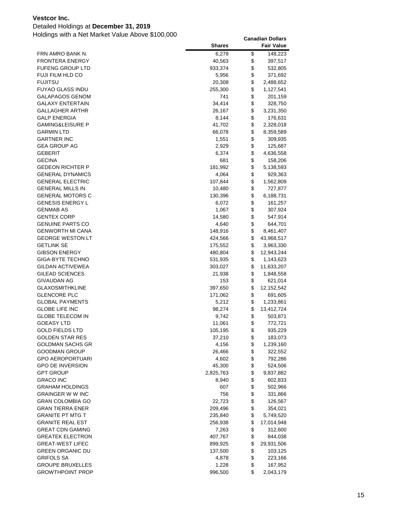### Detailed Holdings at **December 31, 2019**

| 6,278<br>FRN AMRO BANK N.<br>\$<br>148,223<br>\$<br><b>FRONTERA ENERGY</b><br>40,563<br>397,517<br>\$<br>FUFENG GROUP LTD<br>933,374<br>532,805<br>\$<br><b>FUJI FILM HLD CO</b><br>5,956<br>371,692<br>\$<br><b>FUJITSU</b><br>20,308<br>2,488,652<br>\$<br>FUYAO GLASS INDU<br>255,300<br>1,127,541<br>\$<br>GALAPAGOS GENOM<br>741<br>201,159<br>\$<br><b>GALAXY ENTERTAIN</b><br>34,414<br>328,750<br>\$<br>GALLAGHER ARTHR<br>26,167<br>3,231,350<br>\$<br><b>GALP ENERGIA</b><br>8,144<br>176,631<br>\$<br><b>GAMING&amp;LEISURE P</b><br>41,702<br>2,328,018<br>\$<br><b>GARMIN LTD</b><br>66,078<br>8,359,589<br>\$<br><b>GARTNER INC</b><br>1,551<br>309,935<br>\$<br><b>GEA GROUP AG</b><br>2,929<br>125,687<br>\$<br>GEBERIT<br>6,374<br>4,636,558<br>\$<br><b>GECINA</b><br>681<br>158,206<br>\$<br><b>GEDEON RICHTER P</b><br>181,992<br>5,138,593<br>\$<br><b>GENERAL DYNAMICS</b><br>4,064<br>929,363<br>\$<br><b>GENERAL ELECTRIC</b><br>107,844<br>1,562,809<br>\$<br><b>GENERAL MILLS IN</b><br>10,480<br>727,877<br>\$<br><b>GENERAL MOTORS C</b><br>130,396<br>6,188,731<br>\$<br><b>GENESIS ENERGY L</b><br>6,072<br>161,257<br>\$<br><b>GENMAB AS</b><br>1,067<br>307,924<br>\$<br><b>GENTEX CORP</b><br>14,580<br>547,914<br>\$<br><b>GENUINE PARTS CO</b><br>4,640<br>644,701<br>\$<br><b>GENWORTH MI CANA</b><br>148,916<br>8,461,407<br>\$<br><b>GEORGE WESTON LT</b><br>424,566<br>43,968,517<br>\$<br><b>GETLINK SE</b><br>175,552<br>3,963,330<br>\$<br><b>GIBSON ENERGY</b><br>480,804<br>12,943,244<br>\$<br>GIGA-BYTE TECHNO<br>531,935<br>1,143,623<br>\$<br>GILDAN ACTIVEWEA<br>303,027<br>11,633,207<br>\$<br>GILEAD SCIENCES<br>21,938<br>1,848,558<br>\$<br>GIVAUDAN AG<br>153<br>621,014<br>\$<br><b>GLAXOSMITHKLINE</b><br>397,650<br>12, 152, 542<br>\$<br><b>GLENCORE PLC</b><br>171,062<br>691,605<br>\$<br><b>GLOBAL PAYMENTS</b><br>5,212<br>1,233,861<br>\$<br><b>GLOBE LIFE INC</b><br>98,274<br>13,412,724<br>\$<br><b>GLOBE TELECOM IN</b><br>9,742<br>503,871<br>\$<br><b>GOEASY LTD</b><br>11,061<br>772,721<br>\$<br><b>GOLD FIELDS LTD</b><br>935,229<br>105,195<br><b>GOLDEN STAR RES</b><br>\$<br>37,210<br>183,073<br>\$<br><b>GOLDMAN SACHS GR</b><br>4,156<br>1,239,160<br>\$<br><b>GOODMAN GROUP</b><br>26,466<br>322,552<br>\$<br><b>GPO AEROPORTUARI</b><br>4,602<br>792,286<br>\$<br><b>GPO DE INVERSION</b><br>45,300<br>524,506<br>\$<br><b>GPT GROUP</b><br>2,825,763<br>9,837,882<br>\$<br><b>GRACO INC</b><br>8,940<br>602,833<br>\$<br><b>GRAHAM HOLDINGS</b><br>607<br>502,966<br>\$<br><b>GRAINGER W W INC</b><br>756<br>331,866<br>\$<br>GRAN COLOMBIA GO<br>22,723<br>126,567<br>\$<br>GRAN TIERRA ENER<br>209,496<br>354,021<br>\$<br><b>GRANITE PT MTG T</b><br>5,749,520<br>235,840<br>\$<br><b>GRANITE REAL EST</b><br>256,938<br>17,014,948<br>\$<br><b>GREAT CDN GAMING</b><br>7,263<br>312,600<br>\$<br><b>GREATEK ELECTRON</b><br>407,767<br>844,038<br>\$<br><b>GREAT-WEST LIFEC</b><br>899,925<br>29,931,506<br>\$<br><b>GREEN ORGANIC DU</b><br>137,500<br>103,125<br>\$<br><b>GRIFOLS SA</b><br>4,878<br>223,166<br>\$<br><b>GROUPE BRUXELLES</b><br>1,228<br>167,952<br>\$<br><b>GROWTHPOINT PROP</b><br>996,500<br>2,043,179 | <b>Shares</b> | <b>Fair Value</b> |
|-------------------------------------------------------------------------------------------------------------------------------------------------------------------------------------------------------------------------------------------------------------------------------------------------------------------------------------------------------------------------------------------------------------------------------------------------------------------------------------------------------------------------------------------------------------------------------------------------------------------------------------------------------------------------------------------------------------------------------------------------------------------------------------------------------------------------------------------------------------------------------------------------------------------------------------------------------------------------------------------------------------------------------------------------------------------------------------------------------------------------------------------------------------------------------------------------------------------------------------------------------------------------------------------------------------------------------------------------------------------------------------------------------------------------------------------------------------------------------------------------------------------------------------------------------------------------------------------------------------------------------------------------------------------------------------------------------------------------------------------------------------------------------------------------------------------------------------------------------------------------------------------------------------------------------------------------------------------------------------------------------------------------------------------------------------------------------------------------------------------------------------------------------------------------------------------------------------------------------------------------------------------------------------------------------------------------------------------------------------------------------------------------------------------------------------------------------------------------------------------------------------------------------------------------------------------------------------------------------------------------------------------------------------------------------------------------------------------------------------------------------------------------------------------------------------------------------------------------------------------------------------------------------------------------------------------------------------------------------------------------------------------------------------------------------------------------------------------------------------------------------------------------------------------------------------------------------------------|---------------|-------------------|
|                                                                                                                                                                                                                                                                                                                                                                                                                                                                                                                                                                                                                                                                                                                                                                                                                                                                                                                                                                                                                                                                                                                                                                                                                                                                                                                                                                                                                                                                                                                                                                                                                                                                                                                                                                                                                                                                                                                                                                                                                                                                                                                                                                                                                                                                                                                                                                                                                                                                                                                                                                                                                                                                                                                                                                                                                                                                                                                                                                                                                                                                                                                                                                                                                   |               |                   |
|                                                                                                                                                                                                                                                                                                                                                                                                                                                                                                                                                                                                                                                                                                                                                                                                                                                                                                                                                                                                                                                                                                                                                                                                                                                                                                                                                                                                                                                                                                                                                                                                                                                                                                                                                                                                                                                                                                                                                                                                                                                                                                                                                                                                                                                                                                                                                                                                                                                                                                                                                                                                                                                                                                                                                                                                                                                                                                                                                                                                                                                                                                                                                                                                                   |               |                   |
|                                                                                                                                                                                                                                                                                                                                                                                                                                                                                                                                                                                                                                                                                                                                                                                                                                                                                                                                                                                                                                                                                                                                                                                                                                                                                                                                                                                                                                                                                                                                                                                                                                                                                                                                                                                                                                                                                                                                                                                                                                                                                                                                                                                                                                                                                                                                                                                                                                                                                                                                                                                                                                                                                                                                                                                                                                                                                                                                                                                                                                                                                                                                                                                                                   |               |                   |
|                                                                                                                                                                                                                                                                                                                                                                                                                                                                                                                                                                                                                                                                                                                                                                                                                                                                                                                                                                                                                                                                                                                                                                                                                                                                                                                                                                                                                                                                                                                                                                                                                                                                                                                                                                                                                                                                                                                                                                                                                                                                                                                                                                                                                                                                                                                                                                                                                                                                                                                                                                                                                                                                                                                                                                                                                                                                                                                                                                                                                                                                                                                                                                                                                   |               |                   |
|                                                                                                                                                                                                                                                                                                                                                                                                                                                                                                                                                                                                                                                                                                                                                                                                                                                                                                                                                                                                                                                                                                                                                                                                                                                                                                                                                                                                                                                                                                                                                                                                                                                                                                                                                                                                                                                                                                                                                                                                                                                                                                                                                                                                                                                                                                                                                                                                                                                                                                                                                                                                                                                                                                                                                                                                                                                                                                                                                                                                                                                                                                                                                                                                                   |               |                   |
|                                                                                                                                                                                                                                                                                                                                                                                                                                                                                                                                                                                                                                                                                                                                                                                                                                                                                                                                                                                                                                                                                                                                                                                                                                                                                                                                                                                                                                                                                                                                                                                                                                                                                                                                                                                                                                                                                                                                                                                                                                                                                                                                                                                                                                                                                                                                                                                                                                                                                                                                                                                                                                                                                                                                                                                                                                                                                                                                                                                                                                                                                                                                                                                                                   |               |                   |
|                                                                                                                                                                                                                                                                                                                                                                                                                                                                                                                                                                                                                                                                                                                                                                                                                                                                                                                                                                                                                                                                                                                                                                                                                                                                                                                                                                                                                                                                                                                                                                                                                                                                                                                                                                                                                                                                                                                                                                                                                                                                                                                                                                                                                                                                                                                                                                                                                                                                                                                                                                                                                                                                                                                                                                                                                                                                                                                                                                                                                                                                                                                                                                                                                   |               |                   |
|                                                                                                                                                                                                                                                                                                                                                                                                                                                                                                                                                                                                                                                                                                                                                                                                                                                                                                                                                                                                                                                                                                                                                                                                                                                                                                                                                                                                                                                                                                                                                                                                                                                                                                                                                                                                                                                                                                                                                                                                                                                                                                                                                                                                                                                                                                                                                                                                                                                                                                                                                                                                                                                                                                                                                                                                                                                                                                                                                                                                                                                                                                                                                                                                                   |               |                   |
|                                                                                                                                                                                                                                                                                                                                                                                                                                                                                                                                                                                                                                                                                                                                                                                                                                                                                                                                                                                                                                                                                                                                                                                                                                                                                                                                                                                                                                                                                                                                                                                                                                                                                                                                                                                                                                                                                                                                                                                                                                                                                                                                                                                                                                                                                                                                                                                                                                                                                                                                                                                                                                                                                                                                                                                                                                                                                                                                                                                                                                                                                                                                                                                                                   |               |                   |
|                                                                                                                                                                                                                                                                                                                                                                                                                                                                                                                                                                                                                                                                                                                                                                                                                                                                                                                                                                                                                                                                                                                                                                                                                                                                                                                                                                                                                                                                                                                                                                                                                                                                                                                                                                                                                                                                                                                                                                                                                                                                                                                                                                                                                                                                                                                                                                                                                                                                                                                                                                                                                                                                                                                                                                                                                                                                                                                                                                                                                                                                                                                                                                                                                   |               |                   |
|                                                                                                                                                                                                                                                                                                                                                                                                                                                                                                                                                                                                                                                                                                                                                                                                                                                                                                                                                                                                                                                                                                                                                                                                                                                                                                                                                                                                                                                                                                                                                                                                                                                                                                                                                                                                                                                                                                                                                                                                                                                                                                                                                                                                                                                                                                                                                                                                                                                                                                                                                                                                                                                                                                                                                                                                                                                                                                                                                                                                                                                                                                                                                                                                                   |               |                   |
|                                                                                                                                                                                                                                                                                                                                                                                                                                                                                                                                                                                                                                                                                                                                                                                                                                                                                                                                                                                                                                                                                                                                                                                                                                                                                                                                                                                                                                                                                                                                                                                                                                                                                                                                                                                                                                                                                                                                                                                                                                                                                                                                                                                                                                                                                                                                                                                                                                                                                                                                                                                                                                                                                                                                                                                                                                                                                                                                                                                                                                                                                                                                                                                                                   |               |                   |
|                                                                                                                                                                                                                                                                                                                                                                                                                                                                                                                                                                                                                                                                                                                                                                                                                                                                                                                                                                                                                                                                                                                                                                                                                                                                                                                                                                                                                                                                                                                                                                                                                                                                                                                                                                                                                                                                                                                                                                                                                                                                                                                                                                                                                                                                                                                                                                                                                                                                                                                                                                                                                                                                                                                                                                                                                                                                                                                                                                                                                                                                                                                                                                                                                   |               |                   |
|                                                                                                                                                                                                                                                                                                                                                                                                                                                                                                                                                                                                                                                                                                                                                                                                                                                                                                                                                                                                                                                                                                                                                                                                                                                                                                                                                                                                                                                                                                                                                                                                                                                                                                                                                                                                                                                                                                                                                                                                                                                                                                                                                                                                                                                                                                                                                                                                                                                                                                                                                                                                                                                                                                                                                                                                                                                                                                                                                                                                                                                                                                                                                                                                                   |               |                   |
|                                                                                                                                                                                                                                                                                                                                                                                                                                                                                                                                                                                                                                                                                                                                                                                                                                                                                                                                                                                                                                                                                                                                                                                                                                                                                                                                                                                                                                                                                                                                                                                                                                                                                                                                                                                                                                                                                                                                                                                                                                                                                                                                                                                                                                                                                                                                                                                                                                                                                                                                                                                                                                                                                                                                                                                                                                                                                                                                                                                                                                                                                                                                                                                                                   |               |                   |
|                                                                                                                                                                                                                                                                                                                                                                                                                                                                                                                                                                                                                                                                                                                                                                                                                                                                                                                                                                                                                                                                                                                                                                                                                                                                                                                                                                                                                                                                                                                                                                                                                                                                                                                                                                                                                                                                                                                                                                                                                                                                                                                                                                                                                                                                                                                                                                                                                                                                                                                                                                                                                                                                                                                                                                                                                                                                                                                                                                                                                                                                                                                                                                                                                   |               |                   |
|                                                                                                                                                                                                                                                                                                                                                                                                                                                                                                                                                                                                                                                                                                                                                                                                                                                                                                                                                                                                                                                                                                                                                                                                                                                                                                                                                                                                                                                                                                                                                                                                                                                                                                                                                                                                                                                                                                                                                                                                                                                                                                                                                                                                                                                                                                                                                                                                                                                                                                                                                                                                                                                                                                                                                                                                                                                                                                                                                                                                                                                                                                                                                                                                                   |               |                   |
|                                                                                                                                                                                                                                                                                                                                                                                                                                                                                                                                                                                                                                                                                                                                                                                                                                                                                                                                                                                                                                                                                                                                                                                                                                                                                                                                                                                                                                                                                                                                                                                                                                                                                                                                                                                                                                                                                                                                                                                                                                                                                                                                                                                                                                                                                                                                                                                                                                                                                                                                                                                                                                                                                                                                                                                                                                                                                                                                                                                                                                                                                                                                                                                                                   |               |                   |
|                                                                                                                                                                                                                                                                                                                                                                                                                                                                                                                                                                                                                                                                                                                                                                                                                                                                                                                                                                                                                                                                                                                                                                                                                                                                                                                                                                                                                                                                                                                                                                                                                                                                                                                                                                                                                                                                                                                                                                                                                                                                                                                                                                                                                                                                                                                                                                                                                                                                                                                                                                                                                                                                                                                                                                                                                                                                                                                                                                                                                                                                                                                                                                                                                   |               |                   |
|                                                                                                                                                                                                                                                                                                                                                                                                                                                                                                                                                                                                                                                                                                                                                                                                                                                                                                                                                                                                                                                                                                                                                                                                                                                                                                                                                                                                                                                                                                                                                                                                                                                                                                                                                                                                                                                                                                                                                                                                                                                                                                                                                                                                                                                                                                                                                                                                                                                                                                                                                                                                                                                                                                                                                                                                                                                                                                                                                                                                                                                                                                                                                                                                                   |               |                   |
|                                                                                                                                                                                                                                                                                                                                                                                                                                                                                                                                                                                                                                                                                                                                                                                                                                                                                                                                                                                                                                                                                                                                                                                                                                                                                                                                                                                                                                                                                                                                                                                                                                                                                                                                                                                                                                                                                                                                                                                                                                                                                                                                                                                                                                                                                                                                                                                                                                                                                                                                                                                                                                                                                                                                                                                                                                                                                                                                                                                                                                                                                                                                                                                                                   |               |                   |
|                                                                                                                                                                                                                                                                                                                                                                                                                                                                                                                                                                                                                                                                                                                                                                                                                                                                                                                                                                                                                                                                                                                                                                                                                                                                                                                                                                                                                                                                                                                                                                                                                                                                                                                                                                                                                                                                                                                                                                                                                                                                                                                                                                                                                                                                                                                                                                                                                                                                                                                                                                                                                                                                                                                                                                                                                                                                                                                                                                                                                                                                                                                                                                                                                   |               |                   |
|                                                                                                                                                                                                                                                                                                                                                                                                                                                                                                                                                                                                                                                                                                                                                                                                                                                                                                                                                                                                                                                                                                                                                                                                                                                                                                                                                                                                                                                                                                                                                                                                                                                                                                                                                                                                                                                                                                                                                                                                                                                                                                                                                                                                                                                                                                                                                                                                                                                                                                                                                                                                                                                                                                                                                                                                                                                                                                                                                                                                                                                                                                                                                                                                                   |               |                   |
|                                                                                                                                                                                                                                                                                                                                                                                                                                                                                                                                                                                                                                                                                                                                                                                                                                                                                                                                                                                                                                                                                                                                                                                                                                                                                                                                                                                                                                                                                                                                                                                                                                                                                                                                                                                                                                                                                                                                                                                                                                                                                                                                                                                                                                                                                                                                                                                                                                                                                                                                                                                                                                                                                                                                                                                                                                                                                                                                                                                                                                                                                                                                                                                                                   |               |                   |
|                                                                                                                                                                                                                                                                                                                                                                                                                                                                                                                                                                                                                                                                                                                                                                                                                                                                                                                                                                                                                                                                                                                                                                                                                                                                                                                                                                                                                                                                                                                                                                                                                                                                                                                                                                                                                                                                                                                                                                                                                                                                                                                                                                                                                                                                                                                                                                                                                                                                                                                                                                                                                                                                                                                                                                                                                                                                                                                                                                                                                                                                                                                                                                                                                   |               |                   |
|                                                                                                                                                                                                                                                                                                                                                                                                                                                                                                                                                                                                                                                                                                                                                                                                                                                                                                                                                                                                                                                                                                                                                                                                                                                                                                                                                                                                                                                                                                                                                                                                                                                                                                                                                                                                                                                                                                                                                                                                                                                                                                                                                                                                                                                                                                                                                                                                                                                                                                                                                                                                                                                                                                                                                                                                                                                                                                                                                                                                                                                                                                                                                                                                                   |               |                   |
|                                                                                                                                                                                                                                                                                                                                                                                                                                                                                                                                                                                                                                                                                                                                                                                                                                                                                                                                                                                                                                                                                                                                                                                                                                                                                                                                                                                                                                                                                                                                                                                                                                                                                                                                                                                                                                                                                                                                                                                                                                                                                                                                                                                                                                                                                                                                                                                                                                                                                                                                                                                                                                                                                                                                                                                                                                                                                                                                                                                                                                                                                                                                                                                                                   |               |                   |
|                                                                                                                                                                                                                                                                                                                                                                                                                                                                                                                                                                                                                                                                                                                                                                                                                                                                                                                                                                                                                                                                                                                                                                                                                                                                                                                                                                                                                                                                                                                                                                                                                                                                                                                                                                                                                                                                                                                                                                                                                                                                                                                                                                                                                                                                                                                                                                                                                                                                                                                                                                                                                                                                                                                                                                                                                                                                                                                                                                                                                                                                                                                                                                                                                   |               |                   |
|                                                                                                                                                                                                                                                                                                                                                                                                                                                                                                                                                                                                                                                                                                                                                                                                                                                                                                                                                                                                                                                                                                                                                                                                                                                                                                                                                                                                                                                                                                                                                                                                                                                                                                                                                                                                                                                                                                                                                                                                                                                                                                                                                                                                                                                                                                                                                                                                                                                                                                                                                                                                                                                                                                                                                                                                                                                                                                                                                                                                                                                                                                                                                                                                                   |               |                   |
|                                                                                                                                                                                                                                                                                                                                                                                                                                                                                                                                                                                                                                                                                                                                                                                                                                                                                                                                                                                                                                                                                                                                                                                                                                                                                                                                                                                                                                                                                                                                                                                                                                                                                                                                                                                                                                                                                                                                                                                                                                                                                                                                                                                                                                                                                                                                                                                                                                                                                                                                                                                                                                                                                                                                                                                                                                                                                                                                                                                                                                                                                                                                                                                                                   |               |                   |
|                                                                                                                                                                                                                                                                                                                                                                                                                                                                                                                                                                                                                                                                                                                                                                                                                                                                                                                                                                                                                                                                                                                                                                                                                                                                                                                                                                                                                                                                                                                                                                                                                                                                                                                                                                                                                                                                                                                                                                                                                                                                                                                                                                                                                                                                                                                                                                                                                                                                                                                                                                                                                                                                                                                                                                                                                                                                                                                                                                                                                                                                                                                                                                                                                   |               |                   |
|                                                                                                                                                                                                                                                                                                                                                                                                                                                                                                                                                                                                                                                                                                                                                                                                                                                                                                                                                                                                                                                                                                                                                                                                                                                                                                                                                                                                                                                                                                                                                                                                                                                                                                                                                                                                                                                                                                                                                                                                                                                                                                                                                                                                                                                                                                                                                                                                                                                                                                                                                                                                                                                                                                                                                                                                                                                                                                                                                                                                                                                                                                                                                                                                                   |               |                   |
|                                                                                                                                                                                                                                                                                                                                                                                                                                                                                                                                                                                                                                                                                                                                                                                                                                                                                                                                                                                                                                                                                                                                                                                                                                                                                                                                                                                                                                                                                                                                                                                                                                                                                                                                                                                                                                                                                                                                                                                                                                                                                                                                                                                                                                                                                                                                                                                                                                                                                                                                                                                                                                                                                                                                                                                                                                                                                                                                                                                                                                                                                                                                                                                                                   |               |                   |
|                                                                                                                                                                                                                                                                                                                                                                                                                                                                                                                                                                                                                                                                                                                                                                                                                                                                                                                                                                                                                                                                                                                                                                                                                                                                                                                                                                                                                                                                                                                                                                                                                                                                                                                                                                                                                                                                                                                                                                                                                                                                                                                                                                                                                                                                                                                                                                                                                                                                                                                                                                                                                                                                                                                                                                                                                                                                                                                                                                                                                                                                                                                                                                                                                   |               |                   |
|                                                                                                                                                                                                                                                                                                                                                                                                                                                                                                                                                                                                                                                                                                                                                                                                                                                                                                                                                                                                                                                                                                                                                                                                                                                                                                                                                                                                                                                                                                                                                                                                                                                                                                                                                                                                                                                                                                                                                                                                                                                                                                                                                                                                                                                                                                                                                                                                                                                                                                                                                                                                                                                                                                                                                                                                                                                                                                                                                                                                                                                                                                                                                                                                                   |               |                   |
|                                                                                                                                                                                                                                                                                                                                                                                                                                                                                                                                                                                                                                                                                                                                                                                                                                                                                                                                                                                                                                                                                                                                                                                                                                                                                                                                                                                                                                                                                                                                                                                                                                                                                                                                                                                                                                                                                                                                                                                                                                                                                                                                                                                                                                                                                                                                                                                                                                                                                                                                                                                                                                                                                                                                                                                                                                                                                                                                                                                                                                                                                                                                                                                                                   |               |                   |
|                                                                                                                                                                                                                                                                                                                                                                                                                                                                                                                                                                                                                                                                                                                                                                                                                                                                                                                                                                                                                                                                                                                                                                                                                                                                                                                                                                                                                                                                                                                                                                                                                                                                                                                                                                                                                                                                                                                                                                                                                                                                                                                                                                                                                                                                                                                                                                                                                                                                                                                                                                                                                                                                                                                                                                                                                                                                                                                                                                                                                                                                                                                                                                                                                   |               |                   |
|                                                                                                                                                                                                                                                                                                                                                                                                                                                                                                                                                                                                                                                                                                                                                                                                                                                                                                                                                                                                                                                                                                                                                                                                                                                                                                                                                                                                                                                                                                                                                                                                                                                                                                                                                                                                                                                                                                                                                                                                                                                                                                                                                                                                                                                                                                                                                                                                                                                                                                                                                                                                                                                                                                                                                                                                                                                                                                                                                                                                                                                                                                                                                                                                                   |               |                   |
|                                                                                                                                                                                                                                                                                                                                                                                                                                                                                                                                                                                                                                                                                                                                                                                                                                                                                                                                                                                                                                                                                                                                                                                                                                                                                                                                                                                                                                                                                                                                                                                                                                                                                                                                                                                                                                                                                                                                                                                                                                                                                                                                                                                                                                                                                                                                                                                                                                                                                                                                                                                                                                                                                                                                                                                                                                                                                                                                                                                                                                                                                                                                                                                                                   |               |                   |
|                                                                                                                                                                                                                                                                                                                                                                                                                                                                                                                                                                                                                                                                                                                                                                                                                                                                                                                                                                                                                                                                                                                                                                                                                                                                                                                                                                                                                                                                                                                                                                                                                                                                                                                                                                                                                                                                                                                                                                                                                                                                                                                                                                                                                                                                                                                                                                                                                                                                                                                                                                                                                                                                                                                                                                                                                                                                                                                                                                                                                                                                                                                                                                                                                   |               |                   |
|                                                                                                                                                                                                                                                                                                                                                                                                                                                                                                                                                                                                                                                                                                                                                                                                                                                                                                                                                                                                                                                                                                                                                                                                                                                                                                                                                                                                                                                                                                                                                                                                                                                                                                                                                                                                                                                                                                                                                                                                                                                                                                                                                                                                                                                                                                                                                                                                                                                                                                                                                                                                                                                                                                                                                                                                                                                                                                                                                                                                                                                                                                                                                                                                                   |               |                   |
|                                                                                                                                                                                                                                                                                                                                                                                                                                                                                                                                                                                                                                                                                                                                                                                                                                                                                                                                                                                                                                                                                                                                                                                                                                                                                                                                                                                                                                                                                                                                                                                                                                                                                                                                                                                                                                                                                                                                                                                                                                                                                                                                                                                                                                                                                                                                                                                                                                                                                                                                                                                                                                                                                                                                                                                                                                                                                                                                                                                                                                                                                                                                                                                                                   |               |                   |
|                                                                                                                                                                                                                                                                                                                                                                                                                                                                                                                                                                                                                                                                                                                                                                                                                                                                                                                                                                                                                                                                                                                                                                                                                                                                                                                                                                                                                                                                                                                                                                                                                                                                                                                                                                                                                                                                                                                                                                                                                                                                                                                                                                                                                                                                                                                                                                                                                                                                                                                                                                                                                                                                                                                                                                                                                                                                                                                                                                                                                                                                                                                                                                                                                   |               |                   |
|                                                                                                                                                                                                                                                                                                                                                                                                                                                                                                                                                                                                                                                                                                                                                                                                                                                                                                                                                                                                                                                                                                                                                                                                                                                                                                                                                                                                                                                                                                                                                                                                                                                                                                                                                                                                                                                                                                                                                                                                                                                                                                                                                                                                                                                                                                                                                                                                                                                                                                                                                                                                                                                                                                                                                                                                                                                                                                                                                                                                                                                                                                                                                                                                                   |               |                   |
|                                                                                                                                                                                                                                                                                                                                                                                                                                                                                                                                                                                                                                                                                                                                                                                                                                                                                                                                                                                                                                                                                                                                                                                                                                                                                                                                                                                                                                                                                                                                                                                                                                                                                                                                                                                                                                                                                                                                                                                                                                                                                                                                                                                                                                                                                                                                                                                                                                                                                                                                                                                                                                                                                                                                                                                                                                                                                                                                                                                                                                                                                                                                                                                                                   |               |                   |
|                                                                                                                                                                                                                                                                                                                                                                                                                                                                                                                                                                                                                                                                                                                                                                                                                                                                                                                                                                                                                                                                                                                                                                                                                                                                                                                                                                                                                                                                                                                                                                                                                                                                                                                                                                                                                                                                                                                                                                                                                                                                                                                                                                                                                                                                                                                                                                                                                                                                                                                                                                                                                                                                                                                                                                                                                                                                                                                                                                                                                                                                                                                                                                                                                   |               |                   |
|                                                                                                                                                                                                                                                                                                                                                                                                                                                                                                                                                                                                                                                                                                                                                                                                                                                                                                                                                                                                                                                                                                                                                                                                                                                                                                                                                                                                                                                                                                                                                                                                                                                                                                                                                                                                                                                                                                                                                                                                                                                                                                                                                                                                                                                                                                                                                                                                                                                                                                                                                                                                                                                                                                                                                                                                                                                                                                                                                                                                                                                                                                                                                                                                                   |               |                   |
|                                                                                                                                                                                                                                                                                                                                                                                                                                                                                                                                                                                                                                                                                                                                                                                                                                                                                                                                                                                                                                                                                                                                                                                                                                                                                                                                                                                                                                                                                                                                                                                                                                                                                                                                                                                                                                                                                                                                                                                                                                                                                                                                                                                                                                                                                                                                                                                                                                                                                                                                                                                                                                                                                                                                                                                                                                                                                                                                                                                                                                                                                                                                                                                                                   |               |                   |
|                                                                                                                                                                                                                                                                                                                                                                                                                                                                                                                                                                                                                                                                                                                                                                                                                                                                                                                                                                                                                                                                                                                                                                                                                                                                                                                                                                                                                                                                                                                                                                                                                                                                                                                                                                                                                                                                                                                                                                                                                                                                                                                                                                                                                                                                                                                                                                                                                                                                                                                                                                                                                                                                                                                                                                                                                                                                                                                                                                                                                                                                                                                                                                                                                   |               |                   |
|                                                                                                                                                                                                                                                                                                                                                                                                                                                                                                                                                                                                                                                                                                                                                                                                                                                                                                                                                                                                                                                                                                                                                                                                                                                                                                                                                                                                                                                                                                                                                                                                                                                                                                                                                                                                                                                                                                                                                                                                                                                                                                                                                                                                                                                                                                                                                                                                                                                                                                                                                                                                                                                                                                                                                                                                                                                                                                                                                                                                                                                                                                                                                                                                                   |               |                   |
|                                                                                                                                                                                                                                                                                                                                                                                                                                                                                                                                                                                                                                                                                                                                                                                                                                                                                                                                                                                                                                                                                                                                                                                                                                                                                                                                                                                                                                                                                                                                                                                                                                                                                                                                                                                                                                                                                                                                                                                                                                                                                                                                                                                                                                                                                                                                                                                                                                                                                                                                                                                                                                                                                                                                                                                                                                                                                                                                                                                                                                                                                                                                                                                                                   |               |                   |
|                                                                                                                                                                                                                                                                                                                                                                                                                                                                                                                                                                                                                                                                                                                                                                                                                                                                                                                                                                                                                                                                                                                                                                                                                                                                                                                                                                                                                                                                                                                                                                                                                                                                                                                                                                                                                                                                                                                                                                                                                                                                                                                                                                                                                                                                                                                                                                                                                                                                                                                                                                                                                                                                                                                                                                                                                                                                                                                                                                                                                                                                                                                                                                                                                   |               |                   |
|                                                                                                                                                                                                                                                                                                                                                                                                                                                                                                                                                                                                                                                                                                                                                                                                                                                                                                                                                                                                                                                                                                                                                                                                                                                                                                                                                                                                                                                                                                                                                                                                                                                                                                                                                                                                                                                                                                                                                                                                                                                                                                                                                                                                                                                                                                                                                                                                                                                                                                                                                                                                                                                                                                                                                                                                                                                                                                                                                                                                                                                                                                                                                                                                                   |               |                   |
|                                                                                                                                                                                                                                                                                                                                                                                                                                                                                                                                                                                                                                                                                                                                                                                                                                                                                                                                                                                                                                                                                                                                                                                                                                                                                                                                                                                                                                                                                                                                                                                                                                                                                                                                                                                                                                                                                                                                                                                                                                                                                                                                                                                                                                                                                                                                                                                                                                                                                                                                                                                                                                                                                                                                                                                                                                                                                                                                                                                                                                                                                                                                                                                                                   |               |                   |
|                                                                                                                                                                                                                                                                                                                                                                                                                                                                                                                                                                                                                                                                                                                                                                                                                                                                                                                                                                                                                                                                                                                                                                                                                                                                                                                                                                                                                                                                                                                                                                                                                                                                                                                                                                                                                                                                                                                                                                                                                                                                                                                                                                                                                                                                                                                                                                                                                                                                                                                                                                                                                                                                                                                                                                                                                                                                                                                                                                                                                                                                                                                                                                                                                   |               |                   |
|                                                                                                                                                                                                                                                                                                                                                                                                                                                                                                                                                                                                                                                                                                                                                                                                                                                                                                                                                                                                                                                                                                                                                                                                                                                                                                                                                                                                                                                                                                                                                                                                                                                                                                                                                                                                                                                                                                                                                                                                                                                                                                                                                                                                                                                                                                                                                                                                                                                                                                                                                                                                                                                                                                                                                                                                                                                                                                                                                                                                                                                                                                                                                                                                                   |               |                   |
|                                                                                                                                                                                                                                                                                                                                                                                                                                                                                                                                                                                                                                                                                                                                                                                                                                                                                                                                                                                                                                                                                                                                                                                                                                                                                                                                                                                                                                                                                                                                                                                                                                                                                                                                                                                                                                                                                                                                                                                                                                                                                                                                                                                                                                                                                                                                                                                                                                                                                                                                                                                                                                                                                                                                                                                                                                                                                                                                                                                                                                                                                                                                                                                                                   |               |                   |
|                                                                                                                                                                                                                                                                                                                                                                                                                                                                                                                                                                                                                                                                                                                                                                                                                                                                                                                                                                                                                                                                                                                                                                                                                                                                                                                                                                                                                                                                                                                                                                                                                                                                                                                                                                                                                                                                                                                                                                                                                                                                                                                                                                                                                                                                                                                                                                                                                                                                                                                                                                                                                                                                                                                                                                                                                                                                                                                                                                                                                                                                                                                                                                                                                   |               |                   |
|                                                                                                                                                                                                                                                                                                                                                                                                                                                                                                                                                                                                                                                                                                                                                                                                                                                                                                                                                                                                                                                                                                                                                                                                                                                                                                                                                                                                                                                                                                                                                                                                                                                                                                                                                                                                                                                                                                                                                                                                                                                                                                                                                                                                                                                                                                                                                                                                                                                                                                                                                                                                                                                                                                                                                                                                                                                                                                                                                                                                                                                                                                                                                                                                                   |               |                   |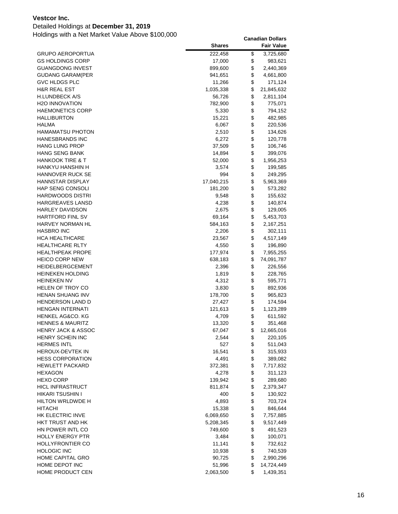### Detailed Holdings at **December 31, 2019**

|                             | <b>Shares</b> | <b>Fair Value</b> |
|-----------------------------|---------------|-------------------|
| GRUPO AEROPORTUA            | 222,458       | \$<br>3,725,680   |
| GS HOLDINGS CORP            | 17,000        | \$<br>983,621     |
| <b>GUANGDONG INVEST</b>     | 899,600       | \$<br>2,440,369   |
| <b>GUDANG GARAM(PER</b>     | 941,651       | \$<br>4,661,800   |
| <b>GVC HLDGS PLC</b>        | 11,266        | \$<br>171,124     |
| <b>H&amp;R REAL EST</b>     | 1,035,338     | \$<br>21,845,632  |
| <b>H.LUNDBECK A/S</b>       | 56,726        | \$<br>2,811,104   |
| <b>H2O INNOVATION</b>       | 782,900       | \$<br>775,071     |
| <b>HAEMONETICS CORP</b>     | 5,330         | \$<br>794,152     |
| <b>HALLIBURTON</b>          | 15,221        | \$<br>482,985     |
| <b>HALMA</b>                | 6,067         | \$<br>220,536     |
| <b>HAMAMATSU PHOTON</b>     | 2,510         | \$<br>134,626     |
| <b>HANESBRANDS INC</b>      | 6,272         | \$<br>120,778     |
| <b>HANG LUNG PROP</b>       | 37,509        | \$<br>106,746     |
| <b>HANG SENG BANK</b>       | 14,894        | \$<br>399,076     |
| <b>HANKOOK TIRE &amp; T</b> | 52,000        | \$<br>1,956,253   |
| HANKYU HANSHIN H            | 3,574         | \$<br>199,585     |
| <b>HANNOVER RUCK SE</b>     | 994           | \$<br>249,295     |
| <b>HANNSTAR DISPLAY</b>     | 17,040,215    | \$<br>5,963,369   |
| HAP SENG CONSOLI            | 181,200       | \$<br>573,282     |
| <b>HARDWOODS DISTRI</b>     | 9,548         | \$<br>155,632     |
| <b>HARGREAVES LANSD</b>     | 4,238         | \$<br>140,874     |
| <b>HARLEY DAVIDSON</b>      | 2,675         | \$<br>129,005     |
| <b>HARTFORD FINL SV</b>     | 69,164        | \$<br>5,453,703   |
| HARVEY NORMAN HL            | 584,163       | \$<br>2,167,251   |
| <b>HASBRO INC</b>           | 2,206         | \$<br>302,111     |
| <b>HCA HEALTHCARE</b>       | 23,567        | \$<br>4,517,149   |
| <b>HEALTHCARE RLTY</b>      | 4,550         | \$<br>196,890     |
| <b>HEALTHPEAK PROPE</b>     | 177,974       | \$<br>7,955,255   |
| <b>HEICO CORP NEW</b>       | 638,183       | \$<br>74,091,787  |
| <b>HEIDELBERGCEMENT</b>     | 2,396         | \$<br>226,556     |
| <b>HEINEKEN HOLDING</b>     | 1,819         | \$<br>228,765     |
| <b>HEINEKEN NV</b>          | 4,312         | \$<br>595,771     |
| HELEN OF TROY CO            | 3,830         | \$<br>892,936     |
| <b>HENAN SHUANG INV</b>     | 178,700       | \$<br>965,823     |
| <b>HENDERSON LAND D</b>     | 27,427        | \$<br>174,594     |
| <b>HENGAN INTERNATI</b>     | 121,613       | \$<br>1,123,289   |
| HENKEL AG&CO. KG            | 4,709         | \$<br>611,592     |
| <b>HENNES &amp; MAURITZ</b> | 13,320        | \$<br>351,468     |
| HENRY JACK & ASSOC          | 67,047        | \$<br>12,665,016  |
| HENRY SCHEIN INC            | 2,544         | \$<br>220,105     |
| <b>HERMES INTL</b>          | 527           | \$<br>511,043     |
| <b>HEROUX-DEVTEK IN</b>     | 16,541        | \$<br>315,933     |
| <b>HESS CORPORATION</b>     | 4,491         | \$<br>389,082     |
| <b>HEWLETT PACKARD</b>      | 372,381       | \$<br>7,717,832   |
| <b>HEXAGON</b>              | 4,278         | \$<br>311,123     |
| <b>HEXO CORP</b>            | 139,942       | \$<br>289,680     |
| <b>HICL INFRASTRUCT</b>     | 811,874       | \$<br>2,379,347   |
| HIKARI TSUSHIN I            | 400           | \$<br>130,922     |
| <b>HILTON WRLDWDE H</b>     | 4,893         | \$<br>703,724     |
| <b>HITACHI</b>              | 15,338        | \$<br>846,644     |
| HK ELECTRIC INVE            | 6,069,650     | \$<br>7,757,885   |
| HKT TRUST AND HK            | 5,208,345     | \$<br>9,517,449   |
| HN POWER INTL CO            | 749,600       | \$<br>491,523     |
| <b>HOLLY ENERGY PTR</b>     | 3,484         | \$<br>100,071     |
| HOLLYFRONTIER CO            | 11,141        | \$<br>732,612     |
| <b>HOLOGIC INC</b>          | 10,938        | \$<br>740,539     |
| HOME CAPITAL GRO            | 90,725        | \$<br>2,990,296   |
| HOME DEPOT INC              | 51,996        | \$<br>14,724,449  |
| HOME PRODUCT CEN            | 2,063,500     | \$<br>1,439,351   |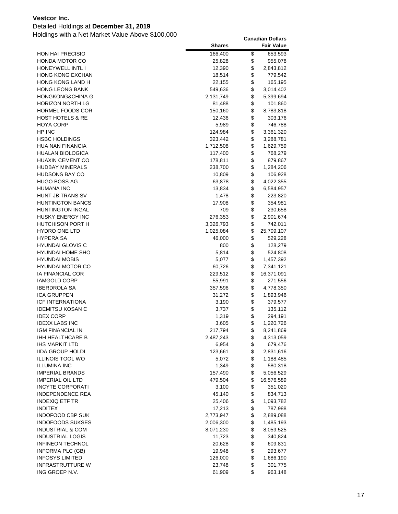### Detailed Holdings at **December 31, 2019**

|                                           | <b>Shares</b>    |          | <b>Fair Value</b>      |
|-------------------------------------------|------------------|----------|------------------------|
| <b>HON HAI PRECISIO</b>                   | 166,400          | \$       | 653,593                |
| HONDA MOTOR CO                            | 25,828           | \$       | 955,078                |
| HONEYWELL INTL I                          | 12,390           | \$       | 2,843,812              |
| <b>HONG KONG EXCHAN</b>                   | 18,514           | \$       | 779,542                |
| <b>HONG KONG LAND H</b>                   | 22,155           | \$       | 165,195                |
| <b>HONG LEONG BANK</b>                    | 549,636          | \$       | 3,014,402              |
| HONGKONG&CHINA G                          | 2,131,749        | \$       | 5,399,694              |
| <b>HORIZON NORTH LG</b>                   | 81,488           | \$       | 101,860                |
| HORMEL FOODS COR                          | 150,160          | \$       | 8,783,818              |
| <b>HOST HOTELS &amp; RE</b>               | 12,436           | \$       | 303,176                |
| <b>HOYA CORP</b>                          | 5,989            | \$       | 746,788                |
| HP INC                                    | 124,984          | \$       | 3,361,320              |
| HSBC HOLDINGS                             | 323,442          | \$       | 3,288,781              |
| HUA NAN FINANCIA                          | 1,712,508        | \$       | 1,629,759              |
| HUALAN BIOLOGICA                          | 117,400          | \$       | 768,279                |
| <b>HUAXIN CEMENT CO</b>                   | 178,811          | \$       | 879,867                |
| <b>HUDBAY MINERALS</b>                    | 238,700          | \$       | 1,284,206              |
| <b>HUDSONS BAY CO</b>                     | 10,809           | \$       | 106,928                |
| <b>HUGO BOSS AG</b>                       | 63,878           | \$       | 4,022,355              |
| <b>HUMANA INC</b>                         | 13,834           | \$       | 6,584,957              |
| HUNT JB TRANS SV                          | 1,478            | \$       | 223,820                |
| <b>HUNTINGTON BANCS</b>                   | 17,908           | \$       | 354,981                |
| <b>HUNTINGTON INGAL</b>                   | 709              | \$       | 230,658                |
| HUSKY ENERGY INC                          | 276,353          | \$       | 2,901,674              |
| HUTCHISON PORT H                          | 3,326,793        | \$       | 742,011                |
| <b>HYDRO ONE LTD</b>                      | 1,025,084        | \$       | 25,709,107             |
| <b>HYPERA SA</b>                          | 46,000           | \$       | 529,228                |
| <b>HYUNDAI GLOVIS C</b>                   | 800              | \$       | 128,279                |
| <b>HYUNDAI HOME SHO</b>                   | 5,814            | \$       | 524,808                |
| <b>HYUNDAI MOBIS</b>                      | 5,077            | \$       | 1,457,392              |
| <b>HYUNDAI MOTOR CO</b>                   | 60,726           | \$       | 7,341,121              |
| IA FINANCIAL COR                          | 229,512          | \$       | 16,371,091             |
| <b>IAMGOLD CORP</b>                       | 55,991           | \$       | 271,556                |
| <b>IBERDROLA SA</b>                       | 357,596          | \$       | 4,778,350              |
| <b>ICA GRUPPEN</b>                        | 31,272           | \$       | 1,893,946              |
| ICF INTERNATIONA                          | 3,190            | \$       | 379,577                |
| <b>IDEMITSU KOSAN C</b>                   | 3,737            | \$       | 135,112                |
| <b>IDEX CORP</b>                          | 1,319            | \$       | 294,191                |
| <b>IDEXX LABS INC</b>                     | 3,605            | \$       | 1,220,726              |
| IGM FINANCIAL IN                          | 217,794          | \$       | 8,241,869              |
| IHH HEALTHCARE B<br><b>IHS MARKIT LTD</b> | 2,487,243        | \$<br>\$ | 4,313,059              |
| <b>IIDA GROUP HOLDI</b>                   | 6,954<br>123,661 | \$       | 679,476                |
| <b>ILLINOIS TOOL WO</b>                   | 5,072            | \$       | 2,831,616<br>1,188,485 |
| <b>ILLUMINA INC</b>                       | 1,349            | \$       | 580,318                |
| <b>IMPERIAL BRANDS</b>                    | 157,490          | \$       | 5,056,529              |
| <b>IMPERIAL OIL LTD</b>                   | 479,504          | \$       | 16,576,589             |
| <b>INCYTE CORPORATI</b>                   | 3,100            | \$       | 351,020                |
| INDEPENDENCE REA                          | 45,140           | \$       | 834,713                |
| INDEXIQ ETF TR                            | 25,406           | \$       | 1,093,782              |
| <b>INDITEX</b>                            | 17,213           | \$       | 787,988                |
| <b>INDOFOOD CBP SUK</b>                   | 2,773,947        | \$       | 2,889,088              |
| <b>INDOFOODS SUKSES</b>                   | 2,006,300        | \$       | 1,485,193              |
| <b>INDUSTRIAL &amp; COM</b>               | 8,071,230        | \$       | 8,059,525              |
| <b>INDUSTRIAL LOGIS</b>                   | 11,723           | \$       | 340,824                |
| <b>INFINEON TECHNOL</b>                   | 20,628           | \$       | 609,831                |
| <b>INFORMA PLC (GB)</b>                   | 19,948           | \$       | 293,677                |
| <b>INFOSYS LIMITED</b>                    | 126,000          | \$       | 1,686,190              |
| <b>INFRASTRUTTURE W</b>                   | 23,748           | \$       | 301,775                |
| ING GROEP N.V.                            | 61,909           | \$       | 963,148                |
|                                           |                  |          |                        |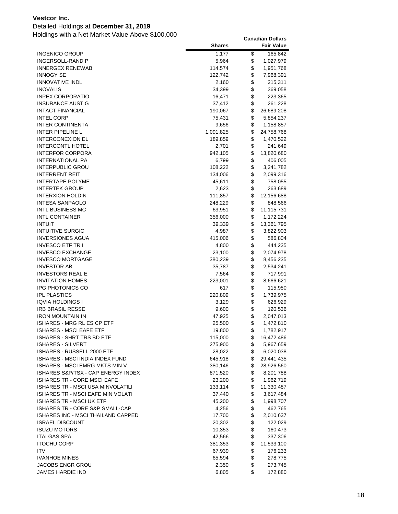### Detailed Holdings at **December 31, 2019**

| <b>INGENICO GROUP</b><br>1,177<br>\$<br>165,842<br>\$<br>INGERSOLL-RAND P<br>5,964<br>1,027,979<br>\$<br>INNERGEX RENEWAB<br>114,574<br>1,951,768<br>\$<br><b>INNOGY SE</b><br>122,742<br>7,968,391<br>\$<br><b>INNOVATIVE INDL</b><br>2,160<br>215,311<br>\$<br>INOVALIS<br>34,399<br>369,058<br>\$<br><b>INPEX CORPORATIO</b><br>16,471<br>223,365<br>\$<br>INSURANCE AUST G<br>37,412<br>261,228<br>\$<br><b>INTACT FINANCIAL</b><br>190,067<br>26,689,208<br>\$<br><b>INTEL CORP</b><br>75,431<br>5,854,237<br>\$<br><b>INTER CONTINENTA</b><br>9,656<br>1,158,857<br>\$<br>INTER PIPELINE L<br>1,091,825<br>24,758,768<br>\$<br>INTERCONEXION EL<br>1,470,522<br>189,859<br>\$<br><b>INTERCONTL HOTEL</b><br>2,701<br>241,649<br>\$<br><b>INTERFOR CORPORA</b><br>942,105<br>13,820,680<br>\$<br>INTERNATIONAL PA<br>6,799<br>406,005<br>\$<br>INTERPUBLIC GROU<br>108,222<br>3,241,782<br>\$<br><b>INTERRENT REIT</b><br>134,006<br>2,099,316<br>\$<br>INTERTAPE POLYME<br>45,611<br>758,055<br>\$<br><b>INTERTEK GROUP</b><br>2,623<br>263,689<br>\$<br><b>INTERXION HOLDIN</b><br>111,857<br>12,156,688<br>\$<br>INTESA SANPAOLO<br>248,229<br>848,566<br>\$<br>INTL BUSINESS MC<br>63,951<br>11,115,731<br>\$<br><b>INTL CONTAINER</b><br>356,000<br>1,172,224<br>\$<br><b>INTUIT</b><br>39,339<br>13,361,795<br>\$<br><b>INTUITIVE SURGIC</b><br>4,987<br>3,822,903<br>\$<br><b>INVERSIONES AGUA</b><br>415,006<br>586,804<br>\$<br>INVESCO ETF TR I<br>4,800<br>444,235<br>\$<br><b>INVESCO EXCHANGE</b><br>23,100<br>2,074,978<br>\$<br><b>INVESCO MORTGAGE</b><br>380,239<br>8,456,235<br>\$<br><b>INVESTOR AB</b><br>35,787<br>2,534,241<br>\$<br><b>INVESTORS REAL E</b><br>7,564<br>717,991<br>\$<br><b>INVITATION HOMES</b><br>223,001<br>8,666,621<br>\$<br>IPG PHOTONICS CO<br>617<br>115,950<br>\$<br><b>IPL PLASTICS</b><br>220,809<br>1,739,975<br>\$<br>IQVIA HOLDINGS I<br>3,129<br>626,929<br>\$<br><b>IRB BRASIL RESSE</b><br>9,600<br>120,536<br>\$<br><b>IRON MOUNTAIN IN</b><br>47,925<br>2,047,013<br>\$<br>ISHARES - MRG RL ES CP ETF<br>25,500<br>1,472,810<br>\$<br>ISHARES - MSCI EAFE ETF<br>19,800<br>1,782,917<br>ISHARES - SHRT TRS BD ETF<br>\$<br>115,000<br>16,472,486<br>\$<br><b>ISHARES - SILVERT</b><br>275,900<br>5,967,659<br>\$<br>ISHARES - RUSSELL 2000 ETF<br>28,022<br>6,020,038<br>\$<br>ISHARES - MSCI INDIA INDEX FUND<br>645,918<br>29,441,435<br>\$<br>ISHARES - MSCI EMRG MKTS MIN V<br>380,146<br>28,926,560<br>\$<br>ISHARES S&P/TSX - CAP ENERGY INDEX<br>871,520<br>8,201,788<br>\$<br>ISHARES TR - CORE MSCI EAFE<br>23,200<br>1,962,719<br>\$<br>ISHARES TR - MSCI USA MINVOLATILI<br>133,114<br>11,330,487<br>\$<br>ISHARES TR - MSCI EAFE MIN VOLATI<br>37,440<br>3,617,484<br>\$<br><b>ISHARES TR - MSCI UK ETF</b><br>45,200<br>1,998,707<br>\$<br>ISHARES TR - CORE S&P SMALL-CAP<br>4,256<br>462,765<br>\$<br>ISHARES INC - MSCI THAILAND CAPPED<br>17,700<br>2,010,637<br>\$<br><b>ISRAEL DISCOUNT</b><br>20,302<br>122,029<br>\$<br><b>ISUZU MOTORS</b><br>10,353<br>160,473<br>\$<br><b>ITALGAS SPA</b><br>42,566<br>337,306<br>\$<br>ITOCHU CORP<br>381,353<br>11,533,100<br>\$<br>ITV<br>67,939<br>176,233<br>\$<br><b>IVANHOE MINES</b><br>65,594<br>278,775<br>\$<br>JACOBS ENGR GROU<br>2,350<br>273,745<br>\$<br>JAMES HARDIE IND<br>6,805<br>172,880 | <b>Shares</b> | <b>Fair Value</b> |
|--------------------------------------------------------------------------------------------------------------------------------------------------------------------------------------------------------------------------------------------------------------------------------------------------------------------------------------------------------------------------------------------------------------------------------------------------------------------------------------------------------------------------------------------------------------------------------------------------------------------------------------------------------------------------------------------------------------------------------------------------------------------------------------------------------------------------------------------------------------------------------------------------------------------------------------------------------------------------------------------------------------------------------------------------------------------------------------------------------------------------------------------------------------------------------------------------------------------------------------------------------------------------------------------------------------------------------------------------------------------------------------------------------------------------------------------------------------------------------------------------------------------------------------------------------------------------------------------------------------------------------------------------------------------------------------------------------------------------------------------------------------------------------------------------------------------------------------------------------------------------------------------------------------------------------------------------------------------------------------------------------------------------------------------------------------------------------------------------------------------------------------------------------------------------------------------------------------------------------------------------------------------------------------------------------------------------------------------------------------------------------------------------------------------------------------------------------------------------------------------------------------------------------------------------------------------------------------------------------------------------------------------------------------------------------------------------------------------------------------------------------------------------------------------------------------------------------------------------------------------------------------------------------------------------------------------------------------------------------------------------------------------------------------------------------------------------------------------------------------------------------------------------------------------------------------------------------------------------------------------------------------------------------------------------------------------------------------|---------------|-------------------|
|                                                                                                                                                                                                                                                                                                                                                                                                                                                                                                                                                                                                                                                                                                                                                                                                                                                                                                                                                                                                                                                                                                                                                                                                                                                                                                                                                                                                                                                                                                                                                                                                                                                                                                                                                                                                                                                                                                                                                                                                                                                                                                                                                                                                                                                                                                                                                                                                                                                                                                                                                                                                                                                                                                                                                                                                                                                                                                                                                                                                                                                                                                                                                                                                                                                                                                                                      |               |                   |
|                                                                                                                                                                                                                                                                                                                                                                                                                                                                                                                                                                                                                                                                                                                                                                                                                                                                                                                                                                                                                                                                                                                                                                                                                                                                                                                                                                                                                                                                                                                                                                                                                                                                                                                                                                                                                                                                                                                                                                                                                                                                                                                                                                                                                                                                                                                                                                                                                                                                                                                                                                                                                                                                                                                                                                                                                                                                                                                                                                                                                                                                                                                                                                                                                                                                                                                                      |               |                   |
|                                                                                                                                                                                                                                                                                                                                                                                                                                                                                                                                                                                                                                                                                                                                                                                                                                                                                                                                                                                                                                                                                                                                                                                                                                                                                                                                                                                                                                                                                                                                                                                                                                                                                                                                                                                                                                                                                                                                                                                                                                                                                                                                                                                                                                                                                                                                                                                                                                                                                                                                                                                                                                                                                                                                                                                                                                                                                                                                                                                                                                                                                                                                                                                                                                                                                                                                      |               |                   |
|                                                                                                                                                                                                                                                                                                                                                                                                                                                                                                                                                                                                                                                                                                                                                                                                                                                                                                                                                                                                                                                                                                                                                                                                                                                                                                                                                                                                                                                                                                                                                                                                                                                                                                                                                                                                                                                                                                                                                                                                                                                                                                                                                                                                                                                                                                                                                                                                                                                                                                                                                                                                                                                                                                                                                                                                                                                                                                                                                                                                                                                                                                                                                                                                                                                                                                                                      |               |                   |
|                                                                                                                                                                                                                                                                                                                                                                                                                                                                                                                                                                                                                                                                                                                                                                                                                                                                                                                                                                                                                                                                                                                                                                                                                                                                                                                                                                                                                                                                                                                                                                                                                                                                                                                                                                                                                                                                                                                                                                                                                                                                                                                                                                                                                                                                                                                                                                                                                                                                                                                                                                                                                                                                                                                                                                                                                                                                                                                                                                                                                                                                                                                                                                                                                                                                                                                                      |               |                   |
|                                                                                                                                                                                                                                                                                                                                                                                                                                                                                                                                                                                                                                                                                                                                                                                                                                                                                                                                                                                                                                                                                                                                                                                                                                                                                                                                                                                                                                                                                                                                                                                                                                                                                                                                                                                                                                                                                                                                                                                                                                                                                                                                                                                                                                                                                                                                                                                                                                                                                                                                                                                                                                                                                                                                                                                                                                                                                                                                                                                                                                                                                                                                                                                                                                                                                                                                      |               |                   |
|                                                                                                                                                                                                                                                                                                                                                                                                                                                                                                                                                                                                                                                                                                                                                                                                                                                                                                                                                                                                                                                                                                                                                                                                                                                                                                                                                                                                                                                                                                                                                                                                                                                                                                                                                                                                                                                                                                                                                                                                                                                                                                                                                                                                                                                                                                                                                                                                                                                                                                                                                                                                                                                                                                                                                                                                                                                                                                                                                                                                                                                                                                                                                                                                                                                                                                                                      |               |                   |
|                                                                                                                                                                                                                                                                                                                                                                                                                                                                                                                                                                                                                                                                                                                                                                                                                                                                                                                                                                                                                                                                                                                                                                                                                                                                                                                                                                                                                                                                                                                                                                                                                                                                                                                                                                                                                                                                                                                                                                                                                                                                                                                                                                                                                                                                                                                                                                                                                                                                                                                                                                                                                                                                                                                                                                                                                                                                                                                                                                                                                                                                                                                                                                                                                                                                                                                                      |               |                   |
|                                                                                                                                                                                                                                                                                                                                                                                                                                                                                                                                                                                                                                                                                                                                                                                                                                                                                                                                                                                                                                                                                                                                                                                                                                                                                                                                                                                                                                                                                                                                                                                                                                                                                                                                                                                                                                                                                                                                                                                                                                                                                                                                                                                                                                                                                                                                                                                                                                                                                                                                                                                                                                                                                                                                                                                                                                                                                                                                                                                                                                                                                                                                                                                                                                                                                                                                      |               |                   |
|                                                                                                                                                                                                                                                                                                                                                                                                                                                                                                                                                                                                                                                                                                                                                                                                                                                                                                                                                                                                                                                                                                                                                                                                                                                                                                                                                                                                                                                                                                                                                                                                                                                                                                                                                                                                                                                                                                                                                                                                                                                                                                                                                                                                                                                                                                                                                                                                                                                                                                                                                                                                                                                                                                                                                                                                                                                                                                                                                                                                                                                                                                                                                                                                                                                                                                                                      |               |                   |
|                                                                                                                                                                                                                                                                                                                                                                                                                                                                                                                                                                                                                                                                                                                                                                                                                                                                                                                                                                                                                                                                                                                                                                                                                                                                                                                                                                                                                                                                                                                                                                                                                                                                                                                                                                                                                                                                                                                                                                                                                                                                                                                                                                                                                                                                                                                                                                                                                                                                                                                                                                                                                                                                                                                                                                                                                                                                                                                                                                                                                                                                                                                                                                                                                                                                                                                                      |               |                   |
|                                                                                                                                                                                                                                                                                                                                                                                                                                                                                                                                                                                                                                                                                                                                                                                                                                                                                                                                                                                                                                                                                                                                                                                                                                                                                                                                                                                                                                                                                                                                                                                                                                                                                                                                                                                                                                                                                                                                                                                                                                                                                                                                                                                                                                                                                                                                                                                                                                                                                                                                                                                                                                                                                                                                                                                                                                                                                                                                                                                                                                                                                                                                                                                                                                                                                                                                      |               |                   |
|                                                                                                                                                                                                                                                                                                                                                                                                                                                                                                                                                                                                                                                                                                                                                                                                                                                                                                                                                                                                                                                                                                                                                                                                                                                                                                                                                                                                                                                                                                                                                                                                                                                                                                                                                                                                                                                                                                                                                                                                                                                                                                                                                                                                                                                                                                                                                                                                                                                                                                                                                                                                                                                                                                                                                                                                                                                                                                                                                                                                                                                                                                                                                                                                                                                                                                                                      |               |                   |
|                                                                                                                                                                                                                                                                                                                                                                                                                                                                                                                                                                                                                                                                                                                                                                                                                                                                                                                                                                                                                                                                                                                                                                                                                                                                                                                                                                                                                                                                                                                                                                                                                                                                                                                                                                                                                                                                                                                                                                                                                                                                                                                                                                                                                                                                                                                                                                                                                                                                                                                                                                                                                                                                                                                                                                                                                                                                                                                                                                                                                                                                                                                                                                                                                                                                                                                                      |               |                   |
|                                                                                                                                                                                                                                                                                                                                                                                                                                                                                                                                                                                                                                                                                                                                                                                                                                                                                                                                                                                                                                                                                                                                                                                                                                                                                                                                                                                                                                                                                                                                                                                                                                                                                                                                                                                                                                                                                                                                                                                                                                                                                                                                                                                                                                                                                                                                                                                                                                                                                                                                                                                                                                                                                                                                                                                                                                                                                                                                                                                                                                                                                                                                                                                                                                                                                                                                      |               |                   |
|                                                                                                                                                                                                                                                                                                                                                                                                                                                                                                                                                                                                                                                                                                                                                                                                                                                                                                                                                                                                                                                                                                                                                                                                                                                                                                                                                                                                                                                                                                                                                                                                                                                                                                                                                                                                                                                                                                                                                                                                                                                                                                                                                                                                                                                                                                                                                                                                                                                                                                                                                                                                                                                                                                                                                                                                                                                                                                                                                                                                                                                                                                                                                                                                                                                                                                                                      |               |                   |
|                                                                                                                                                                                                                                                                                                                                                                                                                                                                                                                                                                                                                                                                                                                                                                                                                                                                                                                                                                                                                                                                                                                                                                                                                                                                                                                                                                                                                                                                                                                                                                                                                                                                                                                                                                                                                                                                                                                                                                                                                                                                                                                                                                                                                                                                                                                                                                                                                                                                                                                                                                                                                                                                                                                                                                                                                                                                                                                                                                                                                                                                                                                                                                                                                                                                                                                                      |               |                   |
|                                                                                                                                                                                                                                                                                                                                                                                                                                                                                                                                                                                                                                                                                                                                                                                                                                                                                                                                                                                                                                                                                                                                                                                                                                                                                                                                                                                                                                                                                                                                                                                                                                                                                                                                                                                                                                                                                                                                                                                                                                                                                                                                                                                                                                                                                                                                                                                                                                                                                                                                                                                                                                                                                                                                                                                                                                                                                                                                                                                                                                                                                                                                                                                                                                                                                                                                      |               |                   |
|                                                                                                                                                                                                                                                                                                                                                                                                                                                                                                                                                                                                                                                                                                                                                                                                                                                                                                                                                                                                                                                                                                                                                                                                                                                                                                                                                                                                                                                                                                                                                                                                                                                                                                                                                                                                                                                                                                                                                                                                                                                                                                                                                                                                                                                                                                                                                                                                                                                                                                                                                                                                                                                                                                                                                                                                                                                                                                                                                                                                                                                                                                                                                                                                                                                                                                                                      |               |                   |
|                                                                                                                                                                                                                                                                                                                                                                                                                                                                                                                                                                                                                                                                                                                                                                                                                                                                                                                                                                                                                                                                                                                                                                                                                                                                                                                                                                                                                                                                                                                                                                                                                                                                                                                                                                                                                                                                                                                                                                                                                                                                                                                                                                                                                                                                                                                                                                                                                                                                                                                                                                                                                                                                                                                                                                                                                                                                                                                                                                                                                                                                                                                                                                                                                                                                                                                                      |               |                   |
|                                                                                                                                                                                                                                                                                                                                                                                                                                                                                                                                                                                                                                                                                                                                                                                                                                                                                                                                                                                                                                                                                                                                                                                                                                                                                                                                                                                                                                                                                                                                                                                                                                                                                                                                                                                                                                                                                                                                                                                                                                                                                                                                                                                                                                                                                                                                                                                                                                                                                                                                                                                                                                                                                                                                                                                                                                                                                                                                                                                                                                                                                                                                                                                                                                                                                                                                      |               |                   |
|                                                                                                                                                                                                                                                                                                                                                                                                                                                                                                                                                                                                                                                                                                                                                                                                                                                                                                                                                                                                                                                                                                                                                                                                                                                                                                                                                                                                                                                                                                                                                                                                                                                                                                                                                                                                                                                                                                                                                                                                                                                                                                                                                                                                                                                                                                                                                                                                                                                                                                                                                                                                                                                                                                                                                                                                                                                                                                                                                                                                                                                                                                                                                                                                                                                                                                                                      |               |                   |
|                                                                                                                                                                                                                                                                                                                                                                                                                                                                                                                                                                                                                                                                                                                                                                                                                                                                                                                                                                                                                                                                                                                                                                                                                                                                                                                                                                                                                                                                                                                                                                                                                                                                                                                                                                                                                                                                                                                                                                                                                                                                                                                                                                                                                                                                                                                                                                                                                                                                                                                                                                                                                                                                                                                                                                                                                                                                                                                                                                                                                                                                                                                                                                                                                                                                                                                                      |               |                   |
|                                                                                                                                                                                                                                                                                                                                                                                                                                                                                                                                                                                                                                                                                                                                                                                                                                                                                                                                                                                                                                                                                                                                                                                                                                                                                                                                                                                                                                                                                                                                                                                                                                                                                                                                                                                                                                                                                                                                                                                                                                                                                                                                                                                                                                                                                                                                                                                                                                                                                                                                                                                                                                                                                                                                                                                                                                                                                                                                                                                                                                                                                                                                                                                                                                                                                                                                      |               |                   |
|                                                                                                                                                                                                                                                                                                                                                                                                                                                                                                                                                                                                                                                                                                                                                                                                                                                                                                                                                                                                                                                                                                                                                                                                                                                                                                                                                                                                                                                                                                                                                                                                                                                                                                                                                                                                                                                                                                                                                                                                                                                                                                                                                                                                                                                                                                                                                                                                                                                                                                                                                                                                                                                                                                                                                                                                                                                                                                                                                                                                                                                                                                                                                                                                                                                                                                                                      |               |                   |
|                                                                                                                                                                                                                                                                                                                                                                                                                                                                                                                                                                                                                                                                                                                                                                                                                                                                                                                                                                                                                                                                                                                                                                                                                                                                                                                                                                                                                                                                                                                                                                                                                                                                                                                                                                                                                                                                                                                                                                                                                                                                                                                                                                                                                                                                                                                                                                                                                                                                                                                                                                                                                                                                                                                                                                                                                                                                                                                                                                                                                                                                                                                                                                                                                                                                                                                                      |               |                   |
|                                                                                                                                                                                                                                                                                                                                                                                                                                                                                                                                                                                                                                                                                                                                                                                                                                                                                                                                                                                                                                                                                                                                                                                                                                                                                                                                                                                                                                                                                                                                                                                                                                                                                                                                                                                                                                                                                                                                                                                                                                                                                                                                                                                                                                                                                                                                                                                                                                                                                                                                                                                                                                                                                                                                                                                                                                                                                                                                                                                                                                                                                                                                                                                                                                                                                                                                      |               |                   |
|                                                                                                                                                                                                                                                                                                                                                                                                                                                                                                                                                                                                                                                                                                                                                                                                                                                                                                                                                                                                                                                                                                                                                                                                                                                                                                                                                                                                                                                                                                                                                                                                                                                                                                                                                                                                                                                                                                                                                                                                                                                                                                                                                                                                                                                                                                                                                                                                                                                                                                                                                                                                                                                                                                                                                                                                                                                                                                                                                                                                                                                                                                                                                                                                                                                                                                                                      |               |                   |
|                                                                                                                                                                                                                                                                                                                                                                                                                                                                                                                                                                                                                                                                                                                                                                                                                                                                                                                                                                                                                                                                                                                                                                                                                                                                                                                                                                                                                                                                                                                                                                                                                                                                                                                                                                                                                                                                                                                                                                                                                                                                                                                                                                                                                                                                                                                                                                                                                                                                                                                                                                                                                                                                                                                                                                                                                                                                                                                                                                                                                                                                                                                                                                                                                                                                                                                                      |               |                   |
|                                                                                                                                                                                                                                                                                                                                                                                                                                                                                                                                                                                                                                                                                                                                                                                                                                                                                                                                                                                                                                                                                                                                                                                                                                                                                                                                                                                                                                                                                                                                                                                                                                                                                                                                                                                                                                                                                                                                                                                                                                                                                                                                                                                                                                                                                                                                                                                                                                                                                                                                                                                                                                                                                                                                                                                                                                                                                                                                                                                                                                                                                                                                                                                                                                                                                                                                      |               |                   |
|                                                                                                                                                                                                                                                                                                                                                                                                                                                                                                                                                                                                                                                                                                                                                                                                                                                                                                                                                                                                                                                                                                                                                                                                                                                                                                                                                                                                                                                                                                                                                                                                                                                                                                                                                                                                                                                                                                                                                                                                                                                                                                                                                                                                                                                                                                                                                                                                                                                                                                                                                                                                                                                                                                                                                                                                                                                                                                                                                                                                                                                                                                                                                                                                                                                                                                                                      |               |                   |
|                                                                                                                                                                                                                                                                                                                                                                                                                                                                                                                                                                                                                                                                                                                                                                                                                                                                                                                                                                                                                                                                                                                                                                                                                                                                                                                                                                                                                                                                                                                                                                                                                                                                                                                                                                                                                                                                                                                                                                                                                                                                                                                                                                                                                                                                                                                                                                                                                                                                                                                                                                                                                                                                                                                                                                                                                                                                                                                                                                                                                                                                                                                                                                                                                                                                                                                                      |               |                   |
|                                                                                                                                                                                                                                                                                                                                                                                                                                                                                                                                                                                                                                                                                                                                                                                                                                                                                                                                                                                                                                                                                                                                                                                                                                                                                                                                                                                                                                                                                                                                                                                                                                                                                                                                                                                                                                                                                                                                                                                                                                                                                                                                                                                                                                                                                                                                                                                                                                                                                                                                                                                                                                                                                                                                                                                                                                                                                                                                                                                                                                                                                                                                                                                                                                                                                                                                      |               |                   |
|                                                                                                                                                                                                                                                                                                                                                                                                                                                                                                                                                                                                                                                                                                                                                                                                                                                                                                                                                                                                                                                                                                                                                                                                                                                                                                                                                                                                                                                                                                                                                                                                                                                                                                                                                                                                                                                                                                                                                                                                                                                                                                                                                                                                                                                                                                                                                                                                                                                                                                                                                                                                                                                                                                                                                                                                                                                                                                                                                                                                                                                                                                                                                                                                                                                                                                                                      |               |                   |
|                                                                                                                                                                                                                                                                                                                                                                                                                                                                                                                                                                                                                                                                                                                                                                                                                                                                                                                                                                                                                                                                                                                                                                                                                                                                                                                                                                                                                                                                                                                                                                                                                                                                                                                                                                                                                                                                                                                                                                                                                                                                                                                                                                                                                                                                                                                                                                                                                                                                                                                                                                                                                                                                                                                                                                                                                                                                                                                                                                                                                                                                                                                                                                                                                                                                                                                                      |               |                   |
|                                                                                                                                                                                                                                                                                                                                                                                                                                                                                                                                                                                                                                                                                                                                                                                                                                                                                                                                                                                                                                                                                                                                                                                                                                                                                                                                                                                                                                                                                                                                                                                                                                                                                                                                                                                                                                                                                                                                                                                                                                                                                                                                                                                                                                                                                                                                                                                                                                                                                                                                                                                                                                                                                                                                                                                                                                                                                                                                                                                                                                                                                                                                                                                                                                                                                                                                      |               |                   |
|                                                                                                                                                                                                                                                                                                                                                                                                                                                                                                                                                                                                                                                                                                                                                                                                                                                                                                                                                                                                                                                                                                                                                                                                                                                                                                                                                                                                                                                                                                                                                                                                                                                                                                                                                                                                                                                                                                                                                                                                                                                                                                                                                                                                                                                                                                                                                                                                                                                                                                                                                                                                                                                                                                                                                                                                                                                                                                                                                                                                                                                                                                                                                                                                                                                                                                                                      |               |                   |
|                                                                                                                                                                                                                                                                                                                                                                                                                                                                                                                                                                                                                                                                                                                                                                                                                                                                                                                                                                                                                                                                                                                                                                                                                                                                                                                                                                                                                                                                                                                                                                                                                                                                                                                                                                                                                                                                                                                                                                                                                                                                                                                                                                                                                                                                                                                                                                                                                                                                                                                                                                                                                                                                                                                                                                                                                                                                                                                                                                                                                                                                                                                                                                                                                                                                                                                                      |               |                   |
|                                                                                                                                                                                                                                                                                                                                                                                                                                                                                                                                                                                                                                                                                                                                                                                                                                                                                                                                                                                                                                                                                                                                                                                                                                                                                                                                                                                                                                                                                                                                                                                                                                                                                                                                                                                                                                                                                                                                                                                                                                                                                                                                                                                                                                                                                                                                                                                                                                                                                                                                                                                                                                                                                                                                                                                                                                                                                                                                                                                                                                                                                                                                                                                                                                                                                                                                      |               |                   |
|                                                                                                                                                                                                                                                                                                                                                                                                                                                                                                                                                                                                                                                                                                                                                                                                                                                                                                                                                                                                                                                                                                                                                                                                                                                                                                                                                                                                                                                                                                                                                                                                                                                                                                                                                                                                                                                                                                                                                                                                                                                                                                                                                                                                                                                                                                                                                                                                                                                                                                                                                                                                                                                                                                                                                                                                                                                                                                                                                                                                                                                                                                                                                                                                                                                                                                                                      |               |                   |
|                                                                                                                                                                                                                                                                                                                                                                                                                                                                                                                                                                                                                                                                                                                                                                                                                                                                                                                                                                                                                                                                                                                                                                                                                                                                                                                                                                                                                                                                                                                                                                                                                                                                                                                                                                                                                                                                                                                                                                                                                                                                                                                                                                                                                                                                                                                                                                                                                                                                                                                                                                                                                                                                                                                                                                                                                                                                                                                                                                                                                                                                                                                                                                                                                                                                                                                                      |               |                   |
|                                                                                                                                                                                                                                                                                                                                                                                                                                                                                                                                                                                                                                                                                                                                                                                                                                                                                                                                                                                                                                                                                                                                                                                                                                                                                                                                                                                                                                                                                                                                                                                                                                                                                                                                                                                                                                                                                                                                                                                                                                                                                                                                                                                                                                                                                                                                                                                                                                                                                                                                                                                                                                                                                                                                                                                                                                                                                                                                                                                                                                                                                                                                                                                                                                                                                                                                      |               |                   |
|                                                                                                                                                                                                                                                                                                                                                                                                                                                                                                                                                                                                                                                                                                                                                                                                                                                                                                                                                                                                                                                                                                                                                                                                                                                                                                                                                                                                                                                                                                                                                                                                                                                                                                                                                                                                                                                                                                                                                                                                                                                                                                                                                                                                                                                                                                                                                                                                                                                                                                                                                                                                                                                                                                                                                                                                                                                                                                                                                                                                                                                                                                                                                                                                                                                                                                                                      |               |                   |
|                                                                                                                                                                                                                                                                                                                                                                                                                                                                                                                                                                                                                                                                                                                                                                                                                                                                                                                                                                                                                                                                                                                                                                                                                                                                                                                                                                                                                                                                                                                                                                                                                                                                                                                                                                                                                                                                                                                                                                                                                                                                                                                                                                                                                                                                                                                                                                                                                                                                                                                                                                                                                                                                                                                                                                                                                                                                                                                                                                                                                                                                                                                                                                                                                                                                                                                                      |               |                   |
|                                                                                                                                                                                                                                                                                                                                                                                                                                                                                                                                                                                                                                                                                                                                                                                                                                                                                                                                                                                                                                                                                                                                                                                                                                                                                                                                                                                                                                                                                                                                                                                                                                                                                                                                                                                                                                                                                                                                                                                                                                                                                                                                                                                                                                                                                                                                                                                                                                                                                                                                                                                                                                                                                                                                                                                                                                                                                                                                                                                                                                                                                                                                                                                                                                                                                                                                      |               |                   |
|                                                                                                                                                                                                                                                                                                                                                                                                                                                                                                                                                                                                                                                                                                                                                                                                                                                                                                                                                                                                                                                                                                                                                                                                                                                                                                                                                                                                                                                                                                                                                                                                                                                                                                                                                                                                                                                                                                                                                                                                                                                                                                                                                                                                                                                                                                                                                                                                                                                                                                                                                                                                                                                                                                                                                                                                                                                                                                                                                                                                                                                                                                                                                                                                                                                                                                                                      |               |                   |
|                                                                                                                                                                                                                                                                                                                                                                                                                                                                                                                                                                                                                                                                                                                                                                                                                                                                                                                                                                                                                                                                                                                                                                                                                                                                                                                                                                                                                                                                                                                                                                                                                                                                                                                                                                                                                                                                                                                                                                                                                                                                                                                                                                                                                                                                                                                                                                                                                                                                                                                                                                                                                                                                                                                                                                                                                                                                                                                                                                                                                                                                                                                                                                                                                                                                                                                                      |               |                   |
|                                                                                                                                                                                                                                                                                                                                                                                                                                                                                                                                                                                                                                                                                                                                                                                                                                                                                                                                                                                                                                                                                                                                                                                                                                                                                                                                                                                                                                                                                                                                                                                                                                                                                                                                                                                                                                                                                                                                                                                                                                                                                                                                                                                                                                                                                                                                                                                                                                                                                                                                                                                                                                                                                                                                                                                                                                                                                                                                                                                                                                                                                                                                                                                                                                                                                                                                      |               |                   |
|                                                                                                                                                                                                                                                                                                                                                                                                                                                                                                                                                                                                                                                                                                                                                                                                                                                                                                                                                                                                                                                                                                                                                                                                                                                                                                                                                                                                                                                                                                                                                                                                                                                                                                                                                                                                                                                                                                                                                                                                                                                                                                                                                                                                                                                                                                                                                                                                                                                                                                                                                                                                                                                                                                                                                                                                                                                                                                                                                                                                                                                                                                                                                                                                                                                                                                                                      |               |                   |
|                                                                                                                                                                                                                                                                                                                                                                                                                                                                                                                                                                                                                                                                                                                                                                                                                                                                                                                                                                                                                                                                                                                                                                                                                                                                                                                                                                                                                                                                                                                                                                                                                                                                                                                                                                                                                                                                                                                                                                                                                                                                                                                                                                                                                                                                                                                                                                                                                                                                                                                                                                                                                                                                                                                                                                                                                                                                                                                                                                                                                                                                                                                                                                                                                                                                                                                                      |               |                   |
|                                                                                                                                                                                                                                                                                                                                                                                                                                                                                                                                                                                                                                                                                                                                                                                                                                                                                                                                                                                                                                                                                                                                                                                                                                                                                                                                                                                                                                                                                                                                                                                                                                                                                                                                                                                                                                                                                                                                                                                                                                                                                                                                                                                                                                                                                                                                                                                                                                                                                                                                                                                                                                                                                                                                                                                                                                                                                                                                                                                                                                                                                                                                                                                                                                                                                                                                      |               |                   |
|                                                                                                                                                                                                                                                                                                                                                                                                                                                                                                                                                                                                                                                                                                                                                                                                                                                                                                                                                                                                                                                                                                                                                                                                                                                                                                                                                                                                                                                                                                                                                                                                                                                                                                                                                                                                                                                                                                                                                                                                                                                                                                                                                                                                                                                                                                                                                                                                                                                                                                                                                                                                                                                                                                                                                                                                                                                                                                                                                                                                                                                                                                                                                                                                                                                                                                                                      |               |                   |
|                                                                                                                                                                                                                                                                                                                                                                                                                                                                                                                                                                                                                                                                                                                                                                                                                                                                                                                                                                                                                                                                                                                                                                                                                                                                                                                                                                                                                                                                                                                                                                                                                                                                                                                                                                                                                                                                                                                                                                                                                                                                                                                                                                                                                                                                                                                                                                                                                                                                                                                                                                                                                                                                                                                                                                                                                                                                                                                                                                                                                                                                                                                                                                                                                                                                                                                                      |               |                   |
|                                                                                                                                                                                                                                                                                                                                                                                                                                                                                                                                                                                                                                                                                                                                                                                                                                                                                                                                                                                                                                                                                                                                                                                                                                                                                                                                                                                                                                                                                                                                                                                                                                                                                                                                                                                                                                                                                                                                                                                                                                                                                                                                                                                                                                                                                                                                                                                                                                                                                                                                                                                                                                                                                                                                                                                                                                                                                                                                                                                                                                                                                                                                                                                                                                                                                                                                      |               |                   |
|                                                                                                                                                                                                                                                                                                                                                                                                                                                                                                                                                                                                                                                                                                                                                                                                                                                                                                                                                                                                                                                                                                                                                                                                                                                                                                                                                                                                                                                                                                                                                                                                                                                                                                                                                                                                                                                                                                                                                                                                                                                                                                                                                                                                                                                                                                                                                                                                                                                                                                                                                                                                                                                                                                                                                                                                                                                                                                                                                                                                                                                                                                                                                                                                                                                                                                                                      |               |                   |
|                                                                                                                                                                                                                                                                                                                                                                                                                                                                                                                                                                                                                                                                                                                                                                                                                                                                                                                                                                                                                                                                                                                                                                                                                                                                                                                                                                                                                                                                                                                                                                                                                                                                                                                                                                                                                                                                                                                                                                                                                                                                                                                                                                                                                                                                                                                                                                                                                                                                                                                                                                                                                                                                                                                                                                                                                                                                                                                                                                                                                                                                                                                                                                                                                                                                                                                                      |               |                   |
|                                                                                                                                                                                                                                                                                                                                                                                                                                                                                                                                                                                                                                                                                                                                                                                                                                                                                                                                                                                                                                                                                                                                                                                                                                                                                                                                                                                                                                                                                                                                                                                                                                                                                                                                                                                                                                                                                                                                                                                                                                                                                                                                                                                                                                                                                                                                                                                                                                                                                                                                                                                                                                                                                                                                                                                                                                                                                                                                                                                                                                                                                                                                                                                                                                                                                                                                      |               |                   |
|                                                                                                                                                                                                                                                                                                                                                                                                                                                                                                                                                                                                                                                                                                                                                                                                                                                                                                                                                                                                                                                                                                                                                                                                                                                                                                                                                                                                                                                                                                                                                                                                                                                                                                                                                                                                                                                                                                                                                                                                                                                                                                                                                                                                                                                                                                                                                                                                                                                                                                                                                                                                                                                                                                                                                                                                                                                                                                                                                                                                                                                                                                                                                                                                                                                                                                                                      |               |                   |
|                                                                                                                                                                                                                                                                                                                                                                                                                                                                                                                                                                                                                                                                                                                                                                                                                                                                                                                                                                                                                                                                                                                                                                                                                                                                                                                                                                                                                                                                                                                                                                                                                                                                                                                                                                                                                                                                                                                                                                                                                                                                                                                                                                                                                                                                                                                                                                                                                                                                                                                                                                                                                                                                                                                                                                                                                                                                                                                                                                                                                                                                                                                                                                                                                                                                                                                                      |               |                   |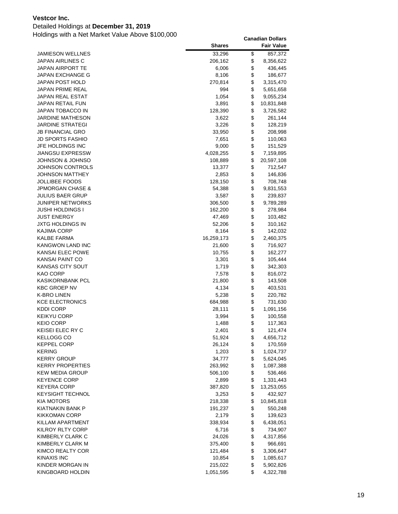### Detailed Holdings at **December 31, 2019**

|                         | <b>Shares</b> | <b>Fair Value</b> |
|-------------------------|---------------|-------------------|
| <b>JAMIESON WELLNES</b> | 33,296        | \$<br>857,372     |
| JAPAN AIRLINES C        | 206,162       | \$<br>8,356,622   |
| JAPAN AIRPORT TE        | 6,006         | \$<br>436,445     |
| JAPAN EXCHANGE G        | 8,106         | \$<br>186,677     |
| JAPAN POST HOLD         | 270,814       | \$<br>3,315,470   |
| JAPAN PRIME REAL        | 994           | \$<br>5,651,658   |
| JAPAN REAL ESTAT        | 1,054         | \$<br>9,055,234   |
| JAPAN RETAIL FUN        | 3,891         | \$<br>10,831,848  |
| JAPAN TOBACCO IN        | 128,390       | \$<br>3,726,582   |
| JARDINE MATHESON        | 3,622         | \$<br>261,144     |
| JARDINE STRATEGI        | 3,226         | \$<br>128,219     |
| JB FINANCIAL GRO        | 33,950        | \$<br>208,998     |
| JD SPORTS FASHIO        | 7,651         | \$<br>110,063     |
| JFE HOLDINGS INC        | 9,000         | \$<br>151,529     |
| <b>JIANGSU EXPRESSW</b> | 4,028,255     | \$<br>7,159,895   |
| JOHNSON & JOHNSO        | 108,889       | \$<br>20,597,108  |
| JOHNSON CONTROLS        | 13,377        | \$<br>712,547     |
| <b>JOHNSON MATTHEY</b>  | 2,853         | \$<br>146,836     |
| JOLLIBEE FOODS          | 128,150       | \$<br>708,748     |
| JPMORGAN CHASE &        | 54,388        | \$<br>9,831,553   |
| <b>JULIUS BAER GRUP</b> | 3,587         | \$<br>239,837     |
| JUNIPER NETWORKS        | 306,500       | \$<br>9,789,289   |
| JUSHI HOLDINGS I        | 162,200       | \$<br>278,984     |
| <b>JUST ENERGY</b>      | 47,469        | \$<br>103,482     |
| <b>JXTG HOLDINGS IN</b> | 52,206        | \$<br>310,162     |
| KAJIMA CORP             | 8,164         | \$<br>142,032     |
| <b>KALBE FARMA</b>      | 16,259,173    | \$<br>2,460,375   |
| KANGWON LAND INC        | 21,600        | \$<br>716,927     |
| KANSAI ELEC POWE        | 10,755        | \$<br>162,277     |
| KANSAI PAINT CO         | 3,301         | \$<br>105,444     |
| <b>KANSAS CITY SOUT</b> | 1,719         | \$<br>342,303     |
| KAO CORP                | 7,578         | \$<br>816,072     |
| KASIKORNBANK PCL        | 21,800        | \$<br>143,508     |
| <b>KBC GROEP NV</b>     | 4,134         | \$<br>403,531     |
| K-BRO LINEN             | 5,238         | \$<br>220,782     |
| <b>KCE ELECTRONICS</b>  | 684,988       | \$<br>731,630     |
| <b>KDDI CORP</b>        | 28,111        | \$<br>1,091,156   |
| KEIKYU CORP             | 3,994         | \$<br>100,558     |
| <b>KEIO CORP</b>        | 1,488         | \$<br>117,363     |
| KEISEI ELEC RY C        | 2,401         | \$<br>121,474     |
| KELLOGG CO              | 51,924        | \$<br>4,656,712   |
| <b>KEPPEL CORP</b>      | 26,124        | \$<br>170,559     |
| <b>KERING</b>           | 1,203         | \$<br>1,024,737   |
| <b>KERRY GROUP</b>      | 34,777        | \$<br>5,624,045   |
| <b>KERRY PROPERTIES</b> | 263,992       | \$<br>1,087,388   |
| <b>KEW MEDIA GROUP</b>  | 506,100       | \$<br>536,466     |
| <b>KEYENCE CORP</b>     | 2,899         | \$<br>1,331,443   |
| <b>KEYERA CORP</b>      | 387,820       | \$<br>13,253,055  |
| KEYSIGHT TECHNOL        | 3,253         | \$<br>432,927     |
| KIA MOTORS              | 218,338       | \$<br>10,845,818  |
| KIATNAKIN BANK P        | 191,237       | \$<br>550,248     |
| <b>KIKKOMAN CORP</b>    | 2,179         | \$<br>139,623     |
| KILLAM APARTMENT        | 338,934       | \$<br>6,438,051   |
| <b>KILROY RLTY CORP</b> | 6,716         | \$<br>734,907     |
| KIMBERLY CLARK C        | 24,026        | \$<br>4,317,856   |
| KIMBERLY CLARK M        | 375,400       | \$<br>966,691     |
| KIMCO REALTY COR        | 121,484       | \$<br>3,306,647   |
| <b>KINAXIS INC</b>      | 10,854        | \$<br>1,085,617   |
| KINDER MORGAN IN        | 215,022       | \$<br>5,902,826   |
| KINGBOARD HOLDIN        | 1,051,595     | \$<br>4,322,788   |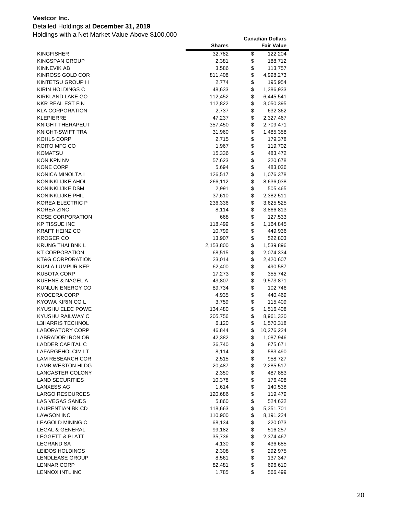### Detailed Holdings at **December 31, 2019**

|                                 | <b>Shares</b>    |          | <b>Fair Value</b>  |
|---------------------------------|------------------|----------|--------------------|
| <b>KINGFISHER</b>               | 32,782           | \$       | 122,204            |
| KINGSPAN GROUP                  | 2,381            | \$       | 188,712            |
| KINNEVIK AB                     | 3,586            | \$       | 113,757            |
| KINROSS GOLD COR                | 811,408          | \$       | 4,998,273          |
| KINTETSU GROUP H                | 2,774            | \$       | 195,954            |
| KIRIN HOLDINGS C                | 48,633           | \$       | 1,386,933          |
| KIRKLAND LAKE GO                | 112,452          | \$       | 6,445,541          |
| KKR REAL EST FIN                | 112,822          | \$       | 3,050,395          |
| KLA CORPORATION                 | 2,737            | \$       | 632,362            |
| KLEPIERRE                       | 47,237           | \$       | 2,327,467          |
| KNIGHT THERAPEUT                | 357,450          | \$       | 2,709,471          |
| KNIGHT-SWIFT TRA                | 31,960           | \$       | 1,485,358          |
| KOHLS CORP                      | 2,715            | \$       | 179,378            |
| KOITO MFG CO                    | 1,967            | \$       | 119,702            |
| KOMATSU                         | 15,336           | \$       | 483,472            |
| KON KPN NV                      | 57,623           | \$       | 220,678            |
| KONE CORP                       | 5,694            | \$       | 483,036            |
| KONICA MINOLTA I                | 126,517          | \$       | 1,076,378          |
| KONINKLIJKE AHOL                | 266,112          | \$       | 8,636,038          |
| KONINKLIJKE DSM                 | 2,991            | \$       | 505,465            |
| KONINKLIJKE PHIL                | 37,610           | \$       | 2,382,511          |
| KOREA ELECTRIC P                | 236,336          | \$       | 3,625,525          |
| KOREA ZINC                      | 8,114            | \$       | 3,866,813          |
| <b>KOSE CORPORATION</b>         | 668              | \$       | 127,533            |
| <b>KP TISSUE INC</b>            | 118,499          | \$       | 1,164,845          |
| KRAFT HEINZ CO                  | 10,799           | \$       | 449,936            |
| <b>KROGER CO</b>                | 13,907           | \$       | 522,803            |
| KRUNG THAI BNK L                | 2,153,800        | \$       | 1,539,896          |
| KT CORPORATION                  | 68,515           | \$       | 2,074,334          |
| KT&G CORPORATION                | 23,014           | \$<br>\$ | 2,420,607          |
| KUALA LUMPUR KEP<br>KUBOTA CORP | 62,400<br>17,273 | \$       | 490,587<br>355,742 |
| KUEHNE & NAGEL A                | 43,807           | \$       | 9,573,871          |
| KUNLUN ENERGY CO                | 89,734           | \$       | 102,746            |
| KYOCERA CORP                    | 4,935            | \$       | 440,469            |
| KYOWA KIRIN CO L                | 3,759            | \$       | 115,409            |
| KYUSHU ELEC POWE                | 134,480          | \$       | 1,516,408          |
| KYUSHU RAILWAY C                | 205,756          | \$       | 8,961,320          |
| <b>L3HARRIS TECHNOL</b>         | 6,120            | \$       | 1,570,318          |
| <b>LABORATORY CORP</b>          | 46,844           | \$       | 10,276,224         |
| <b>LABRADOR IRON OR</b>         | 42,382           | \$       | 1,087,946          |
| LADDER CAPITAL C                | 36,740           | \$       | 875,671            |
| LAFARGEHOLCIM LT                | 8,114            | \$       | 583,490            |
| LAM RESEARCH COR                | 2,515            | \$       | 958,727            |
| LAMB WESTON HLDG                | 20,487           | \$       | 2,285,517          |
| LANCASTER COLONY                | 2,350            | \$       | 487,883            |
| <b>LAND SECURITIES</b>          | 10,378           | \$       | 176,498            |
| <b>LANXESS AG</b>               | 1,614            | \$       | 140,538            |
| LARGO RESOURCES                 | 120,686          | \$       | 119,479            |
| LAS VEGAS SANDS                 | 5,860            | \$       | 524,632            |
| LAURENTIAN BK CD                | 118,663          | \$       | 5,351,701          |
| <b>LAWSON INC</b>               | 110,900          | \$       | 8,191,224          |
| <b>LEAGOLD MINING C</b>         | 68,134           | \$       | 220,073            |
| LEGAL & GENERAL                 | 99,182           | \$       | 516,257            |
| <b>LEGGETT &amp; PLATT</b>      | 35,736           | \$       | 2,374,467          |
| <b>LEGRAND SA</b>               | 4,130            | \$       | 436,685            |
| LEIDOS HOLDINGS                 | 2,308            | \$       | 292,975            |
| LENDLEASE GROUP                 | 8,561            | \$       | 137,347            |
| <b>LENNAR CORP</b>              | 82,481           | \$       | 696,610            |
| LENNOX INTL INC                 | 1,785            | \$       | 566,499            |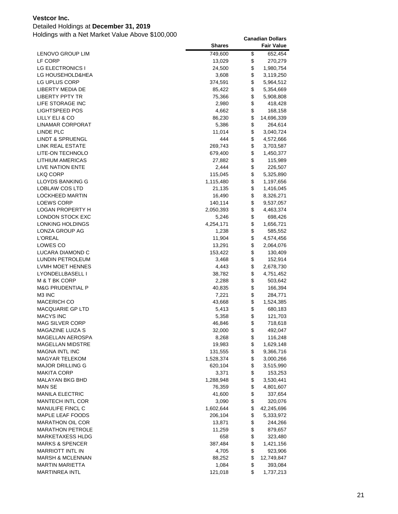### Detailed Holdings at **December 31, 2019**

|                                                  | <b>Shares</b>      |          | <b>Fair Value</b>    |
|--------------------------------------------------|--------------------|----------|----------------------|
| LENOVO GROUP LIM                                 | 749,600            | \$       | 652,454              |
| LF CORP                                          | 13,029             | \$       | 270,279              |
| LG ELECTRONICS I                                 | 24,500             | \$       | 1,980,754            |
| LG HOUSEHOLD&HEA                                 | 3,608              | \$       | 3,119,250            |
| LG UPLUS CORP                                    | 374,591            | \$       | 5,964,512            |
| LIBERTY MEDIA DE                                 | 85,422             | \$       | 5,354,669            |
| <b>LIBERTY PPTY TR</b>                           | 75,366             | \$       | 5,908,808            |
| LIFE STORAGE INC                                 | 2,980              | \$       | 418,428              |
| LIGHTSPEED POS                                   | 4,662              | \$       | 168,158              |
| LILLY ELI & CO                                   | 86,230             | \$       | 14,696,339           |
| LINAMAR CORPORAT                                 | 5,386              | \$       | 264,614              |
| LINDE PLC                                        | 11,014             | \$       | 3,040,724            |
| <b>LINDT &amp; SPRUENGL</b>                      | 444                | \$       | 4,572,666            |
| LINK REAL ESTATE                                 | 269,743            | \$       | 3,703,587            |
| LITE-ON TECHNOLO                                 | 679,400            | \$       | 1,450,377            |
| LITHIUM AMERICAS                                 | 27,882             | \$       | 115,989              |
| LIVE NATION ENTE                                 | 2,444              | \$       | 226,507              |
| LKQ CORP                                         | 115,045            | \$       | 5,325,890            |
| LLOYDS BANKING G                                 | 1,115,480          | \$       | 1,197,656            |
| LOBLAW COS LTD                                   | 21,135             | \$       | 1,416,045            |
| LOCKHEED MARTIN                                  | 16,490             | \$       | 8,326,271            |
| <b>LOEWS CORP</b>                                | 140,114            | \$       | 9,537,057            |
| <b>LOGAN PROPERTY H</b>                          | 2,050,393          | \$       | 4,463,374            |
| LONDON STOCK EXC                                 | 5,246              | \$       | 698,426              |
| LONKING HOLDINGS                                 | 4,254,171          | \$       | 1,656,721            |
| LONZA GROUP AG                                   | 1,238              | \$       | 585,552              |
| <b>L'OREAL</b>                                   | 11,904             | \$       | 4,574,456            |
| LOWES CO                                         | 13,291             | \$       | 2,064,076            |
| LUCARA DIAMOND C                                 | 153,422            | \$       | 130,409              |
| LUNDIN PETROLEUM                                 | 3,468              | \$       | 152,914              |
| LVMH MOET HENNES                                 | 4,443              | \$       | 2,678,730            |
| LYONDELLBASELL I                                 | 38,782             | \$       | 4,751,452            |
| M & T BK CORP                                    | 2,288              | \$       | 503,642              |
| <b>M&amp;G PRUDENTIAL P</b>                      | 40,835             | \$       | 166,394              |
| M3 INC                                           | 7,221              | \$       | 284,771              |
| <b>MACERICH CO</b>                               | 43,668             | \$       | 1,524,385            |
| <b>MACQUARIE GP LTD</b>                          | 5,413              | \$       | 680,183              |
| <b>MACYS INC</b>                                 | 5,358              | \$       | 121,703              |
| <b>MAG SILVER CORP</b>                           | 46,846             | \$       | 718,618              |
| MAGAZINE LUIZA S                                 | 32,000             | \$       | 492,047              |
| <b>MAGELLAN AEROSPA</b>                          | 8,268              | \$       | 116,248              |
| MAGELLAN MIDSTRE<br><b>MAGNA INTL INC</b>        | 19,983             | \$<br>\$ | 1,629,148            |
|                                                  | 131,555            |          | 9,366,716            |
| <b>MAGYAR TELEKOM</b><br><b>MAJOR DRILLING G</b> | 1,528,374          | \$       | 3,000,266            |
| <b>MAKITA CORP</b>                               | 620,104            | \$<br>\$ | 3,515,990            |
| MALAYAN BKG BHD                                  | 3,371<br>1,288,948 | \$       | 153,253<br>3,530,441 |
| MAN SE                                           | 76,359             | \$       | 4,801,607            |
| <b>MANILA ELECTRIC</b>                           | 41,600             | \$       | 337,654              |
| MANTECH INTL COR                                 | 3,090              | \$       | 320,076              |
| <b>MANULIFE FINCL C</b>                          | 1,602,644          | \$       | 42,245,696           |
| <b>MAPLE LEAF FOODS</b>                          | 206,104            | \$       | 5,333,972            |
| <b>MARATHON OIL COR</b>                          | 13,871             | \$       | 244,266              |
| <b>MARATHON PETROLE</b>                          | 11,259             | \$       | 879,657              |
| <b>MARKETAXESS HLDG</b>                          | 658                | \$       | 323,480              |
| <b>MARKS &amp; SPENCER</b>                       | 387,484            | \$       | 1,421,156            |
| <b>MARRIOTT INTL IN</b>                          | 4,705              | \$       | 923,906              |
| <b>MARSH &amp; MCLENNAN</b>                      | 88,252             | \$       | 12,749,847           |
| <b>MARTIN MARIETTA</b>                           | 1,084              | \$       | 393,084              |
| <b>MARTINREA INTL</b>                            | 121,018            | \$       | 1,737,213            |
|                                                  |                    |          |                      |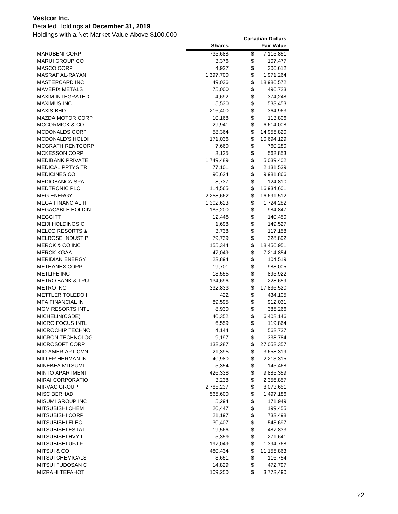### Detailed Holdings at **December 31, 2019**

|                                           | <b>Shares</b>   |          | <b>Fair Value</b>    |
|-------------------------------------------|-----------------|----------|----------------------|
| <b>MARUBENI CORP</b>                      | 735,688         | \$       | 7,115,851            |
| <b>MARUI GROUP CO</b>                     | 3,376           | \$       | 107,477              |
| MASCO CORP                                | 4,927           | \$       | 306,612              |
| <b>MASRAF AL-RAYAN</b>                    | 1,397,700       | \$       | 1,971,264            |
| MASTERCARD INC                            | 49,036          | \$       | 18,986,572           |
| MAVERIX METALS I                          | 75,000          | \$       | 496,723              |
| MAXIM INTEGRATED                          | 4,692           | \$       | 374,248              |
| <b>MAXIMUS INC</b>                        | 5,530           | \$       | 533,453              |
| <b>MAXIS BHD</b>                          | 216,400         | \$       | 364,963              |
| MAZDA MOTOR CORP                          | 10,168          | \$       | 113,806              |
| MCCORMICK & CO I                          | 29,941          | \$       | 6,614,008            |
| MCDONALDS CORP                            | 58,364          | \$       | 14,955,820           |
| MCDONALD'S HOLDI                          | 171,036         | \$       | 10,694,129           |
| MCGRATH RENTCORP                          | 7,660           | \$       | 760,280              |
| <b>MCKESSON CORP</b>                      | 3,125           | \$       | 562,853              |
| MEDIBANK PRIVATE                          | 1,749,489       | \$       | 5,039,402            |
| MEDICAL PPTYS TR                          | 77,101          | \$       | 2,131,539            |
| MEDICINES CO                              | 90,624          | \$       | 9,981,866            |
| MEDIOBANCA SPA                            | 8,737           | \$       | 124,810              |
| <b>MEDTRONIC PLC</b>                      | 114,565         | \$       | 16,934,601           |
| MEG ENERGY                                | 2,258,662       | \$       | 16,691,512           |
| MEGA FINANCIAL H                          | 1,302,623       | \$       | 1,724,282            |
| MEGACABLE HOLDIN                          | 185,200         | \$       | 984,847              |
| <b>MEGGITT</b>                            | 12,448          | \$       | 140,450              |
| MEIJI HOLDINGS C                          | 1,698           | \$       | 149,527              |
| <b>MELCO RESORTS &amp;</b>                | 3,738           | \$       | 117,158              |
| MELROSE INDUST P                          | 79,739          | \$       | 328,892              |
| MERCK & CO INC                            | 155,344         | \$       | 18,456,951           |
| MERCK KGAA                                | 47,049          | \$       | 7,214,854            |
| <b>MERIDIAN ENERGY</b>                    | 23,894          | \$       | 104,519              |
| METHANEX CORP                             | 19,701          | \$       | 988,005              |
| <b>METLIFE INC</b>                        | 13,555          | \$       | 895,922              |
| METRO BANK & TRU                          | 134,696         | \$       | 228,659              |
| METRO INC                                 | 332,833         | \$       | 17,836,520           |
| <b>METTLER TOLEDO I</b>                   | 422             | \$       | 434,105              |
| <b>MFA FINANCIAL IN</b>                   | 89,595          | \$       | 912,031              |
| <b>MGM RESORTS INTL</b><br>MICHELIN(CGDE) | 8,930           | \$<br>\$ | 385,266<br>6,408,146 |
| <b>MICRO FOCUS INTL</b>                   | 40,352          | \$       |                      |
| MICROCHIP TECHNO                          | 6,559           | \$       | 119,864              |
| <b>MICRON TECHNOLOG</b>                   | 4,144<br>19,197 | \$       | 562,737<br>1,338,784 |
| MICROSOFT CORP                            | 132,287         | \$       | 27,052,357           |
| MID-AMER APT CMN                          | 21,395          | \$       | 3,658,319            |
| MILLER HERMAN IN                          | 40,980          | \$       | 2,213,315            |
| MINEBEA MITSUMI                           | 5,354           | \$       | 145,468              |
| MINTO APARTMENT                           | 426,338         | \$       | 9,885,359            |
| <b>MIRAI CORPORATIO</b>                   | 3,238           | \$       | 2,356,857            |
| <b>MIRVAC GROUP</b>                       | 2,785,237       | \$       | 8,073,651            |
| MISC BERHAD                               | 565,600         | \$       | 1,497,186            |
| MISUMI GROUP INC                          | 5,294           | \$       | 171,949              |
| <b>MITSUBISHI CHEM</b>                    | 20,447          | \$       | 199,455              |
| <b>MITSUBISHI CORP</b>                    | 21,197          | \$       | 733,498              |
| MITSUBISHI ELEC                           | 30,407          | \$       | 543,697              |
| MITSUBISHI ESTAT                          | 19,566          | \$       | 487,833              |
| MITSUBISHI HVY I                          | 5,359           | \$       | 271,641              |
| MITSUBISHI UFJ F                          | 197,049         | \$       | 1,394,768            |
| <b>MITSUI &amp; CO</b>                    | 480,434         | \$       | 11,155,863           |
| <b>MITSUI CHEMICALS</b>                   | 3,651           | \$       | 116,754              |
| MITSUI FUDOSAN C                          | 14,829          | \$       | 472,797              |
| <b>MIZRAHI TEFAHOT</b>                    | 109,250         | \$       | 3,773,490            |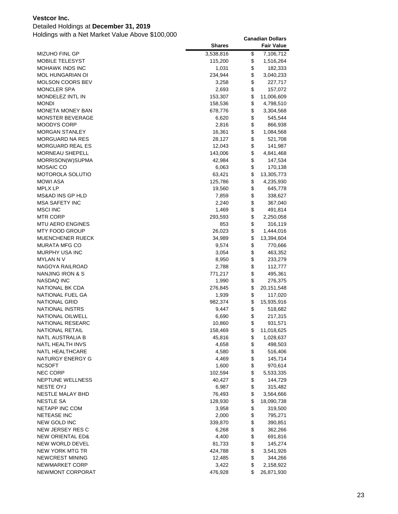### Detailed Holdings at **December 31, 2019**

|                             | <b>Shares</b> | <b>Fair Value</b>  |
|-----------------------------|---------------|--------------------|
| MIZUHO FINL GP              | 3,538,816     | \$<br>7,106,712    |
| <b>MOBILE TELESYST</b>      | 115,200       | \$<br>1,516,264    |
| <b>MOHAWK INDS INC</b>      | 1,031         | \$<br>182,333      |
| <b>MOL HUNGARIAN OI</b>     | 234,944       | \$<br>3,040,233    |
| MOLSON COORS BEV            | 3,258         | \$<br>227,717      |
| <b>MONCLER SPA</b>          | 2,693         | \$<br>157,072      |
| MONDELEZ INTL IN            | 153,307       | \$<br>11,006,609   |
| <b>MONDI</b>                | 158,536       | \$<br>4,798,510    |
| MONETA MONEY BAN            | 678,776       | \$<br>3,304,568    |
| MONSTER BEVERAGE            | 6,620         | \$<br>545,544      |
| <b>MOODYS CORP</b>          | 2,816         | \$<br>866,938      |
| <b>MORGAN STANLEY</b>       | 16,361        | \$<br>1,084,568    |
| <b>MORGUARD NA RES</b>      | 28,127        | \$<br>521,708      |
| MORGUARD REAL ES            | 12,043        | \$<br>141,987      |
| <b>MORNEAU SHEPELL</b>      | 143,006       | \$<br>4,841,468    |
| MORRISON(W)SUPMA            | 42,984        | \$<br>147,534      |
| MOSAIC CO                   | 6,063         | \$<br>170,138      |
| MOTOROLA SOLUTIO            | 63,421        | \$<br>13,305,773   |
| <b>MOWI ASA</b>             | 125,786       | \$<br>4,235,930    |
| <b>MPLX LP</b>              | 19,560        | \$<br>645,778      |
| MS&AD INS GP HLD            | 7,859         | \$<br>338,627      |
| <b>MSA SAFETY INC</b>       | 2,240         | \$<br>367,040      |
| MSCI INC                    | 1,469         | \$<br>491,814      |
| <b>MTR CORP</b>             | 293,593       | \$<br>2,250,058    |
| <b>MTU AERO ENGINES</b>     | 853           | \$<br>316,119      |
| <b>MTY FOOD GROUP</b>       | 26,023        | \$<br>1,444,016    |
| MUENCHENER RUECK            | 34,989        | \$<br>13,394,604   |
| MURATA MFG CO               | 9,574         | \$<br>770,666      |
| MURPHY USA INC              | 3,054         | \$<br>463,352      |
| MYLAN N V                   | 8,950         | \$<br>233,279      |
| NAGOYA RAILROAD             | 2,788         | \$<br>112,777      |
| NANJING IRON & S            | 771,217       | \$<br>495,361      |
| NASDAQ INC                  | 1,990         | \$<br>276,375      |
| NATIONAL BK CDA             | 276,845       | \$<br>20, 151, 548 |
| NATIONAL FUEL GA            | 1,939         | \$<br>117,020      |
| <b>NATIONAL GRID</b>        | 982,374       | \$<br>15,935,916   |
| NATIONAL INSTRS             | 9,447         | \$<br>518,682      |
| NATIONAL OILWELL            | 6,690         | \$<br>217,315      |
| <b>NATIONAL RESEARC</b>     | 10,860        | \$<br>931,571      |
| NATIONAL RETAIL             | 158,469       | \$<br>11,018,625   |
| NATL AUSTRALIA B            | 45,816        | \$<br>1,028,637    |
| <b>NATL HEALTH INVS</b>     | 4,658         | \$<br>498,503      |
| NATL HEALTHCARE             | 4,580         | \$<br>516,406      |
| NATURGY ENERGY G            | 4,469         | \$<br>145,714      |
| <b>NCSOFT</b>               | 1,600         | \$<br>970,614      |
| <b>NEC CORP</b>             | 102,594       | \$<br>5,533,335    |
| NEPTUNE WELLNESS            | 40,427        | \$<br>144,729      |
| NESTE OYJ                   | 6,987         | \$<br>315,482      |
| NESTLE MALAY BHD            | 76,493        | \$<br>3,564,666    |
| NESTLE SA                   | 128,930       | \$<br>18,090,738   |
| NETAPP INC COM              | 3,958         | \$<br>319,500      |
| <b>NETEASE INC</b>          | 2,000         | \$<br>795,271      |
| NEW GOLD INC                | 339,870       | \$<br>390,851      |
| NEW JERSEY RES C            | 6,268         | \$<br>362,266      |
| <b>NEW ORIENTAL ED&amp;</b> | 4,400         | \$<br>691,816      |
| NEW WORLD DEVEL             | 81,733        | \$<br>145,274      |
| NEW YORK MTG TR             | 424,788       | \$<br>3,541,926    |
| NEWCREST MINING             | 12,485        | \$<br>344,266      |
| NEWMARKET CORP              | 3,422         | \$<br>2,158,922    |
| NEWMONT CORPORAT            | 476,928       | \$<br>26,871,930   |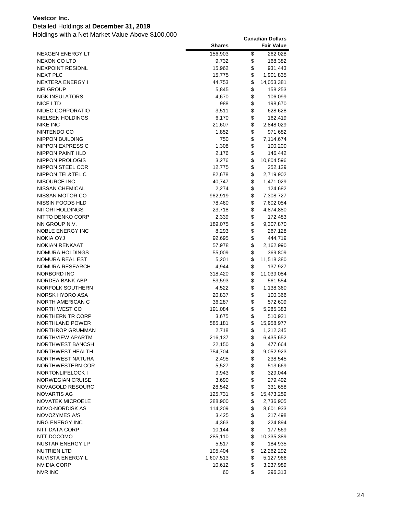### Detailed Holdings at **December 31, 2019**

|                                     | <b>Shares</b>    |          | <b>Fair Value</b>      |
|-------------------------------------|------------------|----------|------------------------|
| NEXGEN ENERGY LT                    | 156,903          | \$       | 262,028                |
| NEXON CO LTD                        | 9,732            | \$       | 168,382                |
| <b>NEXPOINT RESIDNL</b>             | 15,962           | \$       | 931,443                |
| NEXT PLC                            | 15,775           | \$       | 1,901,835              |
| NEXTERA ENERGY I                    | 44,753           | \$       | 14,053,381             |
| <b>NFI GROUP</b>                    | 5,845            | \$       | 158,253                |
| <b>NGK INSULATORS</b>               | 4,670            | \$       | 106,099                |
| NICE LTD                            | 988              | \$       | 198,670                |
| NIDEC CORPORATIO                    | 3,511            | \$       | 628,628                |
| NIELSEN HOLDINGS                    | 6,170            | \$       | 162,419                |
| <b>NIKE INC</b>                     | 21,607           | \$       | 2,848,029              |
| NINTENDO CO                         | 1,852            | \$       | 971,682                |
| <b>NIPPON BUILDING</b>              | 750              | \$       | 7,114,674              |
| NIPPON EXPRESS C                    | 1,308            | \$       | 100,200                |
| NIPPON PAINT HLD                    | 2,176            | \$       | 146,442                |
| NIPPON PROLOGIS                     | 3,276            | \$       | 10,804,596             |
| NIPPON STEEL COR                    | 12,775           | \$       | 252,129                |
| NIPPON TEL&TEL C                    | 82,678           | \$       | 2,719,902              |
| NISOURCE INC                        | 40,747           | \$       | 1,471,029              |
| NISSAN CHEMICAL                     | 2,274            | \$       | 124,682                |
| NISSAN MOTOR CO                     | 962,919          | \$       | 7,308,727              |
| NISSIN FOODS HLD                    | 78,460           | \$       | 7,602,054              |
| NITORI HOLDINGS                     | 23,718           | \$       | 4,874,880              |
| NITTO DENKO CORP                    | 2,339            | \$       | 172,483                |
| NN GROUP N.V.                       | 189,075          | \$       | 9,307,870              |
| NOBLE ENERGY INC                    | 8,293            | \$       | 267,128                |
| <b>NOKIA OYJ</b>                    | 92,695           | \$       | 444,719                |
| NOKIAN RENKAAT                      | 57,978           | \$       | 2,162,990              |
| NOMURA HOLDINGS                     | 55,009           | \$       | 369,809                |
| NOMURA REAL EST                     | 5,201            | \$       | 11,518,380             |
| NOMURA RESEARCH                     | 4,944            | \$       | 137,927                |
| NORBORD INC                         | 318,420          | \$       | 11,039,084             |
| NORDEA BANK ABP                     | 53,593           | \$       | 561,554                |
| NORFOLK SOUTHERN                    | 4,522            | \$       | 1,138,360              |
| NORSK HYDRO ASA                     | 20,837           | \$       | 100,366                |
| NORTH AMERICAN C                    | 36,287           | \$       | 572,609                |
| NORTH WEST CO                       | 191,084          | \$       | 5,285,383              |
| NORTHERN TR CORP                    | 3,675            | \$       | 510,921                |
| NORTHLAND POWER<br>NORTHROP GRUMMAN | 585,181          | \$<br>\$ | 15,958,977             |
| NORTHVIEW APARTM                    | 2,718<br>216,137 | \$       | 1,212,345<br>6,435,652 |
| <b>NORTHWEST BANCSH</b>             | 22,150           | \$       | 477,664                |
| NORTHWEST HEALTH                    | 754,704          | \$       | 9,052,923              |
| NORTHWEST NATURA                    | 2,495            | \$       | 238,545                |
| NORTHWESTERN COR                    | 5,527            | \$       | 513,669                |
| NORTONLIFELOCK I                    | 9,943            | \$       | 329,044                |
| NORWEGIAN CRUISE                    | 3,690            | \$       | 279,492                |
| NOVAGOLD RESOURC                    | 28,542           | \$       | 331,658                |
| <b>NOVARTIS AG</b>                  | 125,731          | \$       | 15,473,259             |
| <b>NOVATEK MICROELE</b>             | 288,900          | \$       | 2,736,905              |
| NOVO-NORDISK AS                     | 114,209          | \$       | 8,601,933              |
| NOVOZYMES A/S                       | 3,425            | \$       | 217,498                |
| NRG ENERGY INC                      | 4,363            | \$       | 224,894                |
| NTT DATA CORP                       | 10,144           | \$       | 177,569                |
| NTT DOCOMO                          | 285,110          | \$       | 10,335,389             |
| NUSTAR ENERGY LP                    | 5,517            | \$       | 184,935                |
| <b>NUTRIEN LTD</b>                  | 195,404          | \$       | 12,262,292             |
| NUVISTA ENERGY L                    | 1,607,513        | \$       | 5,127,966              |
| NVIDIA CORP                         | 10,612           | \$       | 3,237,989              |
| <b>NVR INC</b>                      | 60               | \$       | 296,313                |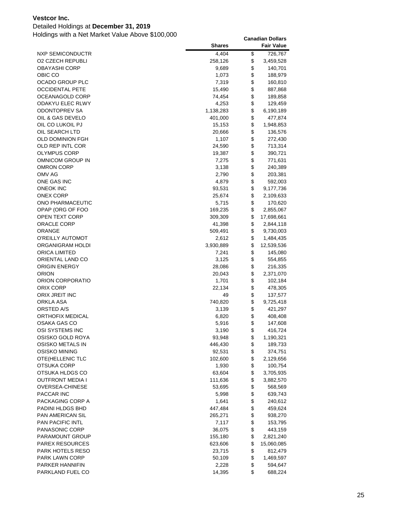### Detailed Holdings at **December 31, 2019**

|                         | <b>Shares</b>   |          | <b>Fair Value</b>  |
|-------------------------|-----------------|----------|--------------------|
| NXP SEMICONDUCTR        | 4,404           | \$       | 726,767            |
| O2 CZECH REPUBLI        | 258,126         | \$       | 3,459,528          |
| OBAYASHI CORP           | 9,689           | \$       | 140,701            |
| OBIC CO                 | 1,073           | \$       | 188,979            |
| OCADO GROUP PLC         | 7,319           | \$       | 160,810            |
| OCCIDENTAL PETE         | 15,490          | \$       | 887,868            |
| OCEANAGOLD CORP         | 74,454          | \$       | 189,858            |
| ODAKYU ELEC RLWY        | 4,253           | \$       | 129,459            |
| ODONTOPREV SA           | 1,138,283       | \$       | 6,190,189          |
| OIL & GAS DEVELO        | 401,000         | \$       | 477,874            |
| OIL CO LUKOIL PJ        | 15,153          | \$       | 1,948,853          |
| OIL SEARCH LTD          | 20,666          | \$       | 136,576            |
| OLD DOMINION FGH        | 1,107           | \$       | 272,430            |
| OLD REP INTL COR        | 24,590          | \$       | 713,314            |
| OLYMPUS CORP            | 19,387          | \$       | 390,721            |
| OMNICOM GROUP IN        | 7,275           | \$       | 771,631            |
| OMRON CORP              | 3,138           | \$       | 240,389            |
| OMV AG                  | 2,790           | \$       | 203,381            |
| ONE GAS INC             | 4,879           | \$       | 592,003            |
| ONEOK INC               | 93,531          | \$       | 9,177,736          |
| ONEX CORP               | 25,674          | \$       | 2,109,633          |
| ONO PHARMACEUTIC        | 5,715           | \$       | 170,620            |
| OPAP (ORG OF FOO        | 169,235         | \$       | 2,855,067          |
| OPEN TEXT CORP          | 309,309         | \$       | 17,698,661         |
| <b>ORACLE CORP</b>      | 41,398          | \$       | 2,844,118          |
| ORANGE                  | 509,491         | \$       | 9,730,003          |
| O'REILLY AUTOMOT        | 2,612           | \$       | 1,484,435          |
| ORGANIGRAM HOLDI        | 3,930,889       | \$       | 12,539,536         |
| ORICA LIMITED           | 7,241           | \$       | 145,080            |
| ORIENTAL LAND CO        | 3,125           | \$       | 554,855            |
| ORIGIN ENERGY<br>ORION  | 28,086          | \$<br>\$ | 216,335            |
| ORION CORPORATIO        | 20,043<br>1,701 | \$       | 2,371,070          |
| ORIX CORP               | 22,134          | \$       | 102,184<br>478,305 |
| ORIX JREIT INC          | 49              | \$       | 137,577            |
| ORKLA ASA               | 740,820         | \$       | 9,725,418          |
| ORSTED A/S              | 3,139           | \$       | 421,297            |
| ORTHOFIX MEDICAL        | 6,820           | \$       | 408,408            |
| OSAKA GAS CO            | 5,916           | \$       | 147,608            |
| OSI SYSTEMS INC         | 3,190           | \$       | 416,724            |
| OSISKO GOLD ROYA        | 93,948          | \$       | 1,190,321          |
| <b>OSISKO METALS IN</b> | 446,430         | \$       | 189,733            |
| <b>OSISKO MINING</b>    | 92,531          | \$       | 374,751            |
| OTE(HELLENIC TLC        | 102,600         | \$       | 2,129,656          |
| OTSUKA CORP             | 1,930           | \$       | 100,754            |
| OTSUKA HLDGS CO         | 63,604          | \$       | 3,705,935          |
| OUTFRONT MEDIA I        | 111,636         | \$       | 3,882,570          |
| OVERSEA-CHINESE         | 53,695          | \$       | 568,569            |
| PACCAR INC              | 5,998           | \$       | 639,743            |
| PACKAGING CORP A        | 1,641           | \$       | 240,612            |
| PADINI HLDGS BHD        | 447,484         | \$       | 459,624            |
| PAN AMERICAN SIL        | 265,271         | \$       | 938,270            |
| <b>PAN PACIFIC INTL</b> | 7,117           | \$       | 153,795            |
| PANASONIC CORP          | 36,075          | \$       | 443,159            |
| PARAMOUNT GROUP         | 155,180         | \$       | 2,821,240          |
| PAREX RESOURCES         | 623,606         | \$       | 15,060,085         |
| PARK HOTELS RESO        | 23,715          | \$       | 812,479            |
| PARK LAWN CORP          | 50,109          | \$       | 1,469,597          |
| PARKER HANNIFIN         | 2,228           | \$<br>\$ | 594,647            |
| PARKLAND FUEL CO        | 14,395          |          | 688,224            |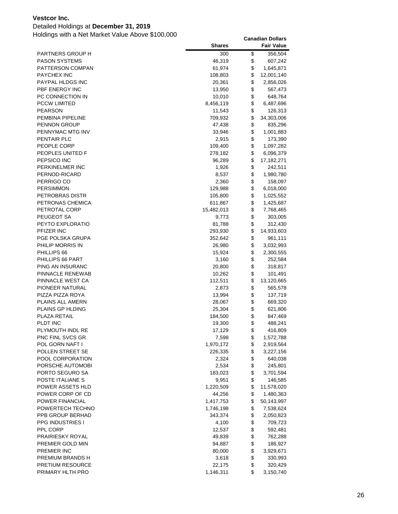### Detailed Holdings at **December 31, 2019**

|                                      | <b>Shares</b>   |          | <b>Fair Value</b>    |
|--------------------------------------|-----------------|----------|----------------------|
| PARTNERS GROUP H                     | 300             | \$       | 356,504              |
| PASON SYSTEMS                        | 46,319          | \$       | 607,242              |
| PATTERSON COMPAN                     | 61,974          | \$       | 1,645,871            |
| <b>PAYCHEX INC</b>                   | 108,803         | \$       | 12,001,140           |
| PAYPAL HLDGS INC                     | 20,361          | \$       | 2,856,026            |
| PBF ENERGY INC                       | 13,950          | \$       | 567,473              |
| PC CONNECTION IN                     | 10,010          | \$       | 648,764              |
| <b>PCCW LIMITED</b>                  | 8,456,119       | \$       | 6,487,696            |
| <b>PEARSON</b>                       | 11,543          | \$       | 126,313              |
| PEMBINA PIPELINE                     | 709,932         | \$       | 34,303,006           |
| <b>PENNON GROUP</b>                  | 47,438          | \$       | 835,296              |
| PENNYMAC MTG INV                     | 33,946          | \$       | 1,001,883            |
| PENTAIR PLC                          | 2,915           | \$       | 173,390              |
| PEOPLE CORP                          | 109,400         | \$       | 1,097,282            |
| PEOPLES UNITED F                     | 278,182         | \$       | 6,096,379            |
| PEPSICO INC                          | 96,289          | \$       | 17, 182, 271         |
| PERKINELMER INC                      | 1,926           | \$       | 242,511              |
| PERNOD-RICARD                        | 8,537           | \$       | 1,980,780            |
| PERRIGO CO                           | 2,360           | \$       | 158,097              |
| <b>PERSIMMON</b>                     | 129,988         | \$       | 6,018,000            |
| PETROBRAS DISTR                      | 105,800         | \$       | 1,025,552            |
| PETRONAS CHEMICA                     | 611,867         | \$       | 1,425,687            |
| PETROTAL CORP                        | 15,482,013      | \$       | 7,768,465            |
| PEUGEOT SA                           | 9,773           | \$       | 303,005              |
| PEYTO EXPLORATIO                     | 81,788          | \$       | 312,430              |
| PFIZER INC                           | 293,930         | \$       | 14,933,603           |
| PGE POLSKA GRUPA                     | 352,642         | \$       | 961,111              |
| PHILIP MORRIS IN                     | 26,980          | \$       | 3,032,993            |
| PHILLIPS 66                          | 15,924          | \$       | 2,300,555            |
| PHILLIPS 66 PART                     | 3,160           | \$       | 252,584              |
| PING AN INSURANC                     | 20,800          | \$       | 318,817              |
| PINNACLE RENEWAB                     | 10,262          | \$       | 101,491              |
| PINNACLE WEST CA                     | 112,511         | \$       | 13,120,665           |
| PIONEER NATURAL                      | 2,873           | \$       | 565,578              |
| PIZZA PIZZA ROYA                     | 13,994          | \$       | 137,719              |
| PLAINS ALL AMERN                     | 28,067          | \$       | 669,320              |
| <b>PLAINS GP HLDING</b>              | 25,304          | \$       | 621,806              |
| PLAZA RETAIL                         | 184,500         | \$       | 847,469              |
| PLDT INC                             | 19,300          | \$<br>\$ | 488,241              |
| PLYMOUTH INDL RE<br>PNC FINL SVCS GR | 17,129<br>7,598 | \$       | 416,809<br>1,572,788 |
| POL GORN NAFT I                      | 1,970,172       | \$       | 2,919,564            |
| POLLEN STREET SE                     | 226,335         | \$       | 3,227,156            |
| POOL CORPORATION                     | 2,324           | \$       | 640,038              |
| PORSCHE AUTOMOBI                     | 2,534           | \$       | 245,801              |
| PORTO SEGURO SA                      | 183,023         | \$       | 3,701,594            |
| POSTE ITALIANE S                     | 9,951           | \$       | 146,585              |
| POWER ASSETS HLD                     | 1,220,509       | \$       | 11,578,020           |
| POWER CORP OF CD                     | 44,256          | \$       | 1,480,363            |
| POWER FINANCIAL                      | 1,417,753       | \$       | 50,143,997           |
| POWERTECH TECHNO                     | 1,746,198       | \$       | 7,538,624            |
| PPB GROUP BERHAD                     | 343,374         | \$       | 2,050,823            |
| <b>PPG INDUSTRIES I</b>              | 4,100           | \$       | 709,723              |
| PPL CORP                             | 12,537          | \$       | 592,481              |
| PRAIRIESKY ROYAL                     | 49,839          | \$       | 762,288              |
| PREMIER GOLD MIN                     | 94,887          | \$       | 186,927              |
| PREMIER INC                          | 80,000          | \$       | 3,929,671            |
| PREMIUM BRANDS H                     | 3,618           | \$       | 330,993              |
| <b>PRETIUM RESOURCE</b>              | 22,175          | \$       | 320,429              |
| PRIMARY HLTH PRO                     | 1,146,311       | \$       | 3,150,740            |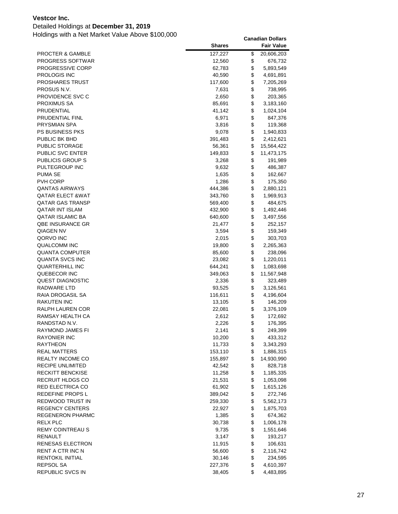### Detailed Holdings at **December 31, 2019**

|                             | <b>Shares</b>   | <b>Fair Value</b>            |
|-----------------------------|-----------------|------------------------------|
| <b>PROCTER &amp; GAMBLE</b> | 127,227         | \$<br>20,606,203             |
| <b>PROGRESS SOFTWAR</b>     | 12,560          | \$<br>676,732                |
| PROGRESSIVE CORP            | 62,783          | \$<br>5,893,549              |
| <b>PROLOGIS INC</b>         | 40,590          | \$<br>4,691,891              |
| <b>PROSHARES TRUST</b>      | 117,600         | \$<br>7,205,269              |
| PROSUS N.V.                 | 7,631           | \$<br>738,995                |
| PROVIDENCE SVC C            | 2,650           | \$<br>203,365                |
| PROXIMUS SA                 | 85,691          | \$<br>3,183,160              |
| PRUDENTIAL                  | 41,142          | \$<br>1,024,104              |
| PRUDENTIAL FINL             | 6,971           | \$<br>847,376                |
| PRYSMIAN SPA                | 3,816           | \$<br>119,368                |
| <b>PS BUSINESS PKS</b>      | 9,078           | \$<br>1,940,833              |
| PUBLIC BK BHD               | 391,483         | \$<br>2,412,621              |
| PUBLIC STORAGE              | 56,361          | \$<br>15,564,422             |
| PUBLIC SVC ENTER            | 149,833         | \$<br>11,473,175             |
| <b>PUBLICIS GROUP S</b>     | 3,268           | \$<br>191,989                |
| PULTEGROUP INC              | 9,632           | \$<br>486,387                |
| PUMA SE                     | 1,635           | \$<br>162,667                |
| PVH CORP                    | 1,286           | \$<br>175,350                |
| <b>QANTAS AIRWAYS</b>       | 444,386         | \$<br>2,880,121              |
| <b>QATAR ELECT &amp;WAT</b> | 343,760         | \$<br>1,969,913              |
| <b>QATAR GAS TRANSP</b>     | 569,400         | \$<br>484,675                |
| QATAR INT ISLAM             | 432,900         | \$<br>1,492,446              |
| <b>QATAR ISLAMIC BA</b>     | 640,600         | \$<br>3,497,556              |
| QBE INSURANCE GR            | 21,477          | \$<br>252,157                |
| <b>QIAGEN NV</b>            | 3,594           | \$<br>159,349                |
| QORVO INC                   | 2,015           | \$<br>303,703                |
| QUALCOMM INC                | 19,800          | \$<br>2,265,363              |
| <b>QUANTA COMPUTER</b>      | 85,600          | \$<br>238,096                |
| QUANTA SVCS INC             | 23,082          | \$<br>1,220,011              |
| QUARTERHILL INC             | 644,241         | \$<br>1,083,698              |
| QUEBECOR INC                | 349,063         | \$<br>11,567,948             |
| QUEST DIAGNOSTIC            | 2,336           | \$<br>323,489                |
| RADWARE LTD                 | 93,525          | \$<br>3,126,561              |
| RAIA DROGASIL SA            | 116,611         | \$<br>4,196,604              |
| <b>RAKUTEN INC</b>          | 13,105          | \$<br>146,209                |
| <b>RALPH LAUREN COR</b>     | 22,081          | \$<br>3,376,109              |
| RAMSAY HEALTH CA            | 2,612           | \$<br>172,692                |
| RANDSTAD N.V.               | 2,226           | \$<br>176,395                |
| <b>RAYMOND JAMES FI</b>     | 2.141           | \$<br>249.399                |
| <b>RAYONIER INC</b>         | 10,200          | \$<br>433,312                |
| <b>RAYTHEON</b>             | 11,733          | \$<br>3,343,293              |
| <b>REAL MATTERS</b>         | 153,110         | \$<br>1,886,315              |
| REALTY INCOME CO            | 155,897         | \$<br>14,930,990             |
| RECIPE UNLIMITED            | 42,542          | \$<br>828,718                |
| <b>RECKITT BENCKISE</b>     | 11,258          | \$<br>1,185,335              |
| RECRUIT HLDGS CO            | 21,531          | \$<br>1,053,098              |
| RED ELECTRICA CO            | 61,902          | \$<br>1,615,126              |
| REDEFINE PROPS L            | 389,042         | \$<br>272,746                |
| REDWOOD TRUST IN            | 259,330         | \$<br>5,562,173              |
| <b>REGENCY CENTERS</b>      | 22,927          | \$<br>1,875,703              |
| <b>REGENERON PHARMC</b>     | 1,385           | \$<br>674,362                |
| <b>RELX PLC</b>             |                 | \$                           |
| <b>REMY COINTREAU S</b>     | 30,738<br>9,735 | \$<br>1,006,178<br>1,551,646 |
| RENAULT                     |                 | \$                           |
| RENESAS ELECTRON            | 3,147<br>11,915 | \$<br>193,217<br>106,631     |
| RENT A CTR INC N            | 56,600          | \$                           |
| RENTOKIL INITIAL            | 30,146          | \$<br>2,116,742<br>234,595   |
| <b>REPSOL SA</b>            | 227,376         | \$<br>4,610,397              |
| REPUBLIC SVCS IN            | 38,405          | \$<br>4,483,895              |
|                             |                 |                              |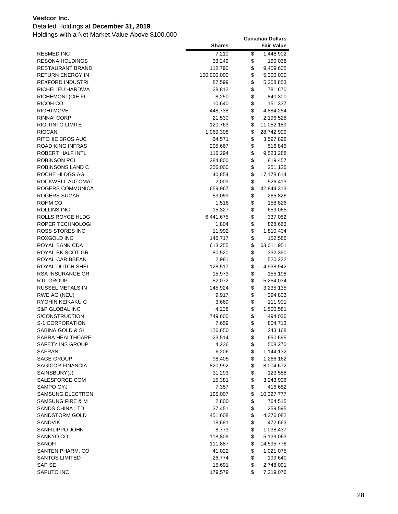### Detailed Holdings at **December 31, 2019**

|                             | <b>Shares</b> | <b>Fair Value</b> |
|-----------------------------|---------------|-------------------|
| <b>RESMED INC</b>           | 7,210         | \$<br>1,448,902   |
| RESONA HOLDINGS             | 33,249        | \$<br>190,038     |
| RESTAURANT BRAND            | 112,790       | \$<br>9,409,605   |
| RETURN ENERGY IN            | 100,000,000   | \$<br>5,000,000   |
| <b>REXFORD INDUSTRI</b>     | 87,599        | \$<br>5,208,853   |
| RICHELIEU HARDWA            | 28,812        | \$<br>781,670     |
| <b>RICHEMONT(CIE FI</b>     | 8,250         | \$<br>840,300     |
| RICOH CO                    | 10,640        | \$<br>151,337     |
| <b>RIGHTMOVE</b>            | 448,738       | \$<br>4,884,254   |
| RINNAI CORP                 | 21,530        | \$<br>2,196,528   |
| RIO TINTO LIMITE            | 120,763       | \$<br>11,052,189  |
| <b>RIOCAN</b>               | 1,069,308     | \$<br>28,742,999  |
| RITCHIE BROS AUC            | 64,571        | \$<br>3,597,896   |
| <b>ROAD KING INFRAS</b>     | 205,667       | \$<br>516,845     |
| ROBERT HALF INTL            | 116,294       | \$<br>9,523,288   |
| ROBINSON PCL                | 284,800       | \$<br>819,457     |
| ROBINSONS LAND C            | 356,000       | \$<br>251,126     |
| ROCHE HLDGS AG              | 40,854        | \$<br>17,178,614  |
| ROCKWELL AUTOMAT            | 2,003         | \$<br>526,413     |
| ROGERS COMMUNICA            | 659,967       | \$<br>42,844,313  |
| ROGERS SUGAR                | 53,059        | \$<br>265,826     |
| ROHM CO                     | 1,516         | \$<br>158,826     |
| ROLLINS INC                 | 15,327        | \$<br>659,065     |
| ROLLS ROYCE HLDG            | 6,441,675     | \$<br>337,052     |
| ROPER TECHNOLOGI            | 1,804         | \$<br>828,663     |
| ROSS STORES INC             | 11,992        | \$<br>1,810,404   |
| ROXGOLD INC                 | 146,717       | \$<br>152,586     |
| ROYAL BANK CDA              | 613,255       | \$<br>63,011,951  |
| ROYAL BK SCOT GR            | 80,520        | \$<br>332,390     |
| ROYAL CARIBBEAN             | 2,981         | \$<br>520,222     |
| ROYAL DUTCH SHEL            | 128,517       | \$<br>4,938,942   |
| RSA INSURANCE GR            | 15,973        | \$<br>155,198     |
| RTL GROUP                   | 82,072        | \$<br>5,254,034   |
| RUSSEL METALS IN            | 145,924       | \$<br>3,235,135   |
| RWE AG (NEU)                | 9,917         | \$<br>394,803     |
| RYOHIN KEIKAKU C            | 3,669         | \$<br>111,901     |
| <b>S&amp;P GLOBAL INC</b>   | 4,238         | \$<br>1,500,581   |
| S/CONSTRUCTION              | 749,600       | \$<br>494,036     |
| S-1 CORPORATION             | 7,659         | \$<br>804,713     |
| SABINA GOLD & SI            | 126,650       | \$<br>243,168     |
| SABRA HEALTHCARE            | 23,514        | \$<br>650,695     |
| SAFETY INS GROUP            | 4,236         | \$<br>508,270     |
| <b>SAFRAN</b>               | 6,206         | \$<br>1,144,132   |
| <b>SAGE GROUP</b>           | 98,405        | \$<br>1,266,162   |
| SAGICOR FINANCIA            | 820,992       | \$<br>8,004,672   |
| SAINSBURY(J)                | 31,293        | \$<br>123,588     |
| SALESFORCE.COM              | 15,381        | \$<br>3,243,906   |
| SAMPO OYJ                   | 7,357         | \$<br>416,682     |
| SAMSUNG ELECTRON            | 195,007       | \$<br>10,327,777  |
| <b>SAMSUNG FIRE &amp; M</b> | 2,800         | \$<br>764,515     |
| <b>SANDS CHINA LTD</b>      | 37,451        | \$<br>259,595     |
| <b>SANDSTORM GOLD</b>       | 451,608       | \$<br>4,376,082   |
| <b>SANDVIK</b>              | 18,681        | \$<br>472,663     |
| SANFILIPPO JOHN             | 8,773         | \$<br>1,038,437   |
| SANKYO CO                   | 118,809       | \$<br>5,139,063   |
| SANOFI                      | 111,887       | \$<br>14,595,776  |
| SANTEN PHARM. CO            | 41,022        | \$<br>1,021,075   |
| <b>SANTOS LIMITED</b>       | 26,774        | \$<br>199,640     |
| SAP SE                      | 15,691        | \$<br>2,748,091   |
| SAPUTO INC                  | 179,579       | \$<br>7,219,076   |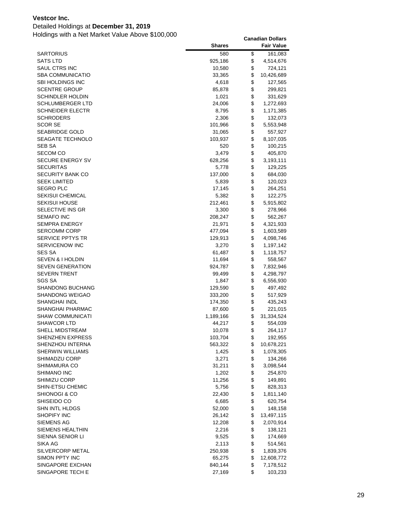### Detailed Holdings at **December 31, 2019**

|                             | <b>Shares</b> | <b>Fair Value</b> |
|-----------------------------|---------------|-------------------|
| SARTORIUS                   | 580           | \$<br>161,083     |
| <b>SATS LTD</b>             | 925,186       | \$<br>4,514,676   |
| SAUL CTRS INC               | 10,580        | \$<br>724,121     |
| <b>SBA COMMUNICATIO</b>     | 33,365        | \$<br>10,426,689  |
| SBI HOLDINGS INC            | 4,618         | \$<br>127,565     |
| <b>SCENTRE GROUP</b>        | 85,878        | \$<br>299,821     |
| SCHINDLER HOLDIN            | 1,021         | \$<br>331,629     |
| SCHLUMBERGER LTD            | 24,006        | \$<br>1,272,693   |
| <b>SCHNEIDER ELECTR</b>     | 8,795         | \$<br>1,171,385   |
| <b>SCHRODERS</b>            | 2,306         | \$<br>132,073     |
| SCOR SE                     | 101,966       | \$<br>5,553,948   |
| SEABRIDGE GOLD              | 31,065        | \$<br>557,927     |
| SEAGATE TECHNOLO            | 103,937       | \$<br>8,107,035   |
| SEB SA                      | 520           | \$<br>100,215     |
| <b>SECOM CO</b>             | 3,479         | \$<br>405,870     |
| SECURE ENERGY SV            | 628,256       | \$<br>3,193,111   |
| SECURITAS                   | 5,778         | \$<br>129,225     |
| SECURITY BANK CO            | 137,000       | \$<br>684,030     |
| <b>SEEK LIMITED</b>         | 5,839         | \$<br>120,023     |
| SEGRO PLC                   | 17,145        | \$<br>264,251     |
| <b>SEKISUI CHEMICAL</b>     | 5,382         | \$<br>122,275     |
| SEKISUI HOUSE               | 212,461       | \$<br>5,915,802   |
| SELECTIVE INS GR            | 3,300         | \$<br>278,966     |
| SEMAFO INC                  | 208,247       | \$<br>562,267     |
| <b>SEMPRA ENERGY</b>        | 21,971        | \$<br>4,321,933   |
| SERCOMM CORP                | 477,094       | \$<br>1,603,589   |
| <b>SERVICE PPTYS TR</b>     | 129,913       | \$<br>4,098,746   |
| <b>SERVICENOW INC</b>       | 3,270         | \$<br>1,197,142   |
| <b>SES SA</b>               | 61,487        | \$<br>1,118,757   |
| <b>SEVEN &amp; I HOLDIN</b> | 11,694        | \$<br>558,567     |
| <b>SEVEN GENERATION</b>     | 924,787       | \$<br>7,832,946   |
| SEVERN TRENT                | 99,499        | \$<br>4,298,797   |
| SGS SA                      | 1,847         | \$<br>6,556,930   |
| SHANDONG BUCHANG            | 129,590       | \$<br>497,492     |
| SHANDONG WEIGAO             | 333,200       | \$<br>517,929     |
| SHANGHAI INDL               | 174,350       | \$<br>435,243     |
| SHANGHAI PHARMAC            | 87,600        | \$<br>221,015     |
| <b>SHAW COMMUNICATI</b>     | 1,189,166     | \$<br>31,334,524  |
| <b>SHAWCOR LTD</b>          | 44,217        | \$<br>554,039     |
| SHELL MIDSTREAM             | 10,078        | \$<br>264,117     |
| SHENZHEN EXPRESS            | 103,704       | \$<br>192,955     |
| SHENZHOU INTERNA            | 563,322       | \$<br>10,678,221  |
| SHERWIN WILLIAMS            | 1,425         | \$<br>1,078,305   |
| SHIMADZU CORP               | 3,271         | \$<br>134,266     |
| SHIMAMURA CO                | 31,211        | \$<br>3,098,544   |
| SHIMANO INC                 | 1,202         | \$<br>254,870     |
| SHIMIZU CORP                | 11,256        | \$<br>149,891     |
| SHIN-ETSU CHEMIC            | 5,756         | \$<br>828,313     |
| SHIONOGI & CO               | 22,430        | \$<br>1,811,140   |
| SHISEIDO CO                 | 6,685         | \$<br>620,754     |
| SHN INTL HLDGS              | 52,000        | \$<br>148,158     |
| SHOPIFY INC                 | 26,142        | \$<br>13,497,115  |
| SIEMENS AG                  | 12,208        | \$<br>2,070,914   |
| SIEMENS HEALTHIN            | 2,216         | \$<br>138,121     |
| SIENNA SENIOR LI            | 9,525         | \$<br>174,669     |
| SIKA AG                     | 2,113         | \$<br>514,561     |
| SILVERCORP METAL            | 250,938       | \$<br>1,839,376   |
| SIMON PPTY INC              | 65,275        | \$<br>12,608,772  |
| SINGAPORE EXCHAN            | 840,144       | \$<br>7,178,512   |
| SINGAPORE TECH E            | 27,169        | \$<br>103,233     |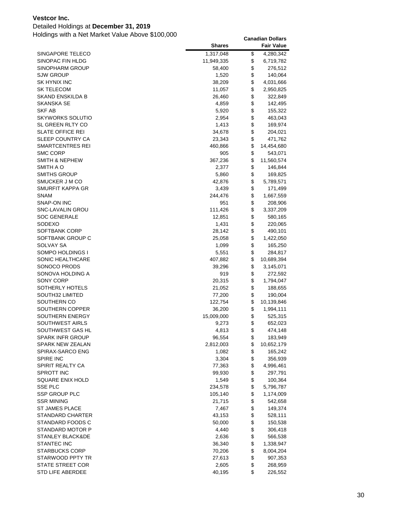### Detailed Holdings at **December 31, 2019**

|                             | <b>Shares</b> | <b>Fair Value</b> |
|-----------------------------|---------------|-------------------|
| SINGAPORE TELECO            | 1,317,048     | \$<br>4,280,342   |
| SINOPAC FIN HLDG            | 11,949,335    | \$<br>6,719,782   |
| SINOPHARM GROUP             | 58,400        | \$<br>276,512     |
| <b>SJW GROUP</b>            | 1,520         | \$<br>140,064     |
| SK HYNIX INC                | 38,209        | \$<br>4,031,666   |
| <b>SK TELECOM</b>           | 11,057        | \$<br>2,950,825   |
| SKAND ENSKILDA B            | 26,460        | \$<br>322,849     |
| <b>SKANSKA SE</b>           | 4,859         | \$<br>142,495     |
| <b>SKF AB</b>               | 5,920         | \$<br>155,322     |
| <b>SKYWORKS SOLUTIO</b>     | 2,954         | \$<br>463,043     |
| SL GREEN RLTY CO            | 1,413         | \$<br>169,974     |
| <b>SLATE OFFICE REI</b>     | 34,678        | \$<br>204,021     |
| SLEEP COUNTRY CA            | 23,343        | \$<br>471,762     |
| SMARTCENTRES REI            | 460,866       | \$<br>14,454,680  |
| <b>SMC CORP</b>             | 905           | \$<br>543,071     |
| <b>SMITH &amp; NEPHEW</b>   | 367,236       | \$<br>11,560,574  |
| SMITH A O                   | 2,377         | \$<br>146,844     |
| SMITHS GROUP                | 5,860         | \$<br>169,825     |
| SMUCKER J M CO              | 42,876        | \$<br>5,789,571   |
| SMURFIT KAPPA GR            | 3,439         | \$<br>171,499     |
| SNAM                        | 244,476       | \$<br>1,667,559   |
| SNAP-ON INC                 | 951           | \$<br>208,906     |
| <b>SNC-LAVALIN GROU</b>     | 111,426       | \$<br>3,337,209   |
| <b>SOC GENERALE</b>         | 12,851        | \$<br>580,165     |
| SODEXO                      | 1,431         | \$<br>220,065     |
| SOFTBANK CORP               | 28,142        | \$<br>490,101     |
| SOFTBANK GROUP C            | 25,058        | \$<br>1,422,050   |
| SOLVAY SA                   | 1,099         | \$<br>165,250     |
| SOMPO HOLDINGS I            | 5,551         | \$<br>284,817     |
| SONIC HEALTHCARE            | 407,882       | \$<br>10,689,394  |
| SONOCO PRODS                | 39,296        | \$<br>3,145,071   |
| SONOVA HOLDING A            | 919           | \$<br>272,592     |
| SONY CORP                   | 20,315        | \$<br>1,794,047   |
| SOTHERLY HOTELS             | 21,052        | \$<br>188,655     |
| SOUTH32 LIMITED             | 77,200        | \$<br>190,004     |
| SOUTHERN CO                 | 122,754       | \$<br>10,139,846  |
| SOUTHERN COPPER             | 36,200        | \$<br>1,994,111   |
| SOUTHERN ENERGY             | 15,009,000    | \$<br>525,315     |
| <b>SOUTHWEST AIRLS</b>      | 9,273         | \$<br>652,023     |
| SOUTHWEST GAS HL            | 4,813         | \$<br>474,148     |
| <b>SPARK INFR GROUP</b>     | 96,554        | \$<br>183,949     |
| <b>SPARK NEW ZEALAN</b>     | 2,812,003     | \$<br>10,652,179  |
| SPIRAX-SARCO ENG            | 1,082         | \$<br>165,242     |
| <b>SPIRE INC</b>            | 3,304         | \$<br>356,939     |
| SPIRIT REALTY CA            | 77,363        | \$<br>4,996,461   |
| <b>SPROTT INC</b>           | 99,930        | \$<br>297,791     |
| SQUARE ENIX HOLD            | 1,549         | \$<br>100,364     |
| <b>SSE PLC</b>              | 234,578       | \$<br>5,796,787   |
| <b>SSP GROUP PLC</b>        | 105,140       | \$<br>1,174,009   |
| <b>SSR MINING</b>           | 21,715        | \$<br>542,658     |
| <b>ST JAMES PLACE</b>       | 7,467         | \$<br>149,374     |
| <b>STANDARD CHARTER</b>     | 43,153        | \$<br>528,111     |
| STANDARD FOODS C            | 50,000        | \$<br>150,538     |
| STANDARD MOTOR P            | 4,440         | \$<br>306,418     |
| <b>STANLEY BLACK&amp;DE</b> | 2,636         | \$<br>566,538     |
| <b>STANTEC INC</b>          | 36,340        | \$<br>1,338,947   |
| <b>STARBUCKS CORP</b>       | 70,206        | \$<br>8,004,204   |
| STARWOOD PPTY TR            | 27,613        | \$<br>907,353     |
| <b>STATE STREET COR</b>     | 2,605         | \$<br>268,959     |
| STD LIFE ABERDEE            | 40,195        | \$<br>226,552     |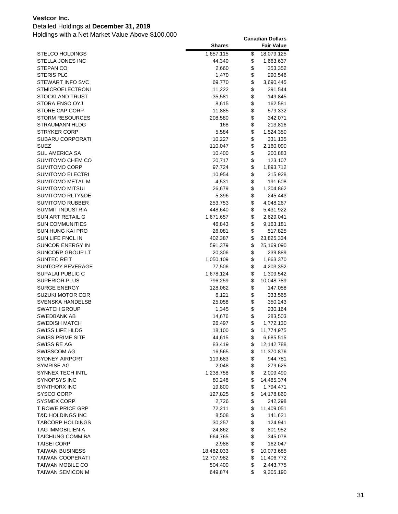### Detailed Holdings at **December 31, 2019**

| <b>STELCO HOLDINGS</b><br>1,657,115<br>\$<br>18,079,125<br>\$<br>STELLA JONES INC<br>44,340<br>1,663,637<br>\$<br>STEPAN CO<br>2,660<br>353,352<br>\$<br><b>STERIS PLC</b><br>1,470<br>290,546<br>\$<br><b>STEWART INFO SVC</b><br>69,770<br>3,690,445<br>\$<br>STMICROELECTRONI<br>11,222<br>391,544<br>\$<br>STOCKLAND TRUST<br>35,581<br>149,845<br>\$<br>STORA ENSO OYJ<br>8,615<br>162,581<br>\$<br>STORE CAP CORP<br>11,885<br>579,332<br>\$<br><b>STORM RESOURCES</b><br>208,580<br>342,071<br>\$<br>STRAUMANN HLDG<br>168<br>213,816<br>\$<br>STRYKER CORP<br>5,584<br>1,524,350<br>\$<br>SUBARU CORPORATI<br>10,227<br>331,135<br>\$<br>SUEZ<br>110,047<br>2,160,090<br>\$<br><b>SUL AMERICA SA</b><br>10,400<br>200,883<br>\$<br>SUMITOMO CHEM CO<br>20,717<br>123,107<br>\$<br>SUMITOMO CORP<br>97,724<br>1,893,712<br>\$<br>SUMITOMO ELECTRI<br>10,954<br>215,928<br>\$<br><b>SUMITOMO METAL M</b><br>4,531<br>191,608<br>\$<br>SUMITOMO MITSUI<br>26,679<br>1,304,862<br>\$<br>SUMITOMO RLTY&DE<br>5,396<br>245,443<br>\$<br>SUMITOMO RUBBER<br>253,753<br>4,048,267<br>\$<br><b>SUMMIT INDUSTRIA</b><br>448,640<br>5,431,922<br>\$<br>SUN ART RETAIL G<br>1,671,657<br>2,629,041<br>\$<br><b>SUN COMMUNITIES</b><br>46,843<br>9,163,181<br>\$<br>SUN HUNG KAI PRO<br>26,081<br>517,825<br>\$<br>SUN LIFE FNCL IN<br>402,387<br>23,825,334<br>\$<br>SUNCOR ENERGY IN<br>591,379<br>25,169,090<br>\$<br>SUNCORP GROUP LT<br>20,306<br>239,889<br>\$<br><b>SUNTEC REIT</b><br>1,863,370<br>1,050,109<br>\$<br><b>SUNTORY BEVERAGE</b><br>77,506<br>4,203,352<br>\$<br>SUPALAI PUBLIC C<br>1,678,124<br>1,309,542<br>\$<br>SUPERIOR PLUS<br>796,259<br>10,048,789<br>\$<br><b>SURGE ENERGY</b><br>128,062<br>147,058<br>\$<br>SUZUKI MOTOR COR<br>6,121<br>333,565<br>\$<br>SVENSKA HANDELSB<br>25,058<br>350,243<br>\$<br><b>SWATCH GROUP</b><br>1,345<br>230,164<br>\$<br>SWEDBANK AB<br>14,676<br>283,503<br>\$<br><b>SWEDISH MATCH</b><br>26,497<br>1,772,130<br>\$<br>SWISS LIFE HLDG<br>18,100<br>11,774,975<br>\$<br>SWISS PRIME SITE<br>44,615<br>6,685,515<br>\$<br>SWISS RE AG<br>83,419<br>12,142,788<br>\$<br>SWISSCOM AG<br>16,565<br>11,370,876<br>\$<br>SYDNEY AIRPORT<br>119,683<br>944,781<br>\$<br>SYMRISE AG<br>2,048<br>279,625<br>\$<br>SYNNEX TECH INTL<br>1,238,758<br>2,009,490<br>\$<br><b>SYNOPSYS INC</b><br>14,485,374<br>80,248<br>\$<br>SYNTHORX INC<br>19,800<br>1,794,471<br>\$<br>SYSCO CORP<br>127,825<br>14,178,860<br>\$<br>SYSMEX CORP<br>2,726<br>242,298<br>\$<br><b>T ROWE PRICE GRP</b><br>72,211<br>11,409,051<br>\$<br><b>T&amp;D HOLDINGS INC</b><br>8,508<br>141,621<br>\$<br><b>TABCORP HOLDINGS</b><br>30,257<br>124,941<br>\$<br>TAG IMMOBILIEN A<br>24,862<br>801,952<br>\$<br>TAICHUNG COMM BA<br>664,765<br>345,078<br>\$<br><b>TAISEI CORP</b><br>2,988<br>162,047<br>\$<br><b>TAIWAN BUSINESS</b><br>18,482,033<br>10,073,685<br>\$<br>TAIWAN COOPERATI<br>12,707,982<br>11,406,772<br>\$<br><b>TAIWAN MOBILE CO</b><br>504,400<br>2,443,775<br>\$<br><b>TAIWAN SEMICON M</b><br>649,874<br>9,305,190 | <b>Shares</b> | <b>Fair Value</b> |
|----------------------------------------------------------------------------------------------------------------------------------------------------------------------------------------------------------------------------------------------------------------------------------------------------------------------------------------------------------------------------------------------------------------------------------------------------------------------------------------------------------------------------------------------------------------------------------------------------------------------------------------------------------------------------------------------------------------------------------------------------------------------------------------------------------------------------------------------------------------------------------------------------------------------------------------------------------------------------------------------------------------------------------------------------------------------------------------------------------------------------------------------------------------------------------------------------------------------------------------------------------------------------------------------------------------------------------------------------------------------------------------------------------------------------------------------------------------------------------------------------------------------------------------------------------------------------------------------------------------------------------------------------------------------------------------------------------------------------------------------------------------------------------------------------------------------------------------------------------------------------------------------------------------------------------------------------------------------------------------------------------------------------------------------------------------------------------------------------------------------------------------------------------------------------------------------------------------------------------------------------------------------------------------------------------------------------------------------------------------------------------------------------------------------------------------------------------------------------------------------------------------------------------------------------------------------------------------------------------------------------------------------------------------------------------------------------------------------------------------------------------------------------------------------------------------------------------------------------------------------------------------------------------------------------------------------------------------------------------------------------------------------------------------------------------------------|---------------|-------------------|
|                                                                                                                                                                                                                                                                                                                                                                                                                                                                                                                                                                                                                                                                                                                                                                                                                                                                                                                                                                                                                                                                                                                                                                                                                                                                                                                                                                                                                                                                                                                                                                                                                                                                                                                                                                                                                                                                                                                                                                                                                                                                                                                                                                                                                                                                                                                                                                                                                                                                                                                                                                                                                                                                                                                                                                                                                                                                                                                                                                                                                                                                      |               |                   |
|                                                                                                                                                                                                                                                                                                                                                                                                                                                                                                                                                                                                                                                                                                                                                                                                                                                                                                                                                                                                                                                                                                                                                                                                                                                                                                                                                                                                                                                                                                                                                                                                                                                                                                                                                                                                                                                                                                                                                                                                                                                                                                                                                                                                                                                                                                                                                                                                                                                                                                                                                                                                                                                                                                                                                                                                                                                                                                                                                                                                                                                                      |               |                   |
|                                                                                                                                                                                                                                                                                                                                                                                                                                                                                                                                                                                                                                                                                                                                                                                                                                                                                                                                                                                                                                                                                                                                                                                                                                                                                                                                                                                                                                                                                                                                                                                                                                                                                                                                                                                                                                                                                                                                                                                                                                                                                                                                                                                                                                                                                                                                                                                                                                                                                                                                                                                                                                                                                                                                                                                                                                                                                                                                                                                                                                                                      |               |                   |
|                                                                                                                                                                                                                                                                                                                                                                                                                                                                                                                                                                                                                                                                                                                                                                                                                                                                                                                                                                                                                                                                                                                                                                                                                                                                                                                                                                                                                                                                                                                                                                                                                                                                                                                                                                                                                                                                                                                                                                                                                                                                                                                                                                                                                                                                                                                                                                                                                                                                                                                                                                                                                                                                                                                                                                                                                                                                                                                                                                                                                                                                      |               |                   |
|                                                                                                                                                                                                                                                                                                                                                                                                                                                                                                                                                                                                                                                                                                                                                                                                                                                                                                                                                                                                                                                                                                                                                                                                                                                                                                                                                                                                                                                                                                                                                                                                                                                                                                                                                                                                                                                                                                                                                                                                                                                                                                                                                                                                                                                                                                                                                                                                                                                                                                                                                                                                                                                                                                                                                                                                                                                                                                                                                                                                                                                                      |               |                   |
|                                                                                                                                                                                                                                                                                                                                                                                                                                                                                                                                                                                                                                                                                                                                                                                                                                                                                                                                                                                                                                                                                                                                                                                                                                                                                                                                                                                                                                                                                                                                                                                                                                                                                                                                                                                                                                                                                                                                                                                                                                                                                                                                                                                                                                                                                                                                                                                                                                                                                                                                                                                                                                                                                                                                                                                                                                                                                                                                                                                                                                                                      |               |                   |
|                                                                                                                                                                                                                                                                                                                                                                                                                                                                                                                                                                                                                                                                                                                                                                                                                                                                                                                                                                                                                                                                                                                                                                                                                                                                                                                                                                                                                                                                                                                                                                                                                                                                                                                                                                                                                                                                                                                                                                                                                                                                                                                                                                                                                                                                                                                                                                                                                                                                                                                                                                                                                                                                                                                                                                                                                                                                                                                                                                                                                                                                      |               |                   |
|                                                                                                                                                                                                                                                                                                                                                                                                                                                                                                                                                                                                                                                                                                                                                                                                                                                                                                                                                                                                                                                                                                                                                                                                                                                                                                                                                                                                                                                                                                                                                                                                                                                                                                                                                                                                                                                                                                                                                                                                                                                                                                                                                                                                                                                                                                                                                                                                                                                                                                                                                                                                                                                                                                                                                                                                                                                                                                                                                                                                                                                                      |               |                   |
|                                                                                                                                                                                                                                                                                                                                                                                                                                                                                                                                                                                                                                                                                                                                                                                                                                                                                                                                                                                                                                                                                                                                                                                                                                                                                                                                                                                                                                                                                                                                                                                                                                                                                                                                                                                                                                                                                                                                                                                                                                                                                                                                                                                                                                                                                                                                                                                                                                                                                                                                                                                                                                                                                                                                                                                                                                                                                                                                                                                                                                                                      |               |                   |
|                                                                                                                                                                                                                                                                                                                                                                                                                                                                                                                                                                                                                                                                                                                                                                                                                                                                                                                                                                                                                                                                                                                                                                                                                                                                                                                                                                                                                                                                                                                                                                                                                                                                                                                                                                                                                                                                                                                                                                                                                                                                                                                                                                                                                                                                                                                                                                                                                                                                                                                                                                                                                                                                                                                                                                                                                                                                                                                                                                                                                                                                      |               |                   |
|                                                                                                                                                                                                                                                                                                                                                                                                                                                                                                                                                                                                                                                                                                                                                                                                                                                                                                                                                                                                                                                                                                                                                                                                                                                                                                                                                                                                                                                                                                                                                                                                                                                                                                                                                                                                                                                                                                                                                                                                                                                                                                                                                                                                                                                                                                                                                                                                                                                                                                                                                                                                                                                                                                                                                                                                                                                                                                                                                                                                                                                                      |               |                   |
|                                                                                                                                                                                                                                                                                                                                                                                                                                                                                                                                                                                                                                                                                                                                                                                                                                                                                                                                                                                                                                                                                                                                                                                                                                                                                                                                                                                                                                                                                                                                                                                                                                                                                                                                                                                                                                                                                                                                                                                                                                                                                                                                                                                                                                                                                                                                                                                                                                                                                                                                                                                                                                                                                                                                                                                                                                                                                                                                                                                                                                                                      |               |                   |
|                                                                                                                                                                                                                                                                                                                                                                                                                                                                                                                                                                                                                                                                                                                                                                                                                                                                                                                                                                                                                                                                                                                                                                                                                                                                                                                                                                                                                                                                                                                                                                                                                                                                                                                                                                                                                                                                                                                                                                                                                                                                                                                                                                                                                                                                                                                                                                                                                                                                                                                                                                                                                                                                                                                                                                                                                                                                                                                                                                                                                                                                      |               |                   |
|                                                                                                                                                                                                                                                                                                                                                                                                                                                                                                                                                                                                                                                                                                                                                                                                                                                                                                                                                                                                                                                                                                                                                                                                                                                                                                                                                                                                                                                                                                                                                                                                                                                                                                                                                                                                                                                                                                                                                                                                                                                                                                                                                                                                                                                                                                                                                                                                                                                                                                                                                                                                                                                                                                                                                                                                                                                                                                                                                                                                                                                                      |               |                   |
|                                                                                                                                                                                                                                                                                                                                                                                                                                                                                                                                                                                                                                                                                                                                                                                                                                                                                                                                                                                                                                                                                                                                                                                                                                                                                                                                                                                                                                                                                                                                                                                                                                                                                                                                                                                                                                                                                                                                                                                                                                                                                                                                                                                                                                                                                                                                                                                                                                                                                                                                                                                                                                                                                                                                                                                                                                                                                                                                                                                                                                                                      |               |                   |
|                                                                                                                                                                                                                                                                                                                                                                                                                                                                                                                                                                                                                                                                                                                                                                                                                                                                                                                                                                                                                                                                                                                                                                                                                                                                                                                                                                                                                                                                                                                                                                                                                                                                                                                                                                                                                                                                                                                                                                                                                                                                                                                                                                                                                                                                                                                                                                                                                                                                                                                                                                                                                                                                                                                                                                                                                                                                                                                                                                                                                                                                      |               |                   |
|                                                                                                                                                                                                                                                                                                                                                                                                                                                                                                                                                                                                                                                                                                                                                                                                                                                                                                                                                                                                                                                                                                                                                                                                                                                                                                                                                                                                                                                                                                                                                                                                                                                                                                                                                                                                                                                                                                                                                                                                                                                                                                                                                                                                                                                                                                                                                                                                                                                                                                                                                                                                                                                                                                                                                                                                                                                                                                                                                                                                                                                                      |               |                   |
|                                                                                                                                                                                                                                                                                                                                                                                                                                                                                                                                                                                                                                                                                                                                                                                                                                                                                                                                                                                                                                                                                                                                                                                                                                                                                                                                                                                                                                                                                                                                                                                                                                                                                                                                                                                                                                                                                                                                                                                                                                                                                                                                                                                                                                                                                                                                                                                                                                                                                                                                                                                                                                                                                                                                                                                                                                                                                                                                                                                                                                                                      |               |                   |
|                                                                                                                                                                                                                                                                                                                                                                                                                                                                                                                                                                                                                                                                                                                                                                                                                                                                                                                                                                                                                                                                                                                                                                                                                                                                                                                                                                                                                                                                                                                                                                                                                                                                                                                                                                                                                                                                                                                                                                                                                                                                                                                                                                                                                                                                                                                                                                                                                                                                                                                                                                                                                                                                                                                                                                                                                                                                                                                                                                                                                                                                      |               |                   |
|                                                                                                                                                                                                                                                                                                                                                                                                                                                                                                                                                                                                                                                                                                                                                                                                                                                                                                                                                                                                                                                                                                                                                                                                                                                                                                                                                                                                                                                                                                                                                                                                                                                                                                                                                                                                                                                                                                                                                                                                                                                                                                                                                                                                                                                                                                                                                                                                                                                                                                                                                                                                                                                                                                                                                                                                                                                                                                                                                                                                                                                                      |               |                   |
|                                                                                                                                                                                                                                                                                                                                                                                                                                                                                                                                                                                                                                                                                                                                                                                                                                                                                                                                                                                                                                                                                                                                                                                                                                                                                                                                                                                                                                                                                                                                                                                                                                                                                                                                                                                                                                                                                                                                                                                                                                                                                                                                                                                                                                                                                                                                                                                                                                                                                                                                                                                                                                                                                                                                                                                                                                                                                                                                                                                                                                                                      |               |                   |
|                                                                                                                                                                                                                                                                                                                                                                                                                                                                                                                                                                                                                                                                                                                                                                                                                                                                                                                                                                                                                                                                                                                                                                                                                                                                                                                                                                                                                                                                                                                                                                                                                                                                                                                                                                                                                                                                                                                                                                                                                                                                                                                                                                                                                                                                                                                                                                                                                                                                                                                                                                                                                                                                                                                                                                                                                                                                                                                                                                                                                                                                      |               |                   |
|                                                                                                                                                                                                                                                                                                                                                                                                                                                                                                                                                                                                                                                                                                                                                                                                                                                                                                                                                                                                                                                                                                                                                                                                                                                                                                                                                                                                                                                                                                                                                                                                                                                                                                                                                                                                                                                                                                                                                                                                                                                                                                                                                                                                                                                                                                                                                                                                                                                                                                                                                                                                                                                                                                                                                                                                                                                                                                                                                                                                                                                                      |               |                   |
|                                                                                                                                                                                                                                                                                                                                                                                                                                                                                                                                                                                                                                                                                                                                                                                                                                                                                                                                                                                                                                                                                                                                                                                                                                                                                                                                                                                                                                                                                                                                                                                                                                                                                                                                                                                                                                                                                                                                                                                                                                                                                                                                                                                                                                                                                                                                                                                                                                                                                                                                                                                                                                                                                                                                                                                                                                                                                                                                                                                                                                                                      |               |                   |
|                                                                                                                                                                                                                                                                                                                                                                                                                                                                                                                                                                                                                                                                                                                                                                                                                                                                                                                                                                                                                                                                                                                                                                                                                                                                                                                                                                                                                                                                                                                                                                                                                                                                                                                                                                                                                                                                                                                                                                                                                                                                                                                                                                                                                                                                                                                                                                                                                                                                                                                                                                                                                                                                                                                                                                                                                                                                                                                                                                                                                                                                      |               |                   |
|                                                                                                                                                                                                                                                                                                                                                                                                                                                                                                                                                                                                                                                                                                                                                                                                                                                                                                                                                                                                                                                                                                                                                                                                                                                                                                                                                                                                                                                                                                                                                                                                                                                                                                                                                                                                                                                                                                                                                                                                                                                                                                                                                                                                                                                                                                                                                                                                                                                                                                                                                                                                                                                                                                                                                                                                                                                                                                                                                                                                                                                                      |               |                   |
|                                                                                                                                                                                                                                                                                                                                                                                                                                                                                                                                                                                                                                                                                                                                                                                                                                                                                                                                                                                                                                                                                                                                                                                                                                                                                                                                                                                                                                                                                                                                                                                                                                                                                                                                                                                                                                                                                                                                                                                                                                                                                                                                                                                                                                                                                                                                                                                                                                                                                                                                                                                                                                                                                                                                                                                                                                                                                                                                                                                                                                                                      |               |                   |
|                                                                                                                                                                                                                                                                                                                                                                                                                                                                                                                                                                                                                                                                                                                                                                                                                                                                                                                                                                                                                                                                                                                                                                                                                                                                                                                                                                                                                                                                                                                                                                                                                                                                                                                                                                                                                                                                                                                                                                                                                                                                                                                                                                                                                                                                                                                                                                                                                                                                                                                                                                                                                                                                                                                                                                                                                                                                                                                                                                                                                                                                      |               |                   |
|                                                                                                                                                                                                                                                                                                                                                                                                                                                                                                                                                                                                                                                                                                                                                                                                                                                                                                                                                                                                                                                                                                                                                                                                                                                                                                                                                                                                                                                                                                                                                                                                                                                                                                                                                                                                                                                                                                                                                                                                                                                                                                                                                                                                                                                                                                                                                                                                                                                                                                                                                                                                                                                                                                                                                                                                                                                                                                                                                                                                                                                                      |               |                   |
|                                                                                                                                                                                                                                                                                                                                                                                                                                                                                                                                                                                                                                                                                                                                                                                                                                                                                                                                                                                                                                                                                                                                                                                                                                                                                                                                                                                                                                                                                                                                                                                                                                                                                                                                                                                                                                                                                                                                                                                                                                                                                                                                                                                                                                                                                                                                                                                                                                                                                                                                                                                                                                                                                                                                                                                                                                                                                                                                                                                                                                                                      |               |                   |
|                                                                                                                                                                                                                                                                                                                                                                                                                                                                                                                                                                                                                                                                                                                                                                                                                                                                                                                                                                                                                                                                                                                                                                                                                                                                                                                                                                                                                                                                                                                                                                                                                                                                                                                                                                                                                                                                                                                                                                                                                                                                                                                                                                                                                                                                                                                                                                                                                                                                                                                                                                                                                                                                                                                                                                                                                                                                                                                                                                                                                                                                      |               |                   |
|                                                                                                                                                                                                                                                                                                                                                                                                                                                                                                                                                                                                                                                                                                                                                                                                                                                                                                                                                                                                                                                                                                                                                                                                                                                                                                                                                                                                                                                                                                                                                                                                                                                                                                                                                                                                                                                                                                                                                                                                                                                                                                                                                                                                                                                                                                                                                                                                                                                                                                                                                                                                                                                                                                                                                                                                                                                                                                                                                                                                                                                                      |               |                   |
|                                                                                                                                                                                                                                                                                                                                                                                                                                                                                                                                                                                                                                                                                                                                                                                                                                                                                                                                                                                                                                                                                                                                                                                                                                                                                                                                                                                                                                                                                                                                                                                                                                                                                                                                                                                                                                                                                                                                                                                                                                                                                                                                                                                                                                                                                                                                                                                                                                                                                                                                                                                                                                                                                                                                                                                                                                                                                                                                                                                                                                                                      |               |                   |
|                                                                                                                                                                                                                                                                                                                                                                                                                                                                                                                                                                                                                                                                                                                                                                                                                                                                                                                                                                                                                                                                                                                                                                                                                                                                                                                                                                                                                                                                                                                                                                                                                                                                                                                                                                                                                                                                                                                                                                                                                                                                                                                                                                                                                                                                                                                                                                                                                                                                                                                                                                                                                                                                                                                                                                                                                                                                                                                                                                                                                                                                      |               |                   |
|                                                                                                                                                                                                                                                                                                                                                                                                                                                                                                                                                                                                                                                                                                                                                                                                                                                                                                                                                                                                                                                                                                                                                                                                                                                                                                                                                                                                                                                                                                                                                                                                                                                                                                                                                                                                                                                                                                                                                                                                                                                                                                                                                                                                                                                                                                                                                                                                                                                                                                                                                                                                                                                                                                                                                                                                                                                                                                                                                                                                                                                                      |               |                   |
|                                                                                                                                                                                                                                                                                                                                                                                                                                                                                                                                                                                                                                                                                                                                                                                                                                                                                                                                                                                                                                                                                                                                                                                                                                                                                                                                                                                                                                                                                                                                                                                                                                                                                                                                                                                                                                                                                                                                                                                                                                                                                                                                                                                                                                                                                                                                                                                                                                                                                                                                                                                                                                                                                                                                                                                                                                                                                                                                                                                                                                                                      |               |                   |
|                                                                                                                                                                                                                                                                                                                                                                                                                                                                                                                                                                                                                                                                                                                                                                                                                                                                                                                                                                                                                                                                                                                                                                                                                                                                                                                                                                                                                                                                                                                                                                                                                                                                                                                                                                                                                                                                                                                                                                                                                                                                                                                                                                                                                                                                                                                                                                                                                                                                                                                                                                                                                                                                                                                                                                                                                                                                                                                                                                                                                                                                      |               |                   |
|                                                                                                                                                                                                                                                                                                                                                                                                                                                                                                                                                                                                                                                                                                                                                                                                                                                                                                                                                                                                                                                                                                                                                                                                                                                                                                                                                                                                                                                                                                                                                                                                                                                                                                                                                                                                                                                                                                                                                                                                                                                                                                                                                                                                                                                                                                                                                                                                                                                                                                                                                                                                                                                                                                                                                                                                                                                                                                                                                                                                                                                                      |               |                   |
|                                                                                                                                                                                                                                                                                                                                                                                                                                                                                                                                                                                                                                                                                                                                                                                                                                                                                                                                                                                                                                                                                                                                                                                                                                                                                                                                                                                                                                                                                                                                                                                                                                                                                                                                                                                                                                                                                                                                                                                                                                                                                                                                                                                                                                                                                                                                                                                                                                                                                                                                                                                                                                                                                                                                                                                                                                                                                                                                                                                                                                                                      |               |                   |
|                                                                                                                                                                                                                                                                                                                                                                                                                                                                                                                                                                                                                                                                                                                                                                                                                                                                                                                                                                                                                                                                                                                                                                                                                                                                                                                                                                                                                                                                                                                                                                                                                                                                                                                                                                                                                                                                                                                                                                                                                                                                                                                                                                                                                                                                                                                                                                                                                                                                                                                                                                                                                                                                                                                                                                                                                                                                                                                                                                                                                                                                      |               |                   |
|                                                                                                                                                                                                                                                                                                                                                                                                                                                                                                                                                                                                                                                                                                                                                                                                                                                                                                                                                                                                                                                                                                                                                                                                                                                                                                                                                                                                                                                                                                                                                                                                                                                                                                                                                                                                                                                                                                                                                                                                                                                                                                                                                                                                                                                                                                                                                                                                                                                                                                                                                                                                                                                                                                                                                                                                                                                                                                                                                                                                                                                                      |               |                   |
|                                                                                                                                                                                                                                                                                                                                                                                                                                                                                                                                                                                                                                                                                                                                                                                                                                                                                                                                                                                                                                                                                                                                                                                                                                                                                                                                                                                                                                                                                                                                                                                                                                                                                                                                                                                                                                                                                                                                                                                                                                                                                                                                                                                                                                                                                                                                                                                                                                                                                                                                                                                                                                                                                                                                                                                                                                                                                                                                                                                                                                                                      |               |                   |
|                                                                                                                                                                                                                                                                                                                                                                                                                                                                                                                                                                                                                                                                                                                                                                                                                                                                                                                                                                                                                                                                                                                                                                                                                                                                                                                                                                                                                                                                                                                                                                                                                                                                                                                                                                                                                                                                                                                                                                                                                                                                                                                                                                                                                                                                                                                                                                                                                                                                                                                                                                                                                                                                                                                                                                                                                                                                                                                                                                                                                                                                      |               |                   |
|                                                                                                                                                                                                                                                                                                                                                                                                                                                                                                                                                                                                                                                                                                                                                                                                                                                                                                                                                                                                                                                                                                                                                                                                                                                                                                                                                                                                                                                                                                                                                                                                                                                                                                                                                                                                                                                                                                                                                                                                                                                                                                                                                                                                                                                                                                                                                                                                                                                                                                                                                                                                                                                                                                                                                                                                                                                                                                                                                                                                                                                                      |               |                   |
|                                                                                                                                                                                                                                                                                                                                                                                                                                                                                                                                                                                                                                                                                                                                                                                                                                                                                                                                                                                                                                                                                                                                                                                                                                                                                                                                                                                                                                                                                                                                                                                                                                                                                                                                                                                                                                                                                                                                                                                                                                                                                                                                                                                                                                                                                                                                                                                                                                                                                                                                                                                                                                                                                                                                                                                                                                                                                                                                                                                                                                                                      |               |                   |
|                                                                                                                                                                                                                                                                                                                                                                                                                                                                                                                                                                                                                                                                                                                                                                                                                                                                                                                                                                                                                                                                                                                                                                                                                                                                                                                                                                                                                                                                                                                                                                                                                                                                                                                                                                                                                                                                                                                                                                                                                                                                                                                                                                                                                                                                                                                                                                                                                                                                                                                                                                                                                                                                                                                                                                                                                                                                                                                                                                                                                                                                      |               |                   |
|                                                                                                                                                                                                                                                                                                                                                                                                                                                                                                                                                                                                                                                                                                                                                                                                                                                                                                                                                                                                                                                                                                                                                                                                                                                                                                                                                                                                                                                                                                                                                                                                                                                                                                                                                                                                                                                                                                                                                                                                                                                                                                                                                                                                                                                                                                                                                                                                                                                                                                                                                                                                                                                                                                                                                                                                                                                                                                                                                                                                                                                                      |               |                   |
|                                                                                                                                                                                                                                                                                                                                                                                                                                                                                                                                                                                                                                                                                                                                                                                                                                                                                                                                                                                                                                                                                                                                                                                                                                                                                                                                                                                                                                                                                                                                                                                                                                                                                                                                                                                                                                                                                                                                                                                                                                                                                                                                                                                                                                                                                                                                                                                                                                                                                                                                                                                                                                                                                                                                                                                                                                                                                                                                                                                                                                                                      |               |                   |
|                                                                                                                                                                                                                                                                                                                                                                                                                                                                                                                                                                                                                                                                                                                                                                                                                                                                                                                                                                                                                                                                                                                                                                                                                                                                                                                                                                                                                                                                                                                                                                                                                                                                                                                                                                                                                                                                                                                                                                                                                                                                                                                                                                                                                                                                                                                                                                                                                                                                                                                                                                                                                                                                                                                                                                                                                                                                                                                                                                                                                                                                      |               |                   |
|                                                                                                                                                                                                                                                                                                                                                                                                                                                                                                                                                                                                                                                                                                                                                                                                                                                                                                                                                                                                                                                                                                                                                                                                                                                                                                                                                                                                                                                                                                                                                                                                                                                                                                                                                                                                                                                                                                                                                                                                                                                                                                                                                                                                                                                                                                                                                                                                                                                                                                                                                                                                                                                                                                                                                                                                                                                                                                                                                                                                                                                                      |               |                   |
|                                                                                                                                                                                                                                                                                                                                                                                                                                                                                                                                                                                                                                                                                                                                                                                                                                                                                                                                                                                                                                                                                                                                                                                                                                                                                                                                                                                                                                                                                                                                                                                                                                                                                                                                                                                                                                                                                                                                                                                                                                                                                                                                                                                                                                                                                                                                                                                                                                                                                                                                                                                                                                                                                                                                                                                                                                                                                                                                                                                                                                                                      |               |                   |
|                                                                                                                                                                                                                                                                                                                                                                                                                                                                                                                                                                                                                                                                                                                                                                                                                                                                                                                                                                                                                                                                                                                                                                                                                                                                                                                                                                                                                                                                                                                                                                                                                                                                                                                                                                                                                                                                                                                                                                                                                                                                                                                                                                                                                                                                                                                                                                                                                                                                                                                                                                                                                                                                                                                                                                                                                                                                                                                                                                                                                                                                      |               |                   |
|                                                                                                                                                                                                                                                                                                                                                                                                                                                                                                                                                                                                                                                                                                                                                                                                                                                                                                                                                                                                                                                                                                                                                                                                                                                                                                                                                                                                                                                                                                                                                                                                                                                                                                                                                                                                                                                                                                                                                                                                                                                                                                                                                                                                                                                                                                                                                                                                                                                                                                                                                                                                                                                                                                                                                                                                                                                                                                                                                                                                                                                                      |               |                   |
|                                                                                                                                                                                                                                                                                                                                                                                                                                                                                                                                                                                                                                                                                                                                                                                                                                                                                                                                                                                                                                                                                                                                                                                                                                                                                                                                                                                                                                                                                                                                                                                                                                                                                                                                                                                                                                                                                                                                                                                                                                                                                                                                                                                                                                                                                                                                                                                                                                                                                                                                                                                                                                                                                                                                                                                                                                                                                                                                                                                                                                                                      |               |                   |
|                                                                                                                                                                                                                                                                                                                                                                                                                                                                                                                                                                                                                                                                                                                                                                                                                                                                                                                                                                                                                                                                                                                                                                                                                                                                                                                                                                                                                                                                                                                                                                                                                                                                                                                                                                                                                                                                                                                                                                                                                                                                                                                                                                                                                                                                                                                                                                                                                                                                                                                                                                                                                                                                                                                                                                                                                                                                                                                                                                                                                                                                      |               |                   |
|                                                                                                                                                                                                                                                                                                                                                                                                                                                                                                                                                                                                                                                                                                                                                                                                                                                                                                                                                                                                                                                                                                                                                                                                                                                                                                                                                                                                                                                                                                                                                                                                                                                                                                                                                                                                                                                                                                                                                                                                                                                                                                                                                                                                                                                                                                                                                                                                                                                                                                                                                                                                                                                                                                                                                                                                                                                                                                                                                                                                                                                                      |               |                   |
|                                                                                                                                                                                                                                                                                                                                                                                                                                                                                                                                                                                                                                                                                                                                                                                                                                                                                                                                                                                                                                                                                                                                                                                                                                                                                                                                                                                                                                                                                                                                                                                                                                                                                                                                                                                                                                                                                                                                                                                                                                                                                                                                                                                                                                                                                                                                                                                                                                                                                                                                                                                                                                                                                                                                                                                                                                                                                                                                                                                                                                                                      |               |                   |
|                                                                                                                                                                                                                                                                                                                                                                                                                                                                                                                                                                                                                                                                                                                                                                                                                                                                                                                                                                                                                                                                                                                                                                                                                                                                                                                                                                                                                                                                                                                                                                                                                                                                                                                                                                                                                                                                                                                                                                                                                                                                                                                                                                                                                                                                                                                                                                                                                                                                                                                                                                                                                                                                                                                                                                                                                                                                                                                                                                                                                                                                      |               |                   |
|                                                                                                                                                                                                                                                                                                                                                                                                                                                                                                                                                                                                                                                                                                                                                                                                                                                                                                                                                                                                                                                                                                                                                                                                                                                                                                                                                                                                                                                                                                                                                                                                                                                                                                                                                                                                                                                                                                                                                                                                                                                                                                                                                                                                                                                                                                                                                                                                                                                                                                                                                                                                                                                                                                                                                                                                                                                                                                                                                                                                                                                                      |               |                   |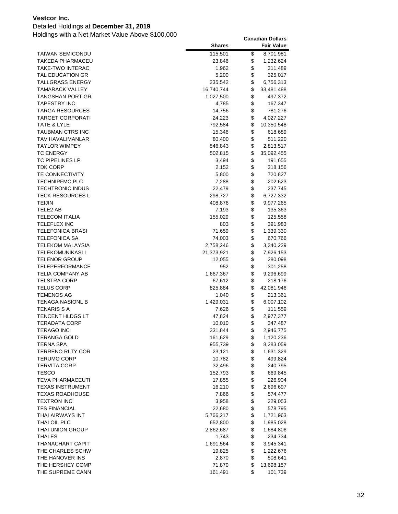### Detailed Holdings at **December 31, 2019**

|                                        | <b>Shares</b>      |          | <b>Fair Value</b>    |
|----------------------------------------|--------------------|----------|----------------------|
| <b>TAIWAN SEMICONDU</b>                | 115,501            | \$       | 8,701,981            |
| TAKEDA PHARMACEU                       | 23,846             | \$       | 1,232,624            |
| TAKE-TWO INTERAC                       | 1,962              | \$       | 311,489              |
| TAL EDUCATION GR                       | 5,200              | \$       | 325,017              |
| TALLGRASS ENERGY                       | 235,542            | \$       | 6,756,313            |
| TAMARACK VALLEY                        | 16,740,744         | \$       | 33,481,488           |
| TANGSHAN PORT GR                       | 1,027,500          | \$       | 497,372              |
| TAPESTRY INC                           | 4,785              | \$       | 167,347              |
| TARGA RESOURCES                        | 14,756             | \$       | 781,276              |
| TARGET CORPORATI                       | 24,223             | \$       | 4,027,227            |
| TATE & LYLE                            | 792,584            | \$       | 10,350,548           |
| TAUBMAN CTRS INC                       | 15,346             | \$       | 618,689              |
| TAV HAVALIMANLAR                       | 80,400             | \$       | 511,220              |
| TAYLOR WIMPEY                          | 846,843            | \$       | 2,813,517            |
| <b>TC ENERGY</b>                       | 502,815            | \$       | 35,092,455           |
| TC PIPELINES LP                        | 3,494              | \$       | 191,655              |
| TDK CORP                               | 2,152              | \$       | 318,156              |
| <b>TE CONNECTIVITY</b>                 | 5,800              | \$       | 720,827              |
| <b>TECHNIPFMC PLC</b>                  | 7,288              | \$       | 202,623              |
| TECHTRONIC INDUS                       | 22,479             | \$       | 237,745              |
| <b>TECK RESOURCES L</b>                | 298,727            | \$       | 6,727,332            |
| TEIJIN                                 | 408,876            | \$       | 9,977,265            |
| TELE2 AB                               | 7,193              | \$       | 135,363              |
| TELECOM ITALIA                         | 155,029            | \$       | 125,558              |
| TELEFLEX INC                           | 803                | \$       | 391,983              |
| TELEFONICA BRASI                       | 71,659             | \$       | 1,339,330            |
| <b>TELEFONICA SA</b>                   | 74,003             | \$       | 670,766              |
| TELEKOM MALAYSIA                       | 2,758,246          | \$       | 3,340,229            |
| TELEKOMUNIKASI I                       | 21,373,921         | \$       | 7,926,153            |
| <b>TELENOR GROUP</b>                   | 12,055             | \$       | 280,098              |
| TELEPERFORMANCE                        | 952                | \$       | 301,258              |
| TELIA COMPANY AB                       | 1,667,367          | \$       | 9,296,699            |
| TELSTRA CORP                           | 67,612             | \$<br>\$ | 218,176              |
| <b>TELUS CORP</b><br><b>TEMENOS AG</b> | 825,884            | \$       | 42,081,946           |
| <b>TENAGA NASIONL B</b>                | 1,040<br>1,429,031 | \$       | 213,361<br>6,007,102 |
| <b>TENARIS S A</b>                     | 7,626              | \$       | 111,559              |
| TENCENT HLDGS LT                       | 47,824             | \$       | 2,977,377            |
| <b>TERADATA CORP</b>                   | 10,010             | \$       | 347,487              |
| <b>TERAGO INC</b>                      | 331,844            | \$       | 2,946,775            |
| <b>TERANGA GOLD</b>                    | 161,629            | \$       | 1,120,236            |
| <b>TERNA SPA</b>                       | 955,739            | \$       | 8,283,059            |
| TERRENO RLTY COR                       | 23,121             | \$       | 1,631,329            |
| <b>TERUMO CORP</b>                     | 10,782             | \$       | 499,824              |
| <b>TERVITA CORP</b>                    | 32,496             | \$       | 240,795              |
| TESCO                                  | 152,793            | \$       | 669,845              |
| TEVA PHARMACEUTI                       | 17,855             | \$       | 226,904              |
| <b>TEXAS INSTRUMENT</b>                | 16,210             | \$       | 2,696,697            |
| TEXAS ROADHOUSE                        | 7,866              | \$       | 574,477              |
| TEXTRON INC                            | 3,958              | \$       | 229,053              |
| <b>TFS FINANCIAL</b>                   | 22,680             | \$       | 578,795              |
| THAI AIRWAYS INT                       | 5,766,217          | \$       | 1,721,963            |
| THAI OIL PLC                           | 652,800            | \$       | 1,985,028            |
| THAI UNION GROUP                       | 2,862,687          | \$       | 1,684,806            |
| <b>THALES</b>                          | 1,743              | \$       | 234,734              |
| THANACHART CAPIT                       | 1,691,564          | \$       | 3,945,341            |
| THE CHARLES SCHW                       | 19,825             | \$       | 1,222,676            |
| THE HANOVER INS                        | 2,870              | \$       | 508,641              |
| THE HERSHEY COMP                       | 71,870             | \$       | 13,698,157           |
| THE SUPREME CANN                       | 161,491            | \$       | 101,739              |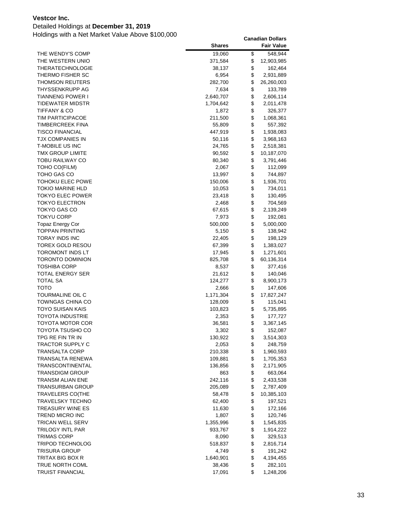### Detailed Holdings at **December 31, 2019**

|                         | <b>Shares</b>        |          | <b>Fair Value</b>     |
|-------------------------|----------------------|----------|-----------------------|
| THE WENDY'S COMP        | 19,060               | \$       | 548,944               |
| THE WESTERN UNIO        | 371,584              | \$       | 12,903,985            |
| THERATECHNOLOGIE        | 38,137               | \$       | 162,464               |
| THERMO FISHER SC        | 6,954                | \$       | 2,931,889             |
| <b>THOMSON REUTERS</b>  | 282,700              | \$       | 26,260,003            |
| THYSSENKRUPP AG         | 7,634                | \$       | 133,789               |
| <b>TIANNENG POWER I</b> | 2,640,707            | \$       | 2,606,114             |
| TIDEWATER MIDSTR        | 1,704,642            | \$       | 2,011,478             |
| <b>TIFFANY &amp; CO</b> | 1,872                | \$       | 326,377               |
| <b>TIM PARTICIPACOE</b> | 211,500              | \$       | 1,068,361             |
| <b>TIMBERCREEK FINA</b> | 55,809               | \$       | 557,392               |
| <b>TISCO FINANCIAL</b>  | 447,919              | \$       | 1,938,083             |
| TJX COMPANIES IN        | 50,116               | \$       | 3,968,163             |
| T-MOBILE US INC         | 24,765               | \$       | 2,518,381             |
| TMX GROUP LIMITE        | 90,592               | \$       | 10,187,070            |
| TOBU RAILWAY CO         | 80,340               | \$       | 3,791,446             |
| TOHO CO(FILM)           | 2,067                | \$       | 112,099               |
| TOHO GAS CO             | 13,997               | \$       | 744,897               |
| TOHOKU ELEC POWE        | 150,006              | \$       | 1,936,701             |
| <b>TOKIO MARINE HLD</b> | 10,053               | \$       | 734,011               |
| <b>TOKYO ELEC POWER</b> | 23,418               | \$       | 130,495               |
| <b>TOKYO ELECTRON</b>   | 2,468                | \$       | 704,569               |
| TOKYO GAS CO            | 67,615               | \$       | 2,139,249             |
| <b>TOKYU CORP</b>       | 7,973                | \$       | 192,081               |
| <b>Topaz Energy Cor</b> | 500,000              | \$       | 5,000,000             |
| <b>TOPPAN PRINTING</b>  | 5,150                | \$       | 138,942               |
| <b>TORAY INDS INC</b>   | 22,405               | \$       | 198,129               |
| TOREX GOLD RESOU        | 67,399               | \$       | 1,383,027             |
| TOROMONT INDS LT        | 17,945               | \$       | 1,271,601             |
| <b>TORONTO DOMINION</b> | 825,708              | \$       | 60,136,314            |
| TOSHIBA CORP            | 8,537                | \$       | 377,416               |
| <b>TOTAL ENERGY SER</b> | 21,612               | \$       | 140,046               |
| TOTAL SA<br>тото        | 124,277              | \$       | 8,900,173             |
| TOURMALINE OIL C        | 2,666                | \$<br>\$ | 147,606               |
| <b>TOWNGAS CHINA CO</b> | 1,171,304<br>128,009 | \$       | 17,827,247<br>115,041 |
| TOYO SUISAN KAIS        | 103,823              | \$       | 5,735,895             |
| <b>TOYOTA INDUSTRIE</b> | 2,353                | \$       | 177,727               |
| <b>TOYOTA MOTOR COR</b> | 36,581               | \$       | 3,367,145             |
| TOYOTA TSUSHO CO        | 3,302                | \$       | 152,087               |
| TPG RE FIN TR IN        | 130,922              | \$       | 3,514,303             |
| <b>TRACTOR SUPPLY C</b> | 2,053                | \$       | 248,759               |
| <b>TRANSALTA CORP</b>   | 210,338              | \$       | 1,960,593             |
| TRANSALTA RENEWA        | 109,881              | \$       | 1,705,353             |
| TRANSCONTINENTAL        | 136,856              | \$       | 2,171,905             |
| <b>TRANSDIGM GROUP</b>  | 863                  | \$       | 663,064               |
| TRANSM ALIAN ENE        | 242,116              | \$       | 2,433,538             |
| TRANSURBAN GROUP        | 205,089              | \$       | 2,787,409             |
| <b>TRAVELERS CO(THE</b> | 58,478               | \$       | 10,385,103            |
| TRAVELSKY TECHNO        | 62,400               | \$       | 197,521               |
| TREASURY WINE ES        | 11,630               | \$       | 172,166               |
| <b>TREND MICRO INC</b>  | 1,807                | \$       | 120,746               |
| TRICAN WELL SERV        | 1,355,996            | \$       | 1,545,835             |
| TRILOGY INTL PAR        | 933,767              | \$       | 1,914,222             |
| TRIMAS CORP             | 8,090                | \$       | 329,513               |
| TRIPOD TECHNOLOG        | 518,837              | \$       | 2,816,714             |
| <b>TRISURA GROUP</b>    | 4,749                | \$       | 191,242               |
| TRITAX BIG BOX R        | 1,640,901            | \$       | 4,194,455             |
| TRUE NORTH COML         | 38,436               | \$       | 282,101               |
| <b>TRUIST FINANCIAL</b> | 17,091               | \$       | 1,248,206             |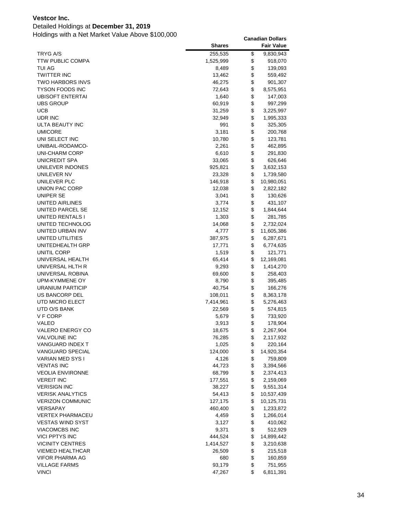### Detailed Holdings at **December 31, 2019**

|                                     | <b>Shares</b> |          | <b>Fair Value</b> |
|-------------------------------------|---------------|----------|-------------------|
| <b>TRYG A/S</b>                     | 255,535       | \$       | 9,830,943         |
| <b>TTW PUBLIC COMPA</b>             | 1,525,999     | \$       | 918,070           |
| TUI AG                              | 8,489         | \$       | 139,093           |
| <b>TWITTER INC</b>                  | 13,462        | \$       | 559,492           |
| <b>TWO HARBORS INVS</b>             | 46,275        | \$       | 901,307           |
| <b>TYSON FOODS INC</b>              | 72,643        | \$       | 8,575,951         |
| <b>UBISOFT ENTERTAI</b>             | 1,640         | \$       | 147,003           |
| <b>UBS GROUP</b>                    | 60,919        | \$       | 997,299           |
| <b>UCB</b>                          | 31,259        | \$       | 3,225,997         |
| UDR INC                             | 32,949        | \$       | 1,995,333         |
| ULTA BEAUTY INC                     | 991           | \$       | 325,305           |
| <b>UMICORE</b>                      | 3,181         | \$       | 200,768           |
| UNI SELECT INC                      | 10,780        | \$       | 123,781           |
| UNIBAIL-RODAMCO-                    | 2,261         | \$       | 462,895           |
| UNI-CHARM CORP                      | 6,610         | \$       | 291,830           |
| UNICREDIT SPA                       | 33,065        | \$       | 626,646           |
| UNILEVER INDONES                    | 925,821       | \$       | 3,632,153         |
| UNILEVER NV                         | 23,328        | \$       | 1,739,580         |
| UNILEVER PLC                        | 146,918       | \$       | 10,980,051        |
| UNION PAC CORP                      | 12,038        | \$       | 2,822,182         |
| UNIPER SE                           | 3,041         | \$       | 130,626           |
| UNITED AIRLINES                     | 3,774         | \$       | 431,107           |
| UNITED PARCEL SE                    | 12,152        | \$       | 1,844,644         |
| UNITED RENTALS I                    | 1,303         | \$       | 281,785           |
| UNITED TECHNOLOG                    | 14,068        | \$       | 2,732,024         |
| UNITED URBAN INV                    | 4,777         | \$       | 11,605,386        |
| UNITED UTILITIES                    | 387,975       | \$       | 6,287,671         |
| UNITEDHEALTH GRP                    | 17,771        | \$       | 6,774,635         |
| UNITIL CORP                         | 1,519         | \$       | 121,771           |
| UNIVERSAL HEALTH                    | 65,414        | \$       | 12,169,081        |
| UNIVERSAL HLTH R                    | 9,293         | \$       | 1,414,270         |
| UNIVERSAL ROBINA                    | 69,600        | \$       | 258,403           |
| UPM-KYMMENE OY                      | 8,790         | \$       | 395,485           |
| URANIUM PARTICIP                    | 40,754        | \$       | 166,276           |
| US BANCORP DEL                      | 108,011       | \$       | 8,363,178         |
| UTD MICRO ELECT                     | 7,414,961     | \$       | 5,276,463         |
| UTD O/S BANK                        | 22,569        | \$       | 574,815           |
| V F CORP                            | 5,679         | \$       | 733,920           |
| VALEO                               | 3,913         | \$       | 178,904           |
| <b>VALERO ENERGY CO</b>             | 18,675        | \$       | 2,267,904         |
| <b>VALVOLINE INC</b>                | 76,285        | \$       | 2,117,932         |
| VANGUARD INDEX T                    | 1,025         | \$       | 220,164           |
| <b>VANGUARD SPECIAL</b>             | 124,000       | \$       | 14,920,354        |
| VARIAN MED SYS I                    | 4,126         | \$       | 759,809           |
| <b>VENTAS INC</b>                   | 44,723        | \$       | 3,394,566         |
| <b>VEOLIA ENVIRONNE</b>             | 68,799        | \$       | 2,374,413         |
| <b>VEREIT INC</b>                   | 177,551       | \$       | 2,159,069         |
| <b>VERISIGN INC</b>                 | 38,227        | \$       | 9,551,314         |
| <b>VERISK ANALYTICS</b>             | 54,413        | \$       | 10,537,439        |
| <b>VERIZON COMMUNIC</b><br>VERSAPAY | 127,175       | \$       | 10,125,731        |
|                                     | 460,400       | \$       | 1,233,872         |
| <b>VERTEX PHARMACEU</b>             | 4,459         | \$       | 1,266,014         |
| <b>VESTAS WIND SYST</b>             | 3,127         | \$       | 410,062           |
| VIACOMCBS INC                       | 9,371         | \$       | 512,929           |
| <b>VICI PPTYS INC</b>               | 444,524       | \$       | 14,899,442        |
| <b>VICINITY CENTRES</b>             | 1,414,527     | \$       | 3,210,638         |
| <b>VIEMED HEALTHCAR</b>             | 26,509        | \$       | 215,518           |
| <b>VIFOR PHARMA AG</b>              | 680           | \$<br>\$ | 160,859           |
| <b>VILLAGE FARMS</b>                | 93,179        | \$       | 751,955           |
| <b>VINCI</b>                        | 47,267        |          | 6,811,391         |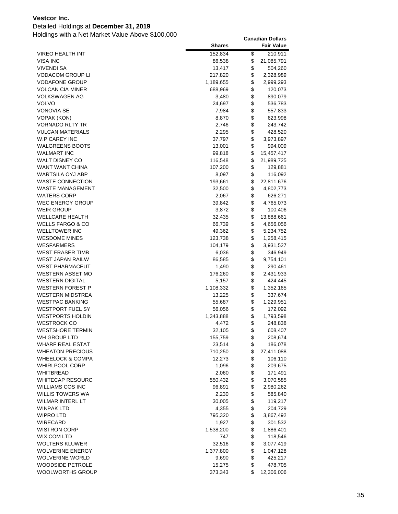# Detailed Holdings at **December 31, 2019**

|                             | <b>Shares</b> | <b>Fair Value</b> |
|-----------------------------|---------------|-------------------|
| VIREO HEALTH INT            | 152,834       | \$<br>210,911     |
| <b>VISA INC</b>             | 86,538        | \$<br>21,085,791  |
| <b>VIVENDI SA</b>           | 13,417        | \$<br>504,260     |
| <b>VODACOM GROUP LI</b>     | 217,820       | \$<br>2,328,989   |
| <b>VODAFONE GROUP</b>       | 1,189,655     | \$<br>2,999,293   |
| <b>VOLCAN CIA MINER</b>     | 688,969       | \$<br>120,073     |
| <b>VOLKSWAGEN AG</b>        | 3,480         | \$<br>890,079     |
| <b>VOLVO</b>                | 24,697        | \$<br>536,783     |
| <b>VONOVIA SE</b>           | 7,984         | \$<br>557,833     |
| VOPAK (KON)                 | 8,870         | \$<br>623,998     |
| <b>VORNADO RLTY TR</b>      | 2,746         | \$<br>243,742     |
| <b>VULCAN MATERIALS</b>     | 2,295         | \$<br>428,520     |
| W.P CAREY INC               | 37,797        | \$<br>3,973,897   |
| <b>WALGREENS BOOTS</b>      | 13,001        | \$<br>994,009     |
| <b>WALMART INC</b>          | 99,818        | \$<br>15,457,417  |
| WALT DISNEY CO              | 116,548       | \$<br>21,989,725  |
| WANT WANT CHINA             | 107,200       | \$<br>129,881     |
| WARTSILA OYJ ABP            | 8,097         | \$<br>116,092     |
| <b>WASTE CONNECTION</b>     | 193,661       | \$<br>22,811,676  |
| <b>WASTE MANAGEMENT</b>     | 32,500        | \$<br>4,802,773   |
| <b>WATERS CORP</b>          | 2,067         | \$<br>626,271     |
| <b>WEC ENERGY GROUP</b>     | 39,842        | \$<br>4,765,073   |
| <b>WEIR GROUP</b>           | 3,872         | \$<br>100,406     |
| <b>WELLCARE HEALTH</b>      | 32,435        | \$<br>13,888,661  |
| <b>WELLS FARGO &amp; CO</b> | 66,739        | \$<br>4,656,056   |
| <b>WELLTOWER INC</b>        | 49,362        | \$<br>5,234,752   |
| <b>WESDOME MINES</b>        | 123,738       | \$<br>1,258,415   |
| WESFARMERS                  | 104,179       | \$<br>3,931,527   |
| <b>WEST FRASER TIMB</b>     | 6,036         | \$<br>346,949     |
| WEST JAPAN RAILW            | 86,585        | \$<br>9,754,101   |
| <b>WEST PHARMACEUT</b>      | 1,490         | \$<br>290,461     |
| WESTERN ASSET MO            | 176,260       | \$<br>2,431,933   |
| <b>WESTERN DIGITAL</b>      | 5,157         | \$<br>424,445     |
| WESTERN FOREST P            | 1,108,332     | \$<br>1,352,165   |
| <b>WESTERN MIDSTREA</b>     | 13,225        | \$<br>337,674     |
| <b>WESTPAC BANKING</b>      | 55,687        | \$<br>1,229,951   |
| WESTPORT FUEL SY            | 56,056        | \$<br>172,092     |
| <b>WESTPORTS HOLDIN</b>     | 1,343,888     | \$<br>1,793,598   |
| <b>WESTROCK CO</b>          | 4,472         | \$<br>248,838     |
| <b>WESTSHORE TERMIN</b>     | 32,105        | \$<br>608,407     |
| WH GROUP LTD                | 155,759       | \$<br>208,674     |
| WHARF REAL ESTAT            | 23,514        | \$<br>186,078     |
| <b>WHEATON PRECIOUS</b>     | 710,250       | \$<br>27,411,088  |
| <b>WHEELOCK &amp; COMPA</b> | 12,273        | \$<br>106,110     |
| WHIRLPOOL CORP              | 1,096         | \$<br>209,675     |
| <b>WHITBREAD</b>            | 2,060         | \$<br>171,491     |
| <b>WHITECAP RESOURC</b>     | 550,432       | \$<br>3,070,585   |
| WILLIAMS COS INC            | 96,891        | \$<br>2,980,262   |
| WILLIS TOWERS WA            | 2,230         | \$<br>585,840     |
| WILMAR INTERL LT            | 30,005        | \$<br>119,217     |
| <b>WINPAK LTD</b>           | 4,355         | \$<br>204,729     |
| <b>WIPRO LTD</b>            | 795,320       | \$<br>3,867,492   |
| WIRECARD                    | 1,927         | \$<br>301,532     |
| <b>WISTRON CORP</b>         | 1,538,200     | \$<br>1,886,401   |
| WIX COM LTD                 | 747           | \$<br>118,546     |
| <b>WOLTERS KLUWER</b>       | 32,516        | \$<br>3,077,419   |
| <b>WOLVERINE ENERGY</b>     | 1,377,800     | \$<br>1,047,128   |
| <b>WOLVERINE WORLD</b>      | 9,690         | \$<br>425,217     |
| WOODSIDE PETROLE            | 15,275        | \$<br>478,705     |
| WOOLWORTHS GROUP            | 373,343       | \$<br>12,306,006  |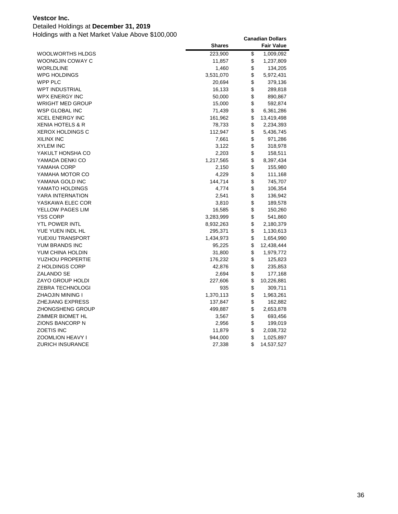### Detailed Holdings at **December 31, 2019**

|                             | <b>Shares</b> | <b>Fair Value</b> |
|-----------------------------|---------------|-------------------|
| <b>WOOLWORTHS HLDGS</b>     | 223,900       | \$<br>1,009,092   |
| WOONGJIN COWAY C            | 11,857        | \$<br>1,237,809   |
| <b>WORLDLINE</b>            | 1,460         | \$<br>134,205     |
| <b>WPG HOLDINGS</b>         | 3,531,070     | \$<br>5,972,431   |
| WPP PLC                     | 20,694        | \$<br>379,136     |
| <b>WPT INDUSTRIAL</b>       | 16,133        | \$<br>289,818     |
| <b>WPX ENERGY INC</b>       | 50,000        | \$<br>890,867     |
| <b>WRIGHT MED GROUP</b>     | 15,000        | \$<br>592,874     |
| <b>WSP GLOBAL INC</b>       | 71,439        | \$<br>6,361,286   |
| <b>XCEL ENERGY INC</b>      | 161,962       | \$<br>13,419,498  |
| <b>XENIA HOTELS &amp; R</b> | 78,733        | \$<br>2,234,393   |
| <b>XEROX HOLDINGS C</b>     | 112,947       | \$<br>5,436,745   |
| <b>XILINX INC</b>           | 7,661         | \$<br>971,286     |
| <b>XYLEM INC</b>            | 3,122         | \$<br>318,978     |
| YAKULT HONSHA CO            | 2,203         | \$<br>158,511     |
| YAMADA DENKI CO             | 1,217,565     | \$<br>8,397,434   |
| YAMAHA CORP                 | 2,150         | \$<br>155,980     |
| YAMAHA MOTOR CO             | 4,229         | \$<br>111,168     |
| YAMANA GOLD INC             | 144,714       | \$<br>745,707     |
| YAMATO HOLDINGS             | 4,774         | \$<br>106,354     |
| YARA INTERNATION            | 2,541         | \$<br>136,942     |
| YASKAWA ELEC COR            | 3,810         | \$<br>189,578     |
| YELLOW PAGES LIM            | 16,585        | \$<br>150,260     |
| <b>YSS CORP</b>             | 3,283,999     | \$<br>541,860     |
| YTL POWER INTL              | 8,932,263     | \$<br>2,180,379   |
| YUE YUEN INDL HL            | 295,371       | \$<br>1,130,613   |
| YUEXIU TRANSPORT            | 1,434,973     | \$<br>1,654,990   |
| YUM BRANDS INC              | 95,225        | \$<br>12,438,444  |
| YUM CHINA HOLDIN            | 31,800        | \$<br>1,979,772   |
| <b>YUZHOU PROPERTIE</b>     | 176,232       | \$<br>125,823     |
| <b>Z HOLDINGS CORP</b>      | 42,876        | \$<br>235,853     |
| ZALANDO SE                  | 2,694         | \$<br>177,168     |
| <b>ZAYO GROUP HOLDI</b>     | 227,606       | \$<br>10,226,881  |
| <b>ZEBRA TECHNOLOGI</b>     | 935           | \$<br>309,711     |
| ZHAOJIN MINING I            | 1,370,113     | \$<br>1,963,261   |
| <b>ZHEJIANG EXPRESS</b>     | 137,847       | \$<br>162,882     |
| <b>ZHONGSHENG GROUP</b>     | 499,887       | \$<br>2,653,878   |
| ZIMMER BIOMET HL            | 3,567         | \$<br>693,456     |
| <b>ZIONS BANCORP N</b>      | 2,956         | \$<br>199,019     |
| <b>ZOETIS INC</b>           | 11,879        | \$<br>2,038,732   |
| <b>ZOOMLION HEAVY I</b>     | 944,000       | \$<br>1,025,897   |
| <b>ZURICH INSURANCE</b>     | 27,338        | \$<br>14,537,527  |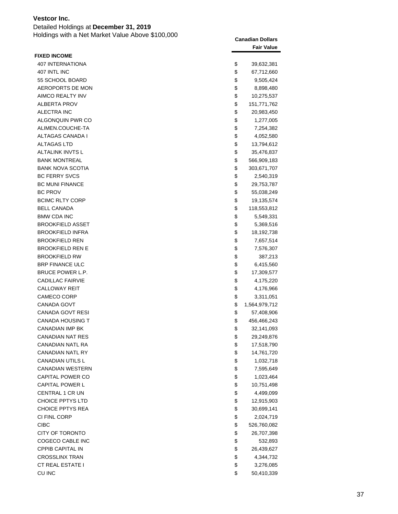Detailed Holdings at **December 31, 2019** Holdings with a Net Market Value Above \$100,000 **Canadian Dollars**

|                         | <b>Fair Value</b>   |
|-------------------------|---------------------|
| <b>FIXED INCOME</b>     |                     |
| <b>407 INTERNATIONA</b> | \$<br>39,632,381    |
| 407 INTL INC            | \$<br>67,712,660    |
| 55 SCHOOL BOARD         | \$<br>9,505,424     |
| AEROPORTS DE MON        | \$<br>8,898,480     |
| AIMCO REALTY INV        | \$<br>10,275,537    |
| <b>ALBERTA PROV</b>     | \$<br>151,771,762   |
| ALECTRA INC             | \$<br>20,983,450    |
| ALGONQUIN PWR CO        | \$<br>1,277,005     |
| ALIMEN.COUCHE-TA        | \$<br>7,254,382     |
| ALTAGAS CANADA I        | \$<br>4,052,580     |
| ALTAGAS LTD             | \$<br>13,794,612    |
| ALTALINK INVTS L        | \$<br>35,476,837    |
| <b>BANK MONTREAL</b>    | \$<br>566,909,183   |
| <b>BANK NOVA SCOTIA</b> | \$<br>303,671,707   |
| <b>BC FERRY SVCS</b>    | \$<br>2,540,319     |
| <b>BC MUNI FINANCE</b>  | \$<br>29,753,787    |
| <b>BC PROV</b>          | \$<br>55,038,249    |
| <b>BCIMC RLTY CORP</b>  | \$<br>19,135,574    |
| <b>BELL CANADA</b>      | \$<br>118,553,812   |
| <b>BMW CDA INC</b>      | \$<br>5,549,331     |
| <b>BROOKFIELD ASSET</b> | \$<br>5,369,516     |
| <b>BROOKFIELD INFRA</b> | \$<br>18,192,738    |
| <b>BROOKFIELD REN</b>   | \$<br>7,657,514     |
| <b>BROOKFIELD REN E</b> | \$<br>7,576,307     |
| <b>BROOKFIELD RW</b>    | \$<br>387,213       |
| <b>BRP FINANCE ULC</b>  | \$<br>6,415,560     |
| BRUCE POWER L.P.        | \$<br>17,309,577    |
| <b>CADILLAC FAIRVIE</b> | \$<br>4,175,220     |
| <b>CALLOWAY REIT</b>    | \$<br>4,176,966     |
| <b>CAMECO CORP</b>      | \$<br>3,311,051     |
| CANADA GOVT             | \$<br>1,564,979,712 |
| CANADA GOVT RESI        | \$<br>57,408,906    |
| <b>CANADA HOUSING T</b> | \$<br>456,466,243   |
| <b>CANADIAN IMP BK</b>  | \$<br>32,141,093    |
| <b>CANADIAN NAT RES</b> | \$<br>29,249,876    |
| CANADIAN NATL RA        | \$<br>17,518,790    |
| <b>CANADIAN NATL RY</b> | \$<br>14,761,720    |
| <b>CANADIAN UTILS L</b> | \$<br>1,032,718     |
| <b>CANADIAN WESTERN</b> | \$<br>7,595,649     |
| CAPITAL POWER CO        | \$<br>1,023,464     |
| <b>CAPITAL POWER L</b>  | \$<br>10,751,498    |
| <b>CENTRAL 1 CR UN</b>  | \$<br>4,499,099     |
| <b>CHOICE PPTYS LTD</b> | \$<br>12,915,903    |
| <b>CHOICE PPTYS REA</b> | \$<br>30,699,141    |
| CI FINL CORP            | \$<br>2,024,719     |
| <b>CIBC</b>             | \$<br>526,760,082   |
| CITY OF TORONTO         | \$<br>26,707,398    |
| COGECO CABLE INC        | \$<br>532,893       |
| <b>CPPIB CAPITAL IN</b> | \$<br>26,439,627    |
| <b>CROSSLINX TRAN</b>   | \$<br>4,344,732     |
| <b>CT REAL ESTATE I</b> | \$<br>3,276,085     |
| <b>CU INC</b>           | \$<br>50,410,339    |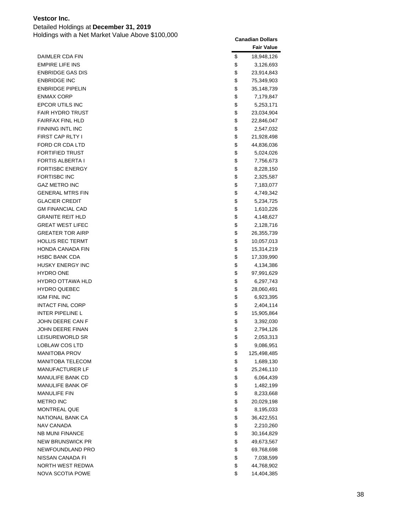Detailed Holdings at **December 31, 2019**

|                         | <b>Fair Value</b> |
|-------------------------|-------------------|
| DAIMLER CDA FIN         | \$<br>18,948,126  |
| <b>EMPIRE LIFE INS</b>  | \$<br>3,126,693   |
| <b>ENBRIDGE GAS DIS</b> | \$<br>23,914,843  |
| <b>ENBRIDGE INC</b>     | \$<br>75,349,903  |
| <b>ENBRIDGE PIPELIN</b> | \$<br>35,148,739  |
| <b>ENMAX CORP</b>       | \$<br>7,179,847   |
| EPCOR UTILS INC         | \$<br>5,253,171   |
| <b>FAIR HYDRO TRUST</b> | \$<br>23,034,904  |
| <b>FAIRFAX FINL HLD</b> | \$<br>22,846,047  |
| <b>FINNING INTL INC</b> | \$<br>2,547,032   |
| <b>FIRST CAP RLTY I</b> | \$<br>21,928,498  |
| FORD CR CDA LTD         | \$<br>44,836,036  |
| <b>FORTIFIED TRUST</b>  | \$<br>5,024,026   |
| <b>FORTIS ALBERTA I</b> | \$<br>7,756,673   |
| <b>FORTISBC ENERGY</b>  | \$<br>8,228,150   |
| <b>FORTISBC INC</b>     | \$<br>2,325,587   |
| <b>GAZ METRO INC</b>    | \$<br>7,183,077   |
| <b>GENERAL MTRS FIN</b> | \$<br>4,749,342   |
| <b>GLACIER CREDIT</b>   | \$<br>5,234,725   |
| <b>GM FINANCIAL CAD</b> | \$<br>1,610,226   |
| <b>GRANITE REIT HLD</b> | \$<br>4,148,627   |
| <b>GREAT WEST LIFEC</b> | \$<br>2,128,716   |
| <b>GREATER TOR AIRP</b> | \$<br>26,355,739  |
| HOLLIS REC TERMT        | \$<br>10,057,013  |
| HONDA CANADA FIN        | \$<br>15,314,219  |
| <b>HSBC BANK CDA</b>    | \$<br>17,339,990  |
| <b>HUSKY ENERGY INC</b> | \$<br>4,134,386   |
| <b>HYDRO ONE</b>        | \$<br>97,991,629  |
| <b>HYDRO OTTAWA HLD</b> | \$<br>6,297,743   |
| <b>HYDRO QUEBEC</b>     | \$<br>28,060,491  |
| <b>IGM FINL INC</b>     | \$<br>6,923,395   |
| <b>INTACT FINL CORP</b> | \$<br>2,404,114   |
| <b>INTER PIPELINE L</b> | \$<br>15,905,864  |
| JOHN DEERE CAN F        | \$<br>3,392,030   |
| JOHN DEERE FINAN        | \$<br>2,794,126   |
| LEISUREWORLD SR         | \$<br>2,053,313   |
| LOBLAW COS LTD          | \$<br>9,086,951   |
| <b>MANITOBA PROV</b>    | \$<br>125,498,485 |
| <b>MANITOBA TELECOM</b> | \$<br>1,689,130   |
| <b>MANUFACTURER LF</b>  | \$<br>25,246,110  |
| MANULIFE BANK CD        | \$<br>6,064,439   |
| MANULIFE BANK OF        | \$<br>1,482,199   |
| <b>MANULIFE FIN</b>     | \$<br>8,233,668   |
| <b>METRO INC</b>        | \$<br>20,029,198  |
| <b>MONTREAL QUE</b>     | \$<br>8,195,033   |
| NATIONAL BANK CA        | \$<br>36,422,551  |
| NAV CANADA              | \$<br>2,210,260   |
| <b>NB MUNI FINANCE</b>  | \$<br>30,164,829  |
| <b>NEW BRUNSWICK PR</b> | \$<br>49,673,567  |
| NEWFOUNDLAND PRO        | \$<br>69,768,698  |
| NISSAN CANADA FI        | \$<br>7,038,599   |
| NORTH WEST REDWA        | \$<br>44,768,902  |
| NOVA SCOTIA POWE        | \$<br>14,404,385  |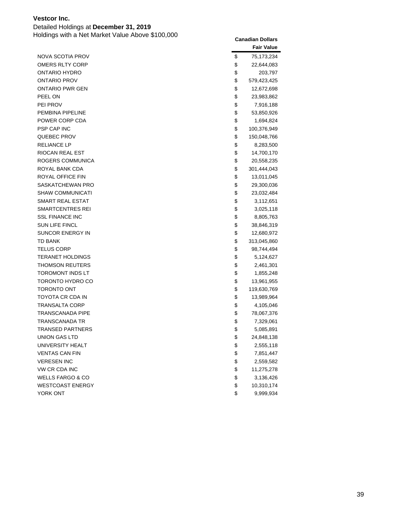Detailed Holdings at **December 31, 2019**

|                             | <b>Fair Value</b> |
|-----------------------------|-------------------|
| NOVA SCOTIA PROV            | \$<br>75,173,234  |
| OMERS RLTY CORP             | \$<br>22,644,083  |
| ONTARIO HYDRO               | \$<br>203,797     |
| ONTARIO PROV                | \$<br>579,423,425 |
| ONTARIO PWR GEN             | \$<br>12,672,698  |
| PEEL ON                     | \$<br>23,983,862  |
| PEI PROV                    | \$<br>7,916,188   |
| PEMBINA PIPELINE            | \$<br>53,850,926  |
| POWER CORP CDA              | \$<br>1,694,824   |
| PSP CAP INC                 | \$<br>100,376,949 |
| QUEBEC PROV                 | \$<br>150,048,766 |
| <b>RELIANCE LP</b>          | \$<br>8,283,500   |
| RIOCAN REAL EST             | \$<br>14,700,170  |
| ROGERS COMMUNICA            | \$<br>20,558,235  |
| ROYAL BANK CDA              | \$<br>301,444,043 |
| ROYAL OFFICE FIN            | \$<br>13,011,045  |
| SASKATCHEWAN PRO            | \$<br>29,300,036  |
| <b>SHAW COMMUNICATI</b>     | \$<br>23,032,484  |
| <b>SMART REAL ESTAT</b>     | \$<br>3,112,651   |
| SMARTCENTRES REI            | \$<br>3,025,118   |
| <b>SSL FINANCE INC</b>      | \$<br>8,805,763   |
| <b>SUN LIFE FINCL</b>       | \$<br>38,846,319  |
| SUNCOR ENERGY IN            | \$<br>12,680,972  |
| TD BANK                     | \$<br>313,045,860 |
| <b>TELUS CORP</b>           | \$<br>98,744,494  |
| TERANET HOLDINGS            | \$<br>5,124,627   |
| <b>THOMSON REUTERS</b>      | \$<br>2,461,301   |
| TOROMONT INDS LT            | \$<br>1,855,248   |
| TORONTO HYDRO CO            | \$<br>13,961,955  |
| <b>TORONTO ONT</b>          | \$<br>119,630,769 |
| TOYOTA CR CDA IN            | \$<br>13,989,964  |
| <b>TRANSALTA CORP</b>       | \$<br>4,105,046   |
| TRANSCANADA PIPE            | \$<br>78,067,376  |
| TRANSCANADA TR              | \$<br>7,329,061   |
| <b>TRANSED PARTNERS</b>     | \$<br>5,085,891   |
| <b>UNION GAS LTD</b>        | \$<br>24,848,138  |
| UNIVERSITY HEALT            | \$<br>2,555,118   |
| <b>VENTAS CAN FIN</b>       | \$<br>7,851,447   |
| <b>VERESEN INC</b>          | \$<br>2,559,582   |
| VW CR CDA INC               | \$<br>11,275,278  |
| <b>WELLS FARGO &amp; CO</b> | \$<br>3,136,426   |
| <b>WESTCOAST ENERGY</b>     | \$<br>10,310,174  |
| YORK ONT                    | \$<br>9,999,934   |